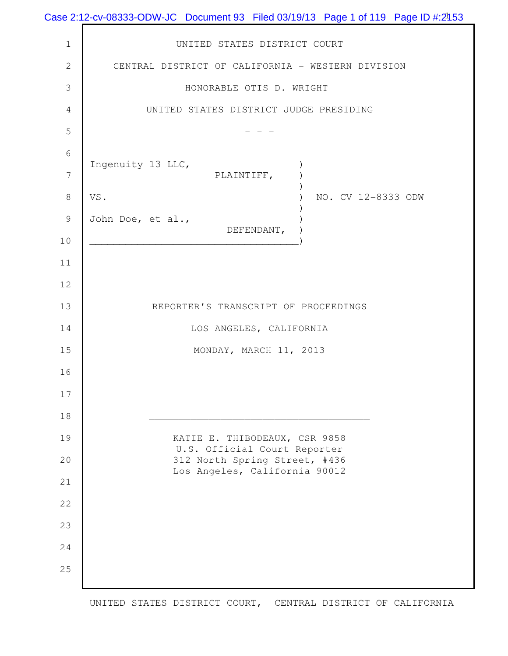|                | Case 2:12-cv-08333-ODW-JC Document 93 Filed 03/19/13 Page 1 of 119 Page ID #:2453 |
|----------------|-----------------------------------------------------------------------------------|
| $\mathbf 1$    | UNITED STATES DISTRICT COURT                                                      |
| $\mathbf{2}$   | CENTRAL DISTRICT OF CALIFORNIA - WESTERN DIVISION                                 |
| $\mathfrak{Z}$ | HONORABLE OTIS D. WRIGHT                                                          |
| $\overline{4}$ | UNITED STATES DISTRICT JUDGE PRESIDING                                            |
| 5              |                                                                                   |
| $\sqrt{6}$     |                                                                                   |
| $\overline{7}$ | Ingenuity 13 LLC,<br>PLAINTIFF,                                                   |
| $\,8\,$        | VS.<br>NO. CV 12-8333 ODW                                                         |
| $\mathcal{G}$  | John Doe, et al.,<br>DEFENDANT,                                                   |
| $10$           |                                                                                   |
| 11             |                                                                                   |
| 12             |                                                                                   |
| 13             | REPORTER'S TRANSCRIPT OF PROCEEDINGS                                              |
| 14             | LOS ANGELES, CALIFORNIA                                                           |
| 15             | MONDAY, MARCH 11, 2013                                                            |
| 16             |                                                                                   |
| 17             |                                                                                   |
| 18             |                                                                                   |
| 19             | KATIE E. THIBODEAUX, CSR 9858<br>U.S. Official Court Reporter                     |
| 20             | 312 North Spring Street, #436<br>Los Angeles, California 90012                    |
| 21             |                                                                                   |
| 22             |                                                                                   |
| 23             |                                                                                   |
| 24             |                                                                                   |
| 25             |                                                                                   |
|                |                                                                                   |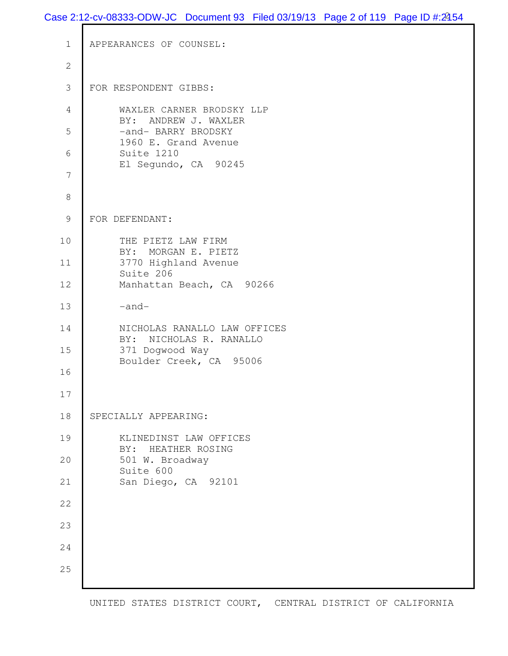```
 1 APPEARANCES OF COUNSEL:
  2
  3 FOR RESPONDENT GIBBS: 
  4 WAXLER CARNER BRODSKY LLP 
          BY: ANDREW J. WAXLER 
 5 -and- BARRY BRODSKY
          1960 E. Grand Avenue 
  6 Suite 1210 
          El Segundo, CA 90245 
  7
  8
  9 FOR DEFENDANT: 
10 THE PIETZ LAW FIRM
          BY: MORGAN E. PIETZ 
11 3770 Highland Avenue 
          Suite 206 
12 Manhattan Beach, CA 90266
13 -and-
14 NICHOLAS RANALLO LAW OFFICES 
          BY: NICHOLAS R. RANALLO 
15 371 Dogwood Way 
          Boulder Creek, CA 95006 
16
17
18 SPECIALLY APPEARING:
19 KLINEDINST LAW OFFICES 
          BY: HEATHER ROSING 
20 501 W. Broadway 
          Suite 600 
21 San Diego, CA 92101 
22
23
24
25
```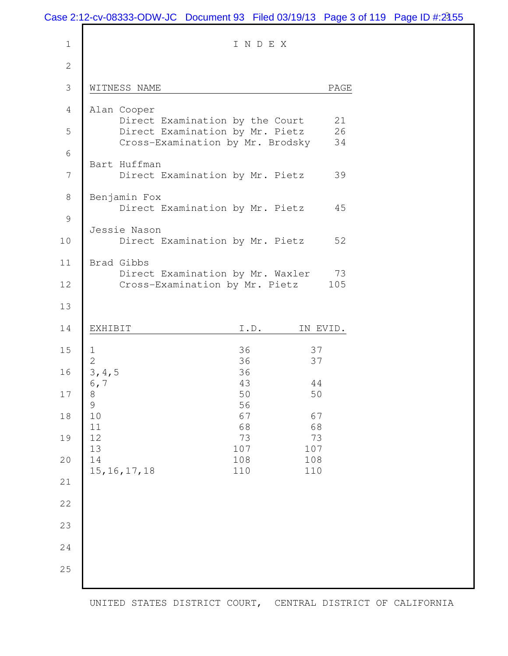|                | Case 2:12-cv-08333-ODW-JC Document 93 Filed 03/19/13 Page 3 of 119 Page ID #:2155 |                               |            |  |
|----------------|-----------------------------------------------------------------------------------|-------------------------------|------------|--|
| $1\,$          |                                                                                   | INDEX                         |            |  |
| $\mathbf{2}$   |                                                                                   |                               |            |  |
| $\mathfrak{Z}$ | WITNESS NAME                                                                      |                               | PAGE       |  |
| $\overline{4}$ | Alan Cooper                                                                       |                               | 21         |  |
| 5              | Direct Examination by the Court<br>Direct Examination by Mr. Pietz                |                               | 26<br>34   |  |
| $\sqrt{6}$     | Cross-Examination by Mr. Brodsky<br>Bart Huffman                                  |                               |            |  |
| $\overline{7}$ | Direct Examination by Mr. Pietz                                                   |                               | 39         |  |
| $\,8\,$        | Benjamin Fox<br>Direct Examination by Mr. Pietz                                   |                               | 45         |  |
| $\mathcal{G}$  | Jessie Nason                                                                      |                               |            |  |
| $10$           | Direct Examination by Mr. Pietz                                                   |                               | 52         |  |
| 11             | Brad Gibbs<br>Direct Examination by Mr. Waxler                                    |                               | 73         |  |
| 12             | Cross-Examination by Mr. Pietz                                                    |                               | 105        |  |
| 13             |                                                                                   |                               |            |  |
| 14             | EXHIBIT                                                                           | $\mathtt{I}$ . $\mathtt{D}$ . | IN EVID.   |  |
| 15             | T<br>$\overline{2}$                                                               | 36<br>36                      | 37<br>37   |  |
| 16             | 3, 4, 5                                                                           | 36<br>43                      | 44         |  |
| 17             | $\circ$ , $\,7$<br>$\,8\,$<br>$\mathsf 9$                                         | 50<br>56                      | 50         |  |
| 18             | 10<br>11                                                                          | 67<br>68                      | 67<br>68   |  |
| 19             | 12<br>13                                                                          | 73<br>107                     | 73<br>107  |  |
| 20             | 14<br>15, 16, 17, 18                                                              | 108<br>110                    | 108<br>110 |  |
| 21             |                                                                                   |                               |            |  |
| 22             |                                                                                   |                               |            |  |
| 23             |                                                                                   |                               |            |  |
| 24             |                                                                                   |                               |            |  |
| 25             |                                                                                   |                               |            |  |
|                |                                                                                   |                               |            |  |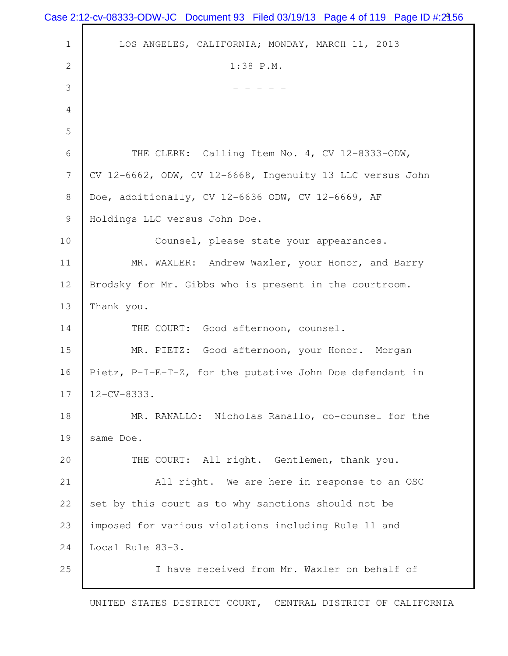| Case 2:12-cv-08333-ODW-JC Document 93 Filed 03/19/13 Page 4 of 119 Page ID #:2456 |
|-----------------------------------------------------------------------------------|
| LOS ANGELES, CALIFORNIA; MONDAY, MARCH 11, 2013                                   |
| 1:38 P.M.                                                                         |
|                                                                                   |
|                                                                                   |
|                                                                                   |
| THE CLERK: Calling Item No. 4, CV 12-8333-ODW,                                    |
| CV 12-6662, ODW, CV 12-6668, Ingenuity 13 LLC versus John                         |
| Doe, additionally, CV 12-6636 ODW, CV 12-6669, AF                                 |
| Holdings LLC versus John Doe.                                                     |
| Counsel, please state your appearances.                                           |
| MR. WAXLER: Andrew Waxler, your Honor, and Barry                                  |
| Brodsky for Mr. Gibbs who is present in the courtroom.                            |
| Thank you.                                                                        |
| THE COURT: Good afternoon, counsel.                                               |
| MR. PIETZ: Good afternoon, your Honor. Morgan                                     |
| Pietz, P-I-E-T-Z, for the putative John Doe defendant in                          |
| $12 - CV - 8333.$                                                                 |
| MR. RANALLO: Nicholas Ranallo, co-counsel for the                                 |
| same Doe.                                                                         |
| THE COURT: All right. Gentlemen, thank you.                                       |
| All right. We are here in response to an OSC                                      |
| set by this court as to why sanctions should not be                               |
| imposed for various violations including Rule 11 and                              |
| Local Rule 83-3.                                                                  |
| I have received from Mr. Waxler on behalf of                                      |
|                                                                                   |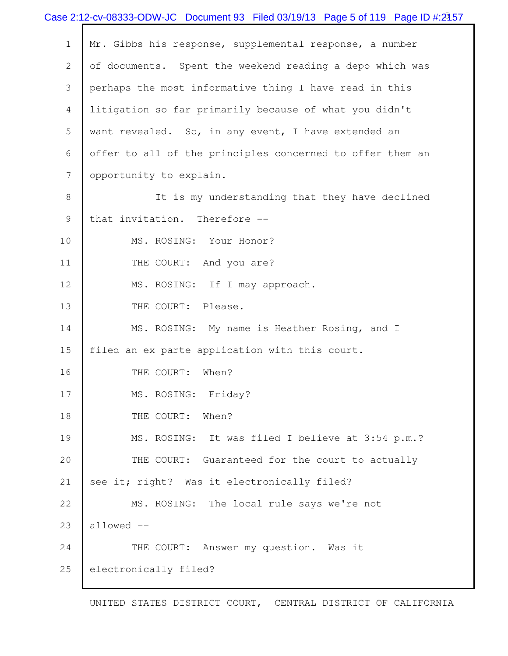|                | Case 2:12-cv-08333-ODW-JC Document 93 Filed 03/19/13 Page 5 of 119 Page ID #:2157 |
|----------------|-----------------------------------------------------------------------------------|
| $\mathbf 1$    | Mr. Gibbs his response, supplemental response, a number                           |
| $\mathbf{2}$   | of documents. Spent the weekend reading a depo which was                          |
| 3              | perhaps the most informative thing I have read in this                            |
| 4              | litigation so far primarily because of what you didn't                            |
| 5              | want revealed. So, in any event, I have extended an                               |
| 6              | offer to all of the principles concerned to offer them an                         |
| $\overline{7}$ | opportunity to explain.                                                           |
| 8              | It is my understanding that they have declined                                    |
| 9              | that invitation. Therefore --                                                     |
| 10             | MS. ROSING: Your Honor?                                                           |
| 11             | THE COURT: And you are?                                                           |
| 12             | MS. ROSING: If I may approach.                                                    |
| 13             | THE COURT: Please.                                                                |
| 14             | MS. ROSING: My name is Heather Rosing, and I                                      |
| 15             | filed an ex parte application with this court.                                    |
| 16             | When?<br>THE COURT:                                                               |
| 17             | MS. ROSING: Friday?                                                               |
| 18             | THE COURT:<br>When?                                                               |
| 19             | MS. ROSING: It was filed I believe at 3:54 p.m.?                                  |
| 20             | THE COURT: Guaranteed for the court to actually                                   |
| 21             | see it; right? Was it electronically filed?                                       |
| 22             | MS. ROSING: The local rule says we're not                                         |
| 23             | allowed --                                                                        |
| 24             | THE COURT: Answer my question. Was it                                             |
| 25             | electronically filed?                                                             |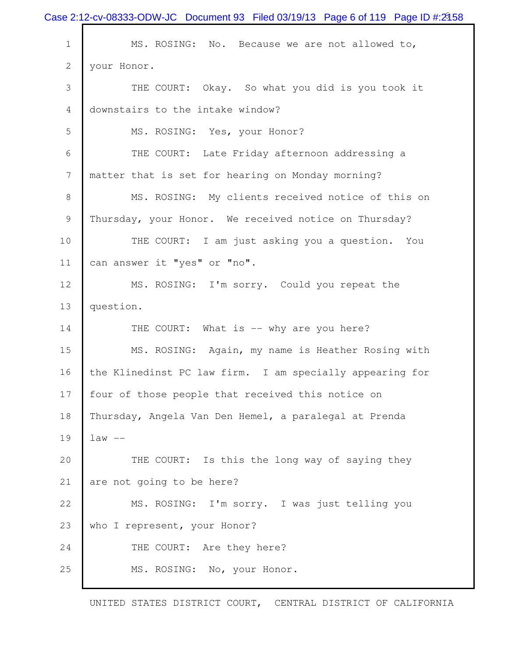|                | Case 2:12-cv-08333-ODW-JC Document 93 Filed 03/19/13 Page 6 of 119 Page ID #:2158 |
|----------------|-----------------------------------------------------------------------------------|
| $\mathbf 1$    | MS. ROSING: No. Because we are not allowed to,                                    |
| $\mathbf{2}$   | your Honor.                                                                       |
| 3              | THE COURT: Okay. So what you did is you took it                                   |
| 4              | downstairs to the intake window?                                                  |
| 5              | MS. ROSING: Yes, your Honor?                                                      |
| 6              | THE COURT: Late Friday afternoon addressing a                                     |
| $\overline{7}$ | matter that is set for hearing on Monday morning?                                 |
| $\,8\,$        | MS. ROSING: My clients received notice of this on                                 |
| $\mathcal{G}$  | Thursday, your Honor. We received notice on Thursday?                             |
| 10             | THE COURT: I am just asking you a question. You                                   |
| 11             | can answer it "yes" or "no".                                                      |
| 12             | MS. ROSING: I'm sorry. Could you repeat the                                       |
| 13             | question.                                                                         |
| 14             | THE COURT: What is -- why are you here?                                           |
| 15             | MS. ROSING: Again, my name is Heather Rosing with                                 |
| 16             | the Klinedinst PC law firm. I am specially appearing for                          |
| 17             | four of those people that received this notice on                                 |
| 18             | Thursday, Angela Van Den Hemel, a paralegal at Prenda                             |
| 19             | $law --$                                                                          |
| 20             | THE COURT: Is this the long way of saying they                                    |
| 21             | are not going to be here?                                                         |
| 22             | MS. ROSING: I'm sorry. I was just telling you                                     |
| 23             | who I represent, your Honor?                                                      |
| 24             | THE COURT: Are they here?                                                         |
| 25             | MS. ROSING: No, your Honor.                                                       |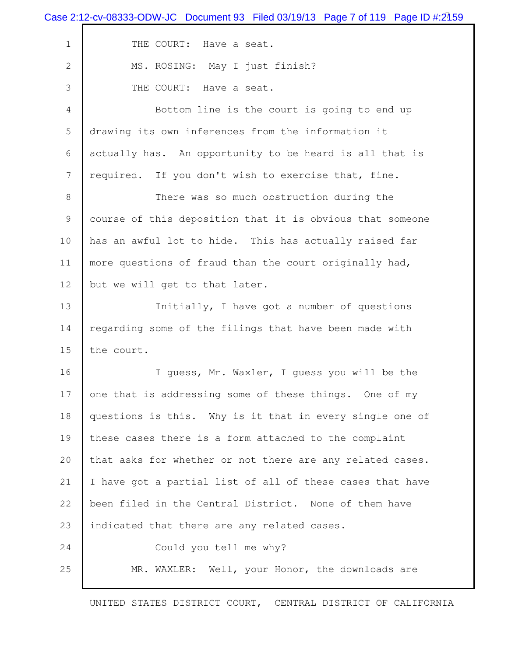| Case 2:12-cv-08333-ODW-JC Document 93 Filed 03/19/13 Page 7 of 119 Page ID #:2159 |
|-----------------------------------------------------------------------------------|
| THE COURT: Have a seat.                                                           |
| MS. ROSING: May I just finish?                                                    |
| THE COURT: Have a seat.                                                           |
| Bottom line is the court is going to end up                                       |
| drawing its own inferences from the information it                                |
| actually has. An opportunity to be heard is all that is                           |
| required. If you don't wish to exercise that, fine.                               |
| There was so much obstruction during the                                          |
| course of this deposition that it is obvious that someone                         |
| has an awful lot to hide. This has actually raised far                            |
| more questions of fraud than the court originally had,                            |
| but we will get to that later.                                                    |
| Initially, I have got a number of questions                                       |
| regarding some of the filings that have been made with                            |
| the court.                                                                        |
| I guess, Mr. Waxler, I guess you will be the                                      |
| one that is addressing some of these things. One of my                            |
| questions is this. Why is it that in every single one of                          |
| these cases there is a form attached to the complaint                             |
| that asks for whether or not there are any related cases.                         |
| I have got a partial list of all of these cases that have                         |
| been filed in the Central District. None of them have                             |
| indicated that there are any related cases.                                       |
| Could you tell me why?                                                            |
| MR. WAXLER: Well, your Honor, the downloads are                                   |
|                                                                                   |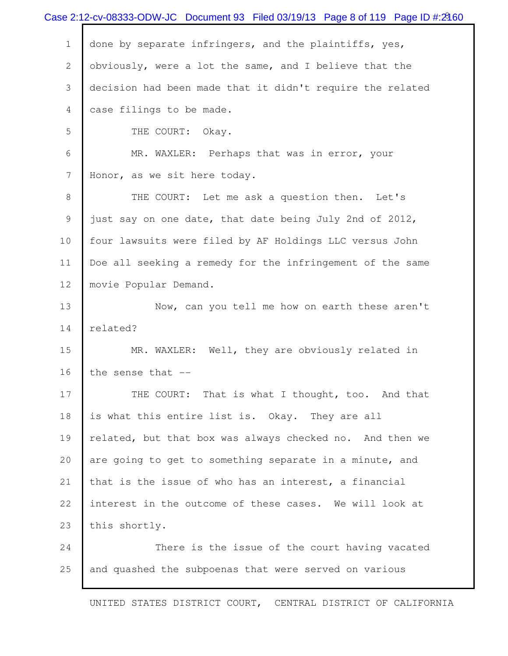|                | Case 2:12-cv-08333-ODW-JC Document 93 Filed 03/19/13 Page 8 of 119 Page ID #:2460 |
|----------------|-----------------------------------------------------------------------------------|
| $\mathbf 1$    | done by separate infringers, and the plaintiffs, yes,                             |
| $\overline{2}$ | obviously, were a lot the same, and I believe that the                            |
| 3              | decision had been made that it didn't require the related                         |
| 4              | case filings to be made.                                                          |
| 5              | THE COURT:<br>Okay.                                                               |
| 6              | MR. WAXLER: Perhaps that was in error, your                                       |
| $\overline{7}$ | Honor, as we sit here today.                                                      |
| $\,8\,$        | THE COURT: Let me ask a question then. Let's                                      |
| $\mathcal{G}$  | just say on one date, that date being July 2nd of 2012,                           |
| 10             | four lawsuits were filed by AF Holdings LLC versus John                           |
| 11             | Doe all seeking a remedy for the infringement of the same                         |
| 12             | movie Popular Demand.                                                             |
| 13             | Now, can you tell me how on earth these aren't                                    |
| 14             | related?                                                                          |
| 15             | MR. WAXLER: Well, they are obviously related in                                   |
| 16             | the sense that --                                                                 |
| 17             | THE COURT: That is what I thought, too. And that                                  |
| 18             | is what this entire list is. Okay. They are all                                   |
| 19             | related, but that box was always checked no. And then we                          |
| 20             | are going to get to something separate in a minute, and                           |
| 21             | that is the issue of who has an interest, a financial                             |
| 22             | interest in the outcome of these cases. We will look at                           |
| 23             | this shortly.                                                                     |
| 24             | There is the issue of the court having vacated                                    |
| 25             | and quashed the subpoenas that were served on various                             |
|                |                                                                                   |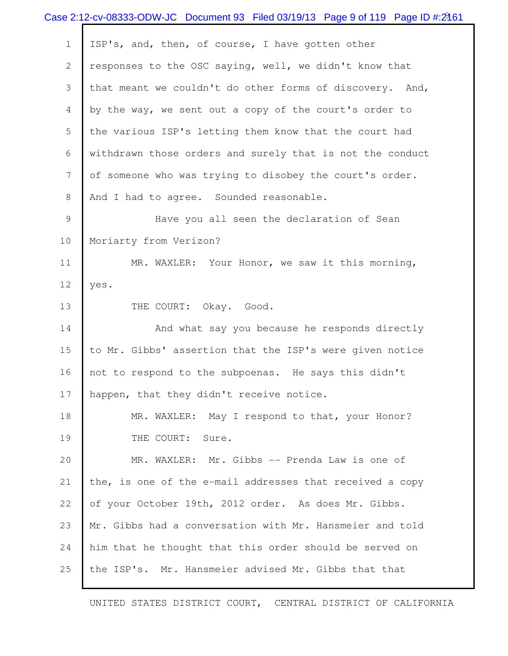|                | Case 2:12-cv-08333-ODW-JC Document 93 Filed 03/19/13 Page 9 of 119 Page ID #:2161 |
|----------------|-----------------------------------------------------------------------------------|
| $\mathbf 1$    | ISP's, and, then, of course, I have gotten other                                  |
| $\overline{2}$ | responses to the OSC saying, well, we didn't know that                            |
| 3              | that meant we couldn't do other forms of discovery. And,                          |
| 4              | by the way, we sent out a copy of the court's order to                            |
| 5              | the various ISP's letting them know that the court had                            |
| 6              | withdrawn those orders and surely that is not the conduct                         |
| $\overline{7}$ | of someone who was trying to disobey the court's order.                           |
| $\,8\,$        | And I had to agree. Sounded reasonable.                                           |
| $\mathcal{G}$  | Have you all seen the declaration of Sean                                         |
| 10             | Moriarty from Verizon?                                                            |
| 11             | MR. WAXLER: Your Honor, we saw it this morning,                                   |
| 12             | yes.                                                                              |
| 13             | THE COURT: Okay. Good.                                                            |
| 14             | And what say you because he responds directly                                     |
| 15             | to Mr. Gibbs' assertion that the ISP's were given notice                          |
| 16             | not to respond to the subpoenas. He says this didn't                              |
| 17             | happen, that they didn't receive notice.                                          |
| 18             | MR. WAXLER: May I respond to that, your Honor?                                    |
| 19             | THE COURT:<br>Sure.                                                               |
| 20             | MR. WAXLER: Mr. Gibbs -- Prenda Law is one of                                     |
| 21             | the, is one of the e-mail addresses that received a copy                          |
| 22             | of your October 19th, 2012 order. As does Mr. Gibbs.                              |
| 23             | Mr. Gibbs had a conversation with Mr. Hansmeier and told                          |
| 24             | him that he thought that this order should be served on                           |
| 25             | the ISP's. Mr. Hansmeier advised Mr. Gibbs that that                              |
|                |                                                                                   |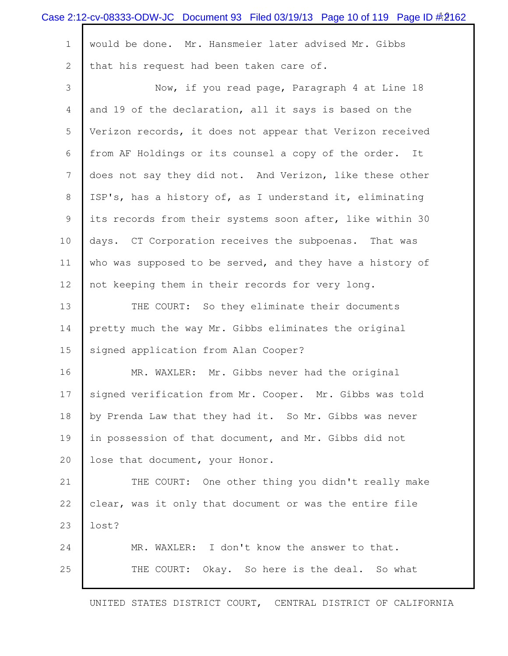|              | Case 2:12-cv-08333-ODW-JC Document 93 Filed 03/19/13 Page 10 of 119 Page ID #2162 |
|--------------|-----------------------------------------------------------------------------------|
| $\mathbf{1}$ | would be done. Mr. Hansmeier later advised Mr. Gibbs                              |
| $\mathbf{2}$ | that his request had been taken care of.                                          |
| 3            | Now, if you read page, Paragraph 4 at Line 18                                     |
| 4            | and 19 of the declaration, all it says is based on the                            |
| 5            | Verizon records, it does not appear that Verizon received                         |
| 6            | from AF Holdings or its counsel a copy of the order. It                           |
| 7            | does not say they did not. And Verizon, like these other                          |
| 8            | ISP's, has a history of, as I understand it, eliminating                          |
| 9            | its records from their systems soon after, like within 30                         |
| 10           | days. CT Corporation receives the subpoenas. That was                             |
| 11           | who was supposed to be served, and they have a history of                         |
| 12           | not keeping them in their records for very long.                                  |
| 13           | THE COURT: So they eliminate their documents                                      |
| 14           | pretty much the way Mr. Gibbs eliminates the original                             |
| 15           | signed application from Alan Cooper?                                              |
| 16           | Mr. Gibbs never had the original<br>MR. WAXLER:                                   |
| 17           | signed verification from Mr. Cooper. Mr. Gibbs was told                           |
| 18           | by Prenda Law that they had it. So Mr. Gibbs was never                            |
| 19           | in possession of that document, and Mr. Gibbs did not                             |
| 20           | lose that document, your Honor.                                                   |
| 21           | THE COURT: One other thing you didn't really make                                 |
| 22           | clear, was it only that document or was the entire file                           |
| 23           | lost?                                                                             |
| 24           | MR. WAXLER: I don't know the answer to that.                                      |
| 25           | Okay. So here is the deal. So what<br>THE COURT:                                  |
|              |                                                                                   |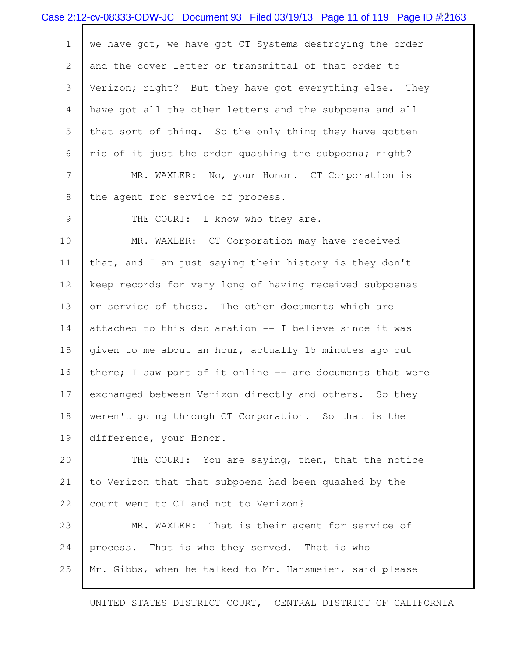|                | Case 2:12-cv-08333-ODW-JC Document 93 Filed 03/19/13 Page 11 of 119 Page ID #2163 |
|----------------|-----------------------------------------------------------------------------------|
| $\mathbf{1}$   | we have got, we have got CT Systems destroying the order                          |
| $\mathbf{2}$   | and the cover letter or transmittal of that order to                              |
| 3              | Verizon; right? But they have got everything else. They                           |
| 4              | have got all the other letters and the subpoena and all                           |
| 5              | that sort of thing. So the only thing they have gotten                            |
| 6              | rid of it just the order quashing the subpoena; right?                            |
| $\overline{7}$ | MR. WAXLER: No, your Honor. CT Corporation is                                     |
| 8              | the agent for service of process.                                                 |
| 9              | THE COURT: I know who they are.                                                   |
| 10             | MR. WAXLER: CT Corporation may have received                                      |
| 11             | that, and I am just saying their history is they don't                            |
| 12             | keep records for very long of having received subpoenas                           |
| 13             | or service of those. The other documents which are                                |
| 14             | attached to this declaration -- I believe since it was                            |
| 15             | given to me about an hour, actually 15 minutes ago out                            |
| 16             | there; I saw part of it online -- are documents that were                         |
| 17             | exchanged between Verizon directly and others. So they                            |
| 18             | weren't going through CT Corporation. So that is the                              |
| 19             | difference, your Honor.                                                           |
| 20             | THE COURT: You are saying, then, that the notice                                  |
| 21             | to Verizon that that subpoena had been quashed by the                             |
| 22             | court went to CT and not to Verizon?                                              |
| 23             | MR. WAXLER: That is their agent for service of                                    |
| 24             | process. That is who they served. That is who                                     |
| 25             | Mr. Gibbs, when he talked to Mr. Hansmeier, said please                           |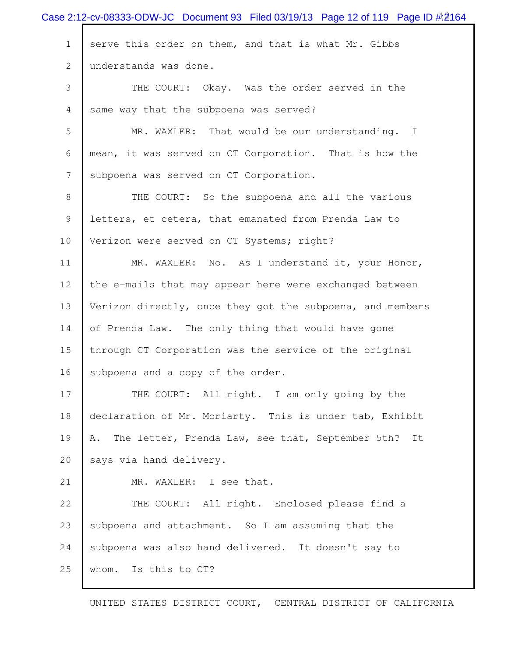|              | Case 2:12-cv-08333-ODW-JC Document 93 Filed 03/19/13 Page 12 of 119 Page ID $\#2164$ |
|--------------|--------------------------------------------------------------------------------------|
| $\mathbf 1$  | serve this order on them, and that is what Mr. Gibbs                                 |
| $\mathbf{2}$ | understands was done.                                                                |
| 3            | THE COURT: Okay. Was the order served in the                                         |
| 4            | same way that the subpoena was served?                                               |
| 5            | MR. WAXLER: That would be our understanding. I                                       |
| 6            | mean, it was served on CT Corporation. That is how the                               |
| 7            | subpoena was served on CT Corporation.                                               |
| 8            | THE COURT: So the subpoena and all the various                                       |
| 9            | letters, et cetera, that emanated from Prenda Law to                                 |
| 10           | Verizon were served on CT Systems; right?                                            |
| 11           | MR. WAXLER: No. As I understand it, your Honor,                                      |
| 12           | the e-mails that may appear here were exchanged between                              |
| 13           | Verizon directly, once they got the subpoena, and members                            |
| 14           | of Prenda Law. The only thing that would have gone                                   |
| 15           | through CT Corporation was the service of the original                               |
| 16           | subpoena and a copy of the order.                                                    |
| 17           | THE COURT: All right. I am only going by the                                         |
| 18           | declaration of Mr. Moriarty. This is under tab, Exhibit                              |
| 19           | The letter, Prenda Law, see that, September 5th? It<br>Α.                            |
| 20           | says via hand delivery.                                                              |
| 21           | MR. WAXLER: I see that.                                                              |
| 22           | THE COURT: All right. Enclosed please find a                                         |
| 23           | subpoena and attachment. So I am assuming that the                                   |
| 24           | subpoena was also hand delivered. It doesn't say to                                  |
| 25           | Is this to CT?<br>whom.                                                              |
|              |                                                                                      |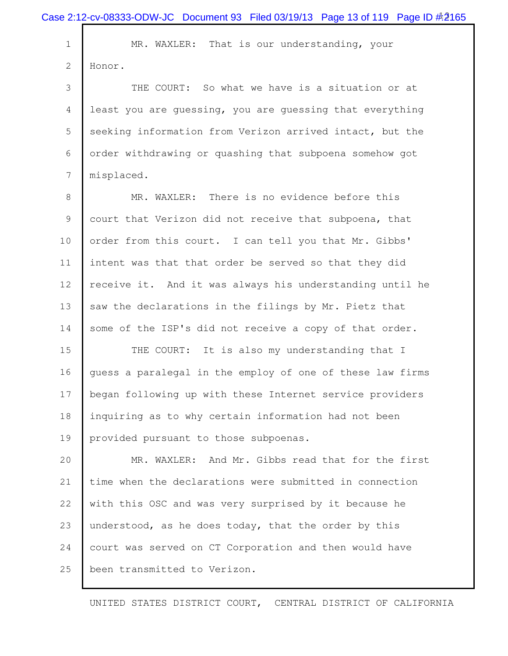|             | Case 2:12-cv-08333-ODW-JC Document 93 Filed 03/19/13 Page 13 of 119 Page ID #2165 |
|-------------|-----------------------------------------------------------------------------------|
| $\mathbf 1$ | MR. WAXLER: That is our understanding, your                                       |
| 2           | Honor.                                                                            |
| 3           | THE COURT: So what we have is a situation or at                                   |
| 4           | least you are quessing, you are quessing that everything                          |
| 5           | seeking information from Verizon arrived intact, but the                          |
| 6           | order withdrawing or quashing that subpoena somehow got                           |
| 7           | misplaced.                                                                        |
| 8           | MR. WAXLER: There is no evidence before this                                      |
| 9           | court that Verizon did not receive that subpoena, that                            |
| 10          | order from this court. I can tell you that Mr. Gibbs'                             |
| 11          | intent was that that order be served so that they did                             |
| 12          | receive it. And it was always his understanding until he                          |
| 13          | saw the declarations in the filings by Mr. Pietz that                             |
| 14          | some of the ISP's did not receive a copy of that order.                           |
| 15          | It is also my understanding that I<br>THE COURT:                                  |
| 16          | quess a paralegal in the employ of one of these law firms                         |
| 17          | began following up with these Internet service providers                          |
| 18          | inquiring as to why certain information had not been                              |
| 19          | provided pursuant to those subpoenas.                                             |
| 20          | MR. WAXLER: And Mr. Gibbs read that for the first                                 |
| 21          | time when the declarations were submitted in connection                           |
| 22          | with this OSC and was very surprised by it because he                             |
| 23          | understood, as he does today, that the order by this                              |
| 24          | court was served on CT Corporation and then would have                            |
| 25          | been transmitted to Verizon.                                                      |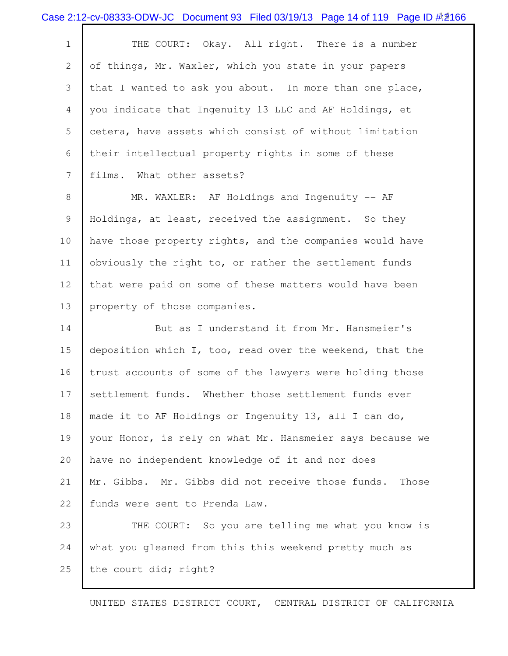|              | Case 2:12-cv-08333-ODW-JC Document 93 Filed 03/19/13 Page 14 of 119 Page ID #2166 |
|--------------|-----------------------------------------------------------------------------------|
| $\mathbf 1$  | THE COURT: Okay. All right. There is a number                                     |
| $\mathbf{2}$ | of things, Mr. Waxler, which you state in your papers                             |
| 3            | that I wanted to ask you about. In more than one place,                           |
| 4            | you indicate that Ingenuity 13 LLC and AF Holdings, et                            |
| 5            | cetera, have assets which consist of without limitation                           |
| 6            | their intellectual property rights in some of these                               |
| 7            | films. What other assets?                                                         |
| 8            | MR. WAXLER: AF Holdings and Ingenuity -- AF                                       |
| 9            | Holdings, at least, received the assignment. So they                              |
| 10           | have those property rights, and the companies would have                          |
| 11           | obviously the right to, or rather the settlement funds                            |
| 12           | that were paid on some of these matters would have been                           |
| 13           | property of those companies.                                                      |
| 14           | But as I understand it from Mr. Hansmeier's                                       |
| 15           | deposition which I, too, read over the weekend, that the                          |
| 16           | trust accounts of some of the lawyers were holding those                          |
| 17           | settlement funds. Whether those settlement funds ever                             |
| 18           | made it to AF Holdings or Ingenuity 13, all I can do,                             |
| 19           | your Honor, is rely on what Mr. Hansmeier says because we                         |
| 20           | have no independent knowledge of it and nor does                                  |
| 21           | Mr. Gibbs. Mr. Gibbs did not receive those funds.<br>Those                        |
| 22           | funds were sent to Prenda Law.                                                    |
| 23           | THE COURT: So you are telling me what you know is                                 |
| 24           | what you gleaned from this this weekend pretty much as                            |
| 25           | the court did; right?                                                             |
|              | UNITED STATES DISTRICT COURT, CENTRAL DISTRICT OF CALIFORNIA                      |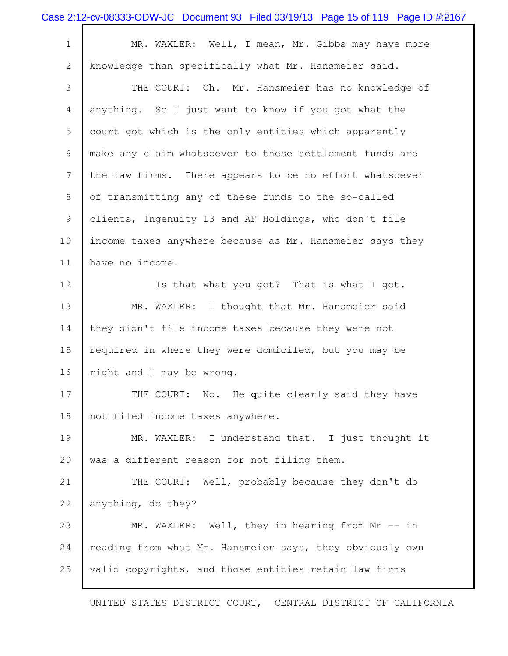|             | Case 2:12-cv-08333-ODW-JC Document 93 Filed 03/19/13 Page 15 of 119 Page ID #2167 |
|-------------|-----------------------------------------------------------------------------------|
| $\mathbf 1$ | MR. WAXLER: Well, I mean, Mr. Gibbs may have more                                 |
| 2           | knowledge than specifically what Mr. Hansmeier said.                              |
| 3           | THE COURT: Oh. Mr. Hansmeier has no knowledge of                                  |
| 4           | anything. So I just want to know if you got what the                              |
| 5           | court got which is the only entities which apparently                             |
| 6           | make any claim whatsoever to these settlement funds are                           |
| 7           | the law firms. There appears to be no effort whatsoever                           |
| 8           | of transmitting any of these funds to the so-called                               |
| 9           | clients, Ingenuity 13 and AF Holdings, who don't file                             |
| 10          | income taxes anywhere because as Mr. Hansmeier says they                          |
| 11          | have no income.                                                                   |
| 12          | Is that what you got? That is what I got.                                         |
| 13          | MR. WAXLER: I thought that Mr. Hansmeier said                                     |
| 14          | they didn't file income taxes because they were not                               |
| 15          | required in where they were domiciled, but you may be                             |
| 16          | right and I may be wrong.                                                         |
| 17          | THE COURT: No. He quite clearly said they have                                    |
| 18          | not filed income taxes anywhere.                                                  |
| 19          | MR. WAXLER: I understand that. I just thought it                                  |
| 20          | was a different reason for not filing them.                                       |
| 21          | THE COURT: Well, probably because they don't do                                   |
| 22          | anything, do they?                                                                |
| 23          | MR. WAXLER: Well, they in hearing from Mr -- in                                   |
| 24          | reading from what Mr. Hansmeier says, they obviously own                          |
| 25          | valid copyrights, and those entities retain law firms                             |
|             |                                                                                   |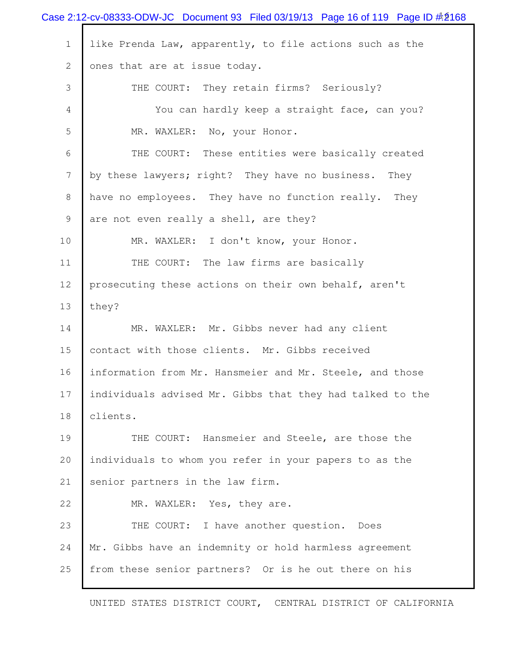|                 | Case 2:12-cv-08333-ODW-JC Document 93 Filed 03/19/13 Page 16 of 119 Page ID $\#2168$ |
|-----------------|--------------------------------------------------------------------------------------|
| $\mathbf 1$     | like Prenda Law, apparently, to file actions such as the                             |
| $\mathbf{2}$    | ones that are at issue today.                                                        |
| 3               | THE COURT: They retain firms? Seriously?                                             |
| 4               | You can hardly keep a straight face, can you?                                        |
| 5               | MR. WAXLER: No, your Honor.                                                          |
| 6               | THE COURT: These entities were basically created                                     |
| $7\phantom{.0}$ | by these lawyers; right? They have no business. They                                 |
| 8               | have no employees. They have no function really. They                                |
| 9               | are not even really a shell, are they?                                               |
| 10              | MR. WAXLER: I don't know, your Honor.                                                |
| 11              | THE COURT: The law firms are basically                                               |
| 12              | prosecuting these actions on their own behalf, aren't                                |
| 13              | they?                                                                                |
| 14              | MR. WAXLER: Mr. Gibbs never had any client                                           |
| 15              | contact with those clients. Mr. Gibbs received                                       |
| 16              | information from Mr. Hansmeier and Mr. Steele, and those                             |
| 17              | individuals advised Mr. Gibbs that they had talked to the                            |
| 18              | clients.                                                                             |
| 19              | THE COURT: Hansmeier and Steele, are those the                                       |
| 20              | individuals to whom you refer in your papers to as the                               |
| 21              | senior partners in the law firm.                                                     |
| 22              | MR. WAXLER: Yes, they are.                                                           |
| 23              | THE COURT: I have another question. Does                                             |
| 24              | Mr. Gibbs have an indemnity or hold harmless agreement                               |
| 25              | from these senior partners? Or is he out there on his                                |
|                 |                                                                                      |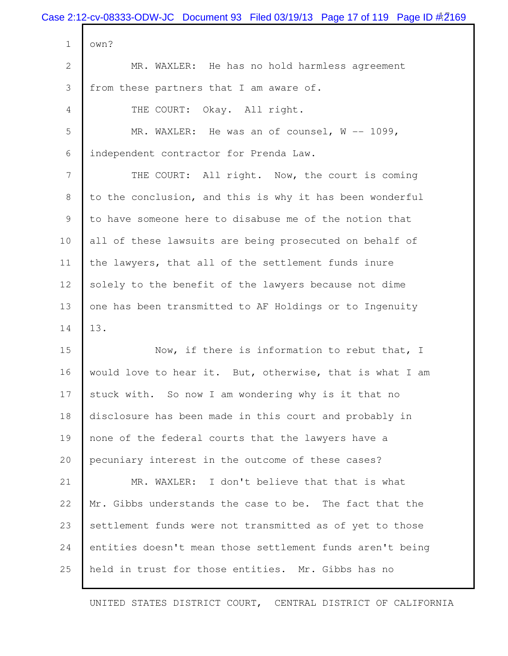| Case 2:12-cv-08333-ODW-JC Document 93 Filed 03/19/13 Page 17 of 119 Page ID #2169 |
|-----------------------------------------------------------------------------------|
| own?                                                                              |
| MR. WAXLER: He has no hold harmless agreement                                     |
| from these partners that I am aware of.                                           |
| THE COURT: Okay. All right.                                                       |
| MR. WAXLER: He was an of counsel, $W$ -- 1099,                                    |
| independent contractor for Prenda Law.                                            |
| THE COURT: All right. Now, the court is coming                                    |
| to the conclusion, and this is why it has been wonderful                          |
| to have someone here to disabuse me of the notion that                            |
| all of these lawsuits are being prosecuted on behalf of                           |
| the lawyers, that all of the settlement funds inure                               |
| solely to the benefit of the lawyers because not dime                             |
| one has been transmitted to AF Holdings or to Ingenuity                           |
| 13.                                                                               |
| Now, if there is information to rebut that, I                                     |
| would love to hear it. But, otherwise, that is what I am                          |
| stuck with. So now I am wondering why is it that no                               |
| disclosure has been made in this court and probably in                            |
| none of the federal courts that the lawyers have a                                |
| pecuniary interest in the outcome of these cases?                                 |
| MR. WAXLER: I don't believe that that is what                                     |
| Mr. Gibbs understands the case to be. The fact that the                           |
| settlement funds were not transmitted as of yet to those                          |
| entities doesn't mean those settlement funds aren't being                         |
| held in trust for those entities. Mr. Gibbs has no                                |
|                                                                                   |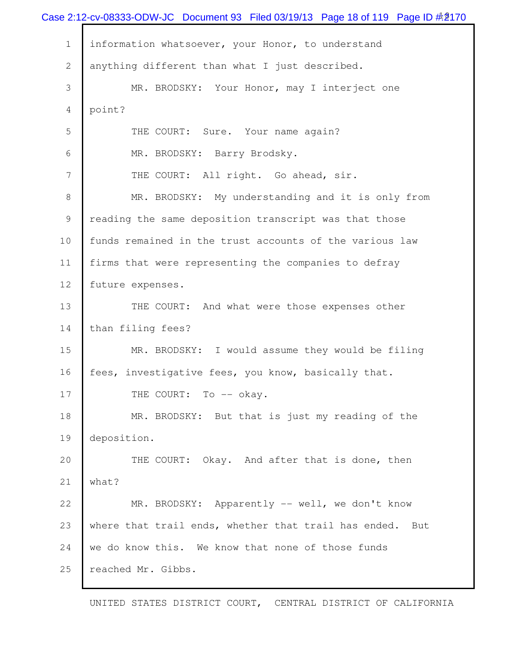|                | Case 2:12-cv-08333-ODW-JC Document 93 Filed 03/19/13 Page 18 of 119 Page ID $\#2$ 170 |
|----------------|---------------------------------------------------------------------------------------|
| $\mathbf 1$    | information whatsoever, your Honor, to understand                                     |
| 2              | anything different than what I just described.                                        |
| 3              | MR. BRODSKY: Your Honor, may I interject one                                          |
| 4              | point?                                                                                |
| 5              | THE COURT: Sure. Your name again?                                                     |
| 6              | MR. BRODSKY: Barry Brodsky.                                                           |
| $\overline{7}$ | THE COURT: All right. Go ahead, sir.                                                  |
| 8              | MR. BRODSKY: My understanding and it is only from                                     |
| 9              | reading the same deposition transcript was that those                                 |
| 10             | funds remained in the trust accounts of the various law                               |
| 11             | firms that were representing the companies to defray                                  |
| 12             | future expenses.                                                                      |
| 13             | THE COURT: And what were those expenses other                                         |
| 14             | than filing fees?                                                                     |
| 15             | MR. BRODSKY: I would assume they would be filing                                      |
| 16             | fees, investigative fees, you know, basically that.                                   |
| 17             | THE COURT: To -- okay.                                                                |
| 18             | MR. BRODSKY: But that is just my reading of the                                       |
| 19             | deposition.                                                                           |
| 20             | THE COURT: Okay. And after that is done, then                                         |
| 21             | what?                                                                                 |
| 22             | MR. BRODSKY: Apparently -- well, we don't know                                        |
| 23             | where that trail ends, whether that trail has ended. But                              |
| 24             | we do know this. We know that none of those funds                                     |
| 25             | reached Mr. Gibbs.                                                                    |
|                |                                                                                       |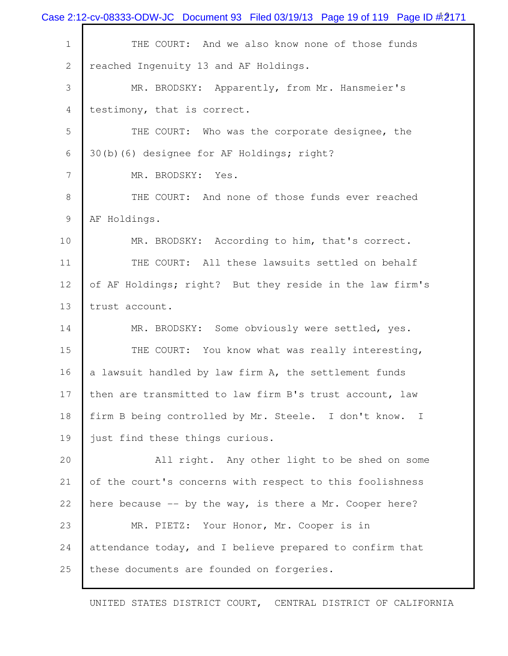Case 2:12-cv-08333-ODW-JC Document 93 Filed 03/19/13 Page 19 of 119 Page ID #2171 1 THE COURT: And we also know none of those funds reached Ingenuity 13 and AF Holdings. MR. BRODSKY: Apparently, from Mr. Hansmeier's 4 testimony, that is correct. THE COURT: Who was the corporate designee, the 30(b)(6) designee for AF Holdings; right? 7 MR. BRODSKY: Yes. 8 THE COURT: And none of those funds ever reached AF Holdings. 10 MR. BRODSKY: According to him, that's correct. THE COURT: All these lawsuits settled on behalf of AF Holdings; right? But they reside in the law firm's trust account. MR. BRODSKY: Some obviously were settled, yes. 15 THE COURT: You know what was really interesting, 16 a lawsuit handled by law firm A, the settlement funds then are transmitted to law firm B's trust account, law firm B being controlled by Mr. Steele. I don't know. I 19 just find these things curious. All right. Any other light to be shed on some of the court's concerns with respect to this foolishness here because -- by the way, is there a Mr. Cooper here? MR. PIETZ: Your Honor, Mr. Cooper is in attendance today, and I believe prepared to confirm that 25 these documents are founded on forgeries.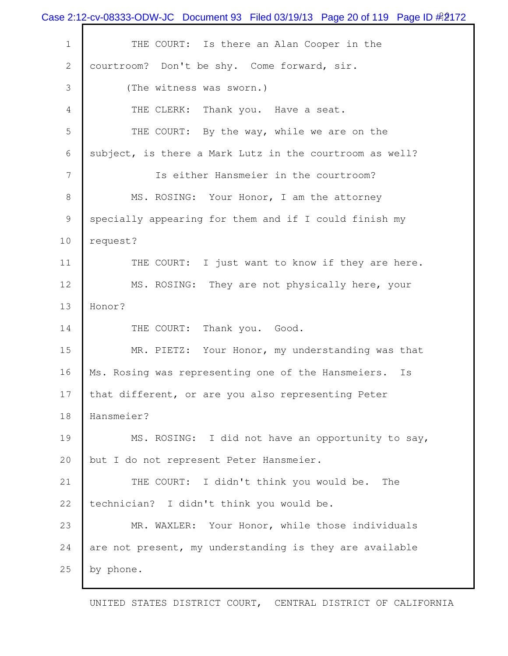Case 2:12-cv-08333-ODW-JC Document 93 Filed 03/19/13 Page 20 of 119 Page ID #2172 1 THE COURT: Is there an Alan Cooper in the 2 | courtroom? Don't be shy. Come forward, sir. 3 (The witness was sworn.) 4 THE CLERK: Thank you. Have a seat. 5 THE COURT: By the way, while we are on the 6 subject, is there a Mark Lutz in the courtroom as well? 7 Is either Hansmeier in the courtroom? 8 MS. ROSING: Your Honor, I am the attorney 9 specially appearing for them and if I could finish my 10 request? 11 THE COURT: I just want to know if they are here. 12 MS. ROSING: They are not physically here, your 13 Honor? 14 THE COURT: Thank you. Good. 15 MR. PIETZ: Your Honor, my understanding was that 16 Ms. Rosing was representing one of the Hansmeiers. Is 17 that different, or are you also representing Peter 18 Hansmeier? 19 MS. ROSING: I did not have an opportunity to say, 20 but I do not represent Peter Hansmeier. 21 THE COURT: I didn't think you would be. The 22 technician? I didn't think you would be. 23 MR. WAXLER: Your Honor, while those individuals 24 are not present, my understanding is they are available 25 by phone.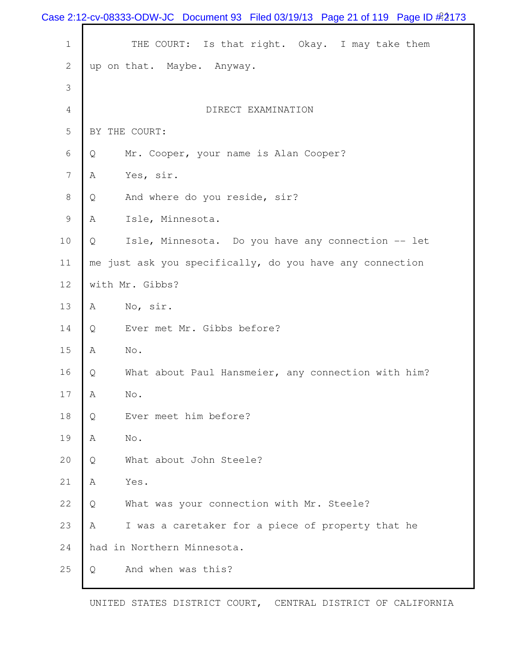|             | Case 2:12-cv-08333-ODW-JC Document 93 Filed 03/19/13 Page 21 of 119 Page ID #2173 |
|-------------|-----------------------------------------------------------------------------------|
| $\mathbf 1$ | THE COURT: Is that right. Okay. I may take them                                   |
| 2           | up on that. Maybe. Anyway.                                                        |
| 3           |                                                                                   |
| 4           | DIRECT EXAMINATION                                                                |
| 5           | BY THE COURT:                                                                     |
| 6           | Mr. Cooper, your name is Alan Cooper?<br>Q                                        |
| 7           | Yes, sir.<br>A                                                                    |
| 8           | And where do you reside, sir?<br>Q                                                |
| 9           | Isle, Minnesota.<br>A                                                             |
| 10          | Isle, Minnesota. Do you have any connection -- let<br>Q                           |
| 11          | me just ask you specifically, do you have any connection                          |
| 12          | with Mr. Gibbs?                                                                   |
| 13          | No, sir.<br>Α                                                                     |
| 14          | Ever met Mr. Gibbs before?<br>Q                                                   |
| 15          | No.<br>A                                                                          |
| 16          | What about Paul Hansmeier, any connection with him?<br>Q                          |
| 17          | $\mathrm{No}$ .<br>A                                                              |
| 18          | Ever meet him before?<br>Q                                                        |
| 19          | Α<br>No.                                                                          |
| 20          | What about John Steele?<br>Q                                                      |
| 21          | Α<br>Yes.                                                                         |
| 22          | What was your connection with Mr. Steele?<br>Q                                    |
| 23          | I was a caretaker for a piece of property that he<br>A                            |
| 24          | had in Northern Minnesota.                                                        |
| 25          | And when was this?<br>Q                                                           |
|             |                                                                                   |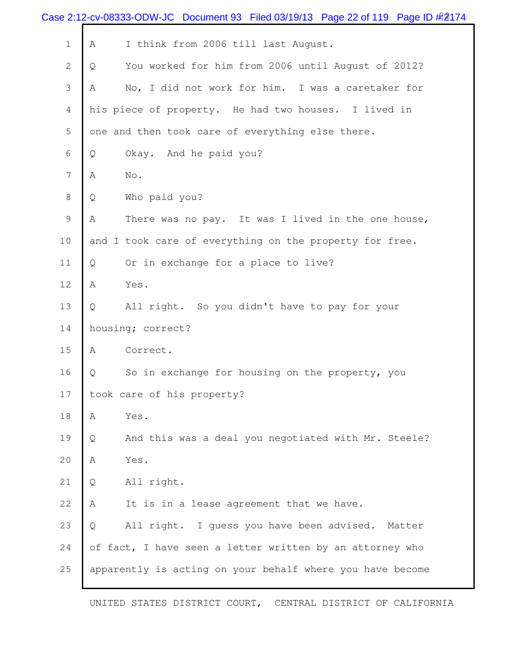| Case 2:12-cv-08333-ODW-JC Document 93 Filed 03/19/13 Page 22 of 119 Page ID $\#2174$ |                                                           |
|--------------------------------------------------------------------------------------|-----------------------------------------------------------|
| $\mathbf 1$                                                                          | I think from 2006 till last August.<br>Α                  |
| 2                                                                                    | You worked for him from 2006 until August of 2012?<br>Q   |
| 3                                                                                    | No, I did not work for him. I was a caretaker for<br>A    |
| 4                                                                                    | his piece of property. He had two houses. I lived in      |
| 5                                                                                    | one and then took care of everything else there.          |
| 6                                                                                    | Okay. And he paid you?<br>Q                               |
| 7                                                                                    | No.<br>Α                                                  |
| 8                                                                                    | Who paid you?<br>Q                                        |
| 9                                                                                    | There was no pay. It was I lived in the one house,<br>Α   |
| 10                                                                                   | and I took care of everything on the property for free.   |
| 11                                                                                   | Or in exchange for a place to live?<br>Q                  |
| 12                                                                                   | Yes.<br>Α                                                 |
| 13                                                                                   | All right. So you didn't have to pay for your<br>Q        |
| 14                                                                                   | housing; correct?                                         |
| 15                                                                                   | Correct.<br>Α                                             |
| 16                                                                                   | So in exchange for housing on the property, you<br>Q      |
| 17                                                                                   | took care of his property?                                |
| 18                                                                                   | Yes.<br>Α                                                 |
| 19                                                                                   | And this was a deal you negotiated with Mr. Steele?<br>Q  |
| 20                                                                                   | Yes.<br>Α                                                 |
| 21                                                                                   | All right.<br>Q                                           |
| 22                                                                                   | It is in a lease agreement that we have.<br>Α             |
| 23                                                                                   | All right. I guess you have been advised. Matter<br>Q     |
| 24                                                                                   | of fact, I have seen a letter written by an attorney who  |
| 25                                                                                   | apparently is acting on your behalf where you have become |
|                                                                                      |                                                           |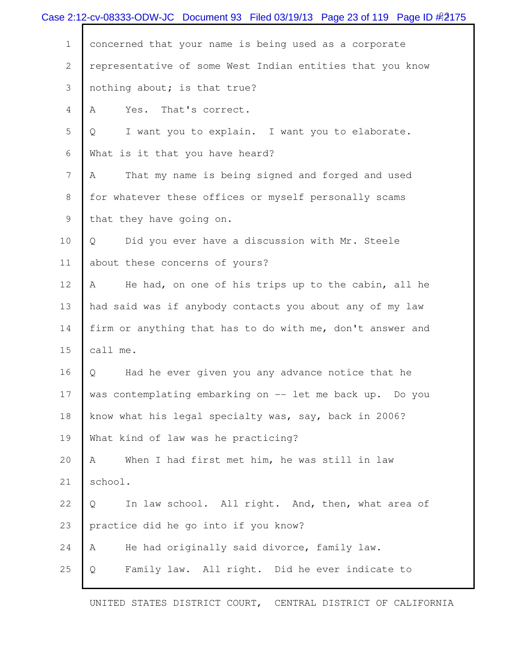|                | Case 2:12-cv-08333-ODW-JC Document 93 Filed 03/19/13 Page 23 of 119 Page ID $\#2175$ |
|----------------|--------------------------------------------------------------------------------------|
| $\mathbf 1$    | concerned that your name is being used as a corporate                                |
| $\mathbf{2}$   | representative of some West Indian entities that you know                            |
| 3              | nothing about; is that true?                                                         |
| 4              | That's correct.<br>Α<br>Yes.                                                         |
| 5              | I want you to explain. I want you to elaborate.<br>Q                                 |
| 6              | What is it that you have heard?                                                      |
| $\overline{7}$ | That my name is being signed and forged and used<br>A                                |
| 8              | for whatever these offices or myself personally scams                                |
| 9              | that they have going on.                                                             |
| 10             | Did you ever have a discussion with Mr. Steele<br>Q                                  |
| 11             | about these concerns of yours?                                                       |
| 12             | He had, on one of his trips up to the cabin, all he<br>A                             |
| 13             | had said was if anybody contacts you about any of my law                             |
| 14             | firm or anything that has to do with me, don't answer and                            |
| 15             | call me.                                                                             |
| 16             | Had he ever given you any advance notice that he<br>Q                                |
| 17             | was contemplating embarking on -- let me back up. Do you                             |
| 18             | know what his legal specialty was, say, back in 2006?                                |
| 19             | What kind of law was he practicing?                                                  |
| 20             | When I had first met him, he was still in law<br>A                                   |
| 21             | school.                                                                              |
| 22             | In law school. All right. And, then, what area of<br>Q                               |
| 23             | practice did he go into if you know?                                                 |
| 24             | He had originally said divorce, family law.<br>Α                                     |
| 25             | Family law. All right. Did he ever indicate to<br>Q                                  |
|                |                                                                                      |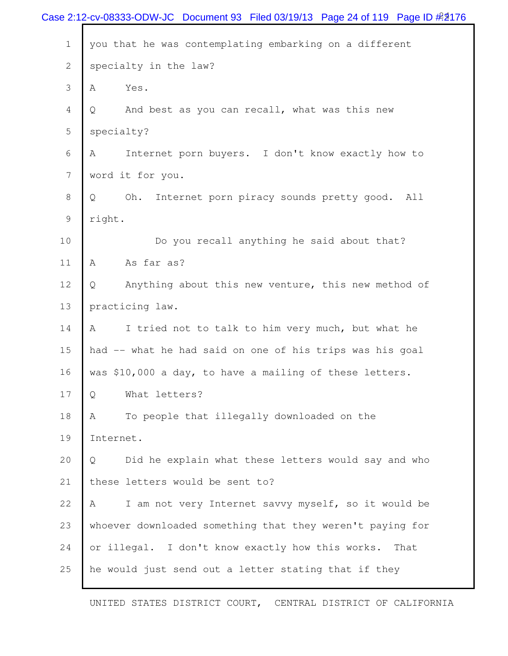|                | Case 2:12-cv-08333-ODW-JC Document 93 Filed 03/19/13 Page 24 of 119 Page ID #2176 |
|----------------|-----------------------------------------------------------------------------------|
| $\mathbf 1$    | you that he was contemplating embarking on a different                            |
| $\overline{2}$ | specialty in the law?                                                             |
| 3              | Yes.<br>A                                                                         |
| 4              | And best as you can recall, what was this new<br>Q                                |
| 5              | specialty?                                                                        |
| 6              | Internet porn buyers. I don't know exactly how to<br>A                            |
| 7              | word it for you.                                                                  |
| 8              | Internet porn piracy sounds pretty good. All<br>Oh.<br>Q                          |
| 9              | right.                                                                            |
| 10             | Do you recall anything he said about that?                                        |
| 11             | As far as?<br>A                                                                   |
| 12             | Anything about this new venture, this new method of<br>Q                          |
| 13             | practicing law.                                                                   |
| 14             | I tried not to talk to him very much, but what he<br>Α                            |
| 15             | had -- what he had said on one of his trips was his goal                          |
| 16             | was \$10,000 a day, to have a mailing of these letters.                           |
| 17             | What letters?<br>Q                                                                |
| 18             | To people that illegally downloaded on the<br>Α                                   |
| 19             | Internet.                                                                         |
| 20             | Did he explain what these letters would say and who<br>Q                          |
| 21             | these letters would be sent to?                                                   |
| 22             | I am not very Internet savvy myself, so it would be<br>A                          |
| 23             | whoever downloaded something that they weren't paying for                         |
| 24             | or illegal. I don't know exactly how this works.<br>That                          |
| 25             | he would just send out a letter stating that if they                              |
|                |                                                                                   |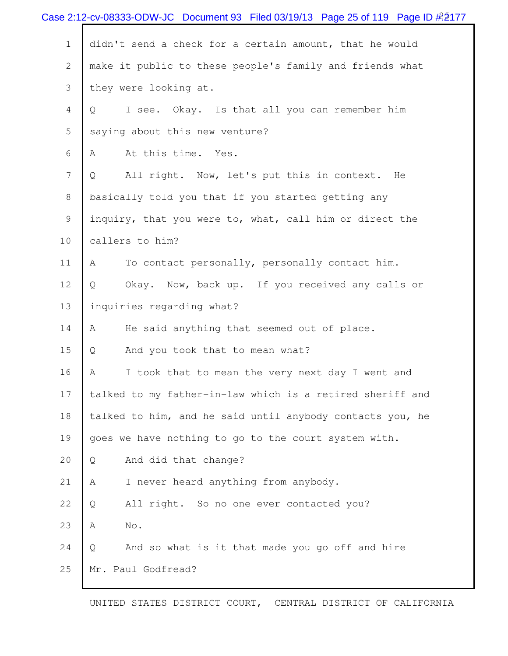|                | Case 2:12-cv-08333-ODW-JC Document 93 Filed 03/19/13 Page 25 of 119 Page ID $\frac{\cancel{0.25}}{\cancel{0.25}}$ |
|----------------|-------------------------------------------------------------------------------------------------------------------|
| $\mathbf 1$    | didn't send a check for a certain amount, that he would                                                           |
| $\mathbf{2}$   | make it public to these people's family and friends what                                                          |
| 3              | they were looking at.                                                                                             |
| 4              | I see. Okay. Is that all you can remember him<br>Q                                                                |
| 5              | saying about this new venture?                                                                                    |
| 6              | At this time. Yes.<br>Α                                                                                           |
| $7\phantom{.}$ | All right. Now, let's put this in context. He<br>Q                                                                |
| 8              | basically told you that if you started getting any                                                                |
| 9              | inquiry, that you were to, what, call him or direct the                                                           |
| 10             | callers to him?                                                                                                   |
| 11             | To contact personally, personally contact him.<br>Α                                                               |
| 12             | Okay. Now, back up. If you received any calls or<br>Q                                                             |
| 13             | inquiries regarding what?                                                                                         |
| 14             | He said anything that seemed out of place.<br>Α                                                                   |
| 15             | And you took that to mean what?<br>Q                                                                              |
| 16             | I took that to mean the very next day I went and<br>Α                                                             |
| 17             | talked to my father-in-law which is a retired sheriff and                                                         |
| 18             | talked to him, and he said until anybody contacts you, he                                                         |
| 19             | goes we have nothing to go to the court system with.                                                              |
| 20             | And did that change?<br>Q                                                                                         |
| 21             | A<br>I never heard anything from anybody.                                                                         |
| 22             | All right. So no one ever contacted you?<br>Q                                                                     |
| 23             | No.<br>Α                                                                                                          |
| 24             | $\mathsf{Q}$<br>And so what is it that made you go off and hire                                                   |
| 25             | Mr. Paul Godfread?                                                                                                |
|                |                                                                                                                   |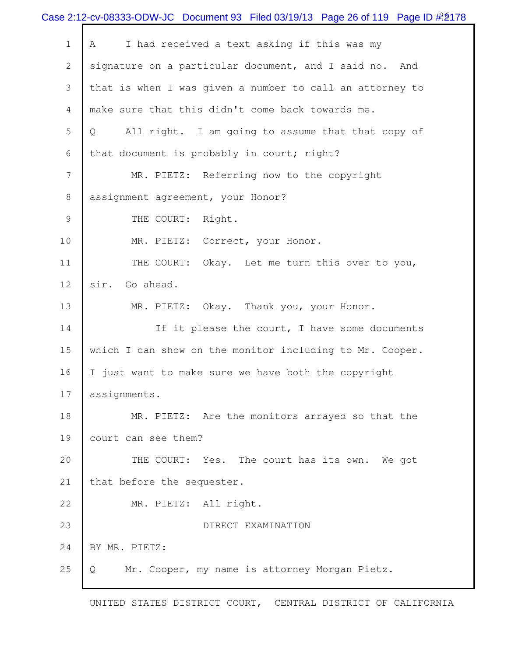|                | Case 2:12-cv-08333-ODW-JC Document 93 Filed 03/19/13 Page 26 of 119 Page ID $\#2178$ |
|----------------|--------------------------------------------------------------------------------------|
| $\mathbf 1$    | I had received a text asking if this was my<br>A                                     |
| $\mathbf{2}$   | signature on a particular document, and I said no. And                               |
| 3              | that is when I was given a number to call an attorney to                             |
| $\overline{4}$ | make sure that this didn't come back towards me.                                     |
| 5              | All right. I am going to assume that that copy of<br>Q                               |
| 6              | that document is probably in court; right?                                           |
| 7              | MR. PIETZ: Referring now to the copyright                                            |
| 8              | assignment agreement, your Honor?                                                    |
| 9              | THE COURT: Right.                                                                    |
| 10             | MR. PIETZ: Correct, your Honor.                                                      |
| 11             | THE COURT: Okay. Let me turn this over to you,                                       |
| 12             | sir. Go ahead.                                                                       |
| 13             | MR. PIETZ: Okay. Thank you, your Honor.                                              |
| 14             | If it please the court, I have some documents                                        |
| 15             | which I can show on the monitor including to Mr. Cooper.                             |
| 16             | I just want to make sure we have both the copyright                                  |
| 17             | assignments.                                                                         |
| 18             | MR. PIETZ: Are the monitors arrayed so that the                                      |
| 19             | court can see them?                                                                  |
| 20             | THE COURT: Yes. The court has its own. We got                                        |
| 21             | that before the sequester.                                                           |
| 22             | MR. PIETZ: All right.                                                                |
| 23             | DIRECT EXAMINATION                                                                   |
| 24             | BY MR. PIETZ:                                                                        |
| 25             | Mr. Cooper, my name is attorney Morgan Pietz.<br>Q                                   |
|                |                                                                                      |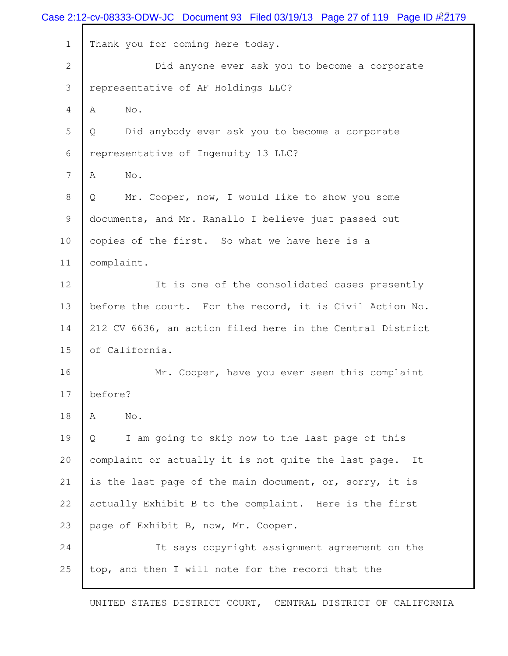|              | Case 2:12-cv-08333-ODW-JC Document 93 Filed 03/19/13 Page 27 of 119 Page ID $\#2179$ |
|--------------|--------------------------------------------------------------------------------------|
| $\mathbf{1}$ | Thank you for coming here today.                                                     |
| $\mathbf{2}$ | Did anyone ever ask you to become a corporate                                        |
| 3            | representative of AF Holdings LLC?                                                   |
| 4            | No.<br>A                                                                             |
| 5            | Did anybody ever ask you to become a corporate<br>Q                                  |
| 6            | representative of Ingenuity 13 LLC?                                                  |
| 7            | No.<br>A                                                                             |
| 8            | Mr. Cooper, now, I would like to show you some<br>Q                                  |
| 9            | documents, and Mr. Ranallo I believe just passed out                                 |
| 10           | copies of the first. So what we have here is a                                       |
| 11           | complaint.                                                                           |
| 12           | It is one of the consolidated cases presently                                        |
| 13           | before the court. For the record, it is Civil Action No.                             |
| 14           | 212 CV 6636, an action filed here in the Central District                            |
| 15           | of California.                                                                       |
| 16           | Mr. Cooper, have you ever seen this complaint                                        |
| 17           | before?                                                                              |
| 18           | No.<br>A                                                                             |
| 19           | I am going to skip now to the last page of this<br>Q                                 |
| 20           | complaint or actually it is not quite the last page. It                              |
| 21           | is the last page of the main document, or, sorry, it is                              |
| 22           | actually Exhibit B to the complaint. Here is the first                               |
| 23           | page of Exhibit B, now, Mr. Cooper.                                                  |
| 24           | It says copyright assignment agreement on the                                        |
| 25           | top, and then I will note for the record that the                                    |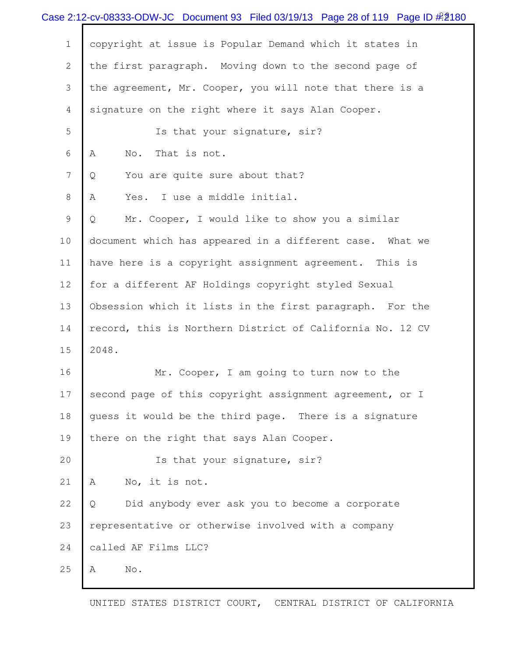|              | Case 2:12-cv-08333-ODW-JC Document 93 Filed 03/19/13 Page 28 of 119 Page ID #2180 |
|--------------|-----------------------------------------------------------------------------------|
| $\mathbf{1}$ | copyright at issue is Popular Demand which it states in                           |
| 2            | the first paragraph. Moving down to the second page of                            |
| 3            | the agreement, Mr. Cooper, you will note that there is a                          |
| 4            | signature on the right where it says Alan Cooper.                                 |
| 5            | Is that your signature, sir?                                                      |
| 6            | That is not.<br>No.<br>A                                                          |
| 7            | You are quite sure about that?<br>Q                                               |
| 8            | Yes. I use a middle initial.<br>Α                                                 |
| 9            | Mr. Cooper, I would like to show you a similar<br>Q                               |
| 10           | document which has appeared in a different case. What we                          |
| 11           | have here is a copyright assignment agreement. This is                            |
| 12           | for a different AF Holdings copyright styled Sexual                               |
| 13           | Obsession which it lists in the first paragraph. For the                          |
| 14           | record, this is Northern District of California No. 12 CV                         |
| 15           | 2048.                                                                             |
| 16           | Mr. Cooper, I am going to turn now to the                                         |
| 17           | second page of this copyright assignment agreement, or I                          |
| 18           | quess it would be the third page. There is a signature                            |
| 19           | there on the right that says Alan Cooper.                                         |
| 20           | Is that your signature, sir?                                                      |
| 21           | No, it is not.<br>A                                                               |
| 22           | Did anybody ever ask you to become a corporate<br>Q                               |
| 23           | representative or otherwise involved with a company                               |
| 24           | called AF Films LLC?                                                              |
| 25           | No.<br>Α                                                                          |
|              |                                                                                   |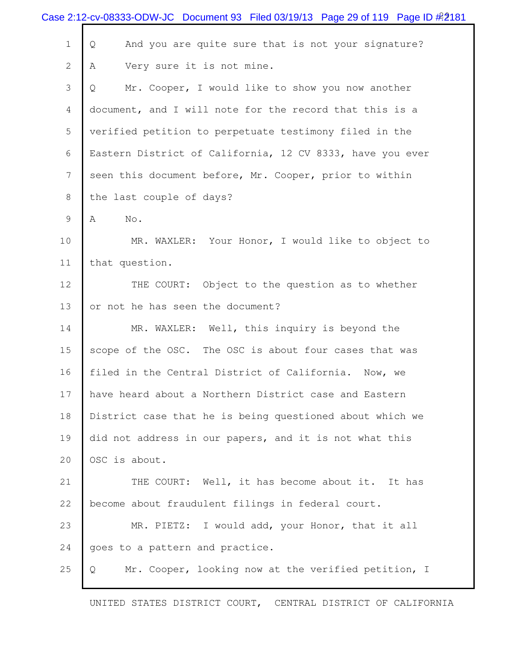|                 | Case 2:12-cv-08333-ODW-JC Document 93 Filed 03/19/13 Page 29 of 119 Page ID #2181 |
|-----------------|-----------------------------------------------------------------------------------|
| $1\,$           | And you are quite sure that is not your signature?<br>Q                           |
| $\mathbf{2}$    | Very sure it is not mine.<br>A                                                    |
| 3               | Mr. Cooper, I would like to show you now another<br>Q                             |
| $\overline{4}$  | document, and I will note for the record that this is a                           |
| 5               | verified petition to perpetuate testimony filed in the                            |
| 6               | Eastern District of California, 12 CV 8333, have you ever                         |
| $7\phantom{.0}$ | seen this document before, Mr. Cooper, prior to within                            |
| 8               | the last couple of days?                                                          |
| 9               | Α<br>No.                                                                          |
| 10              | MR. WAXLER: Your Honor, I would like to object to                                 |
| 11              | that question.                                                                    |
| 12              | THE COURT: Object to the question as to whether                                   |
| 13              | or not he has seen the document?                                                  |
| 14              | MR. WAXLER: Well, this inquiry is beyond the                                      |
| 15              | scope of the OSC. The OSC is about four cases that was                            |
| 16              | filed in the Central District of California. Now, we                              |
| 17              | have heard about a Northern District case and Eastern                             |
| 18              | District case that he is being questioned about which we                          |
| 19              | did not address in our papers, and it is not what this                            |
| 20              | OSC is about.                                                                     |
| 21              | THE COURT: Well, it has become about it. It has                                   |
| 22              | become about fraudulent filings in federal court.                                 |
| 23              | MR. PIETZ: I would add, your Honor, that it all                                   |
| 24              | goes to a pattern and practice.                                                   |
| 25              | Mr. Cooper, looking now at the verified petition, I<br>Q                          |
|                 |                                                                                   |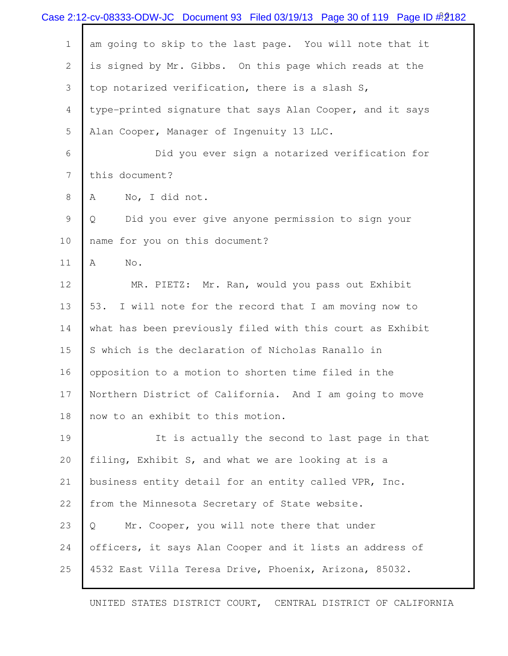|                | Case 2:12-cv-08333-ODW-JC Document 93 Filed 03/19/13 Page 30 of 119 Page ID $\frac{\text{\#}}{\text{\#}}2182$ |
|----------------|---------------------------------------------------------------------------------------------------------------|
| $\mathbf 1$    | am going to skip to the last page. You will note that it                                                      |
| $\overline{2}$ | is signed by Mr. Gibbs. On this page which reads at the                                                       |
| 3              | top notarized verification, there is a slash S,                                                               |
| 4              | type-printed signature that says Alan Cooper, and it says                                                     |
| 5              | Alan Cooper, Manager of Ingenuity 13 LLC.                                                                     |
| 6              | Did you ever sign a notarized verification for                                                                |
| 7              | this document?                                                                                                |
| 8              | No, I did not.<br>Α                                                                                           |
| 9              | Did you ever give anyone permission to sign your<br>Q                                                         |
| 10             | name for you on this document?                                                                                |
| 11             | No.<br>A                                                                                                      |
| 12             | MR. PIETZ: Mr. Ran, would you pass out Exhibit                                                                |
| 13             | 53.<br>I will note for the record that I am moving now to                                                     |
| 14             | what has been previously filed with this court as Exhibit                                                     |
| 15             | S which is the declaration of Nicholas Ranallo in                                                             |
| 16             | opposition to a motion to shorten time filed in the                                                           |
| 17             | Northern District of California. And I am going to move                                                       |
| 18             | now to an exhibit to this motion.                                                                             |
| 19             | It is actually the second to last page in that                                                                |
| 20             | filing, Exhibit S, and what we are looking at is a                                                            |
| 21             | business entity detail for an entity called VPR, Inc.                                                         |
| 22             | from the Minnesota Secretary of State website.                                                                |
| 23             | Mr. Cooper, you will note there that under<br>Q                                                               |
| 24             | officers, it says Alan Cooper and it lists an address of                                                      |
| 25             | 4532 East Villa Teresa Drive, Phoenix, Arizona, 85032.                                                        |
|                |                                                                                                               |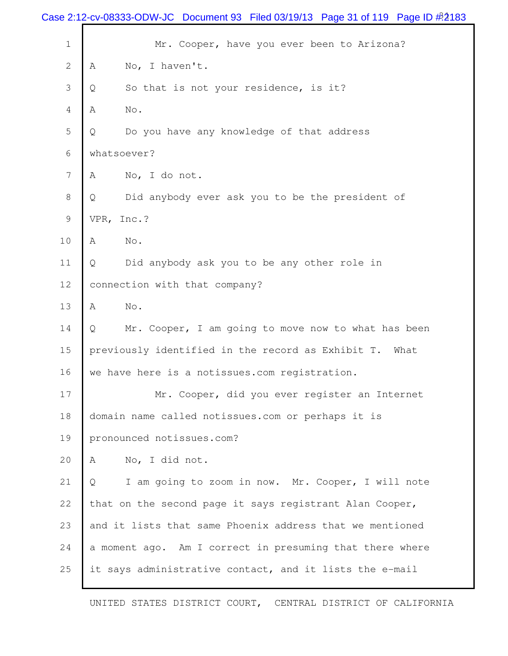|                 | Case 2:12-cv-08333-ODW-JC Document 93 Filed 03/19/13 Page 31 of 119 Page ID # 2183 |
|-----------------|------------------------------------------------------------------------------------|
| $\mathbf 1$     | Mr. Cooper, have you ever been to Arizona?                                         |
| $\mathbf{2}$    | No, I haven't.<br>Α                                                                |
| 3               | So that is not your residence, is it?<br>Q                                         |
| 4               | $\mathbb A$<br>No.                                                                 |
| 5               | Do you have any knowledge of that address<br>Q                                     |
| 6               | whatsoever?                                                                        |
| $7\phantom{.0}$ | No, I do not.<br>Α                                                                 |
| 8               | Did anybody ever ask you to be the president of<br>Q                               |
| 9               | VPR, Inc.?                                                                         |
| 10              | A<br>No.                                                                           |
| 11              | Did anybody ask you to be any other role in<br>$\mathsf{Q}$                        |
| 12              | connection with that company?                                                      |
| 13              | A<br>No.                                                                           |
| 14              | Mr. Cooper, I am going to move now to what has been<br>Q                           |
| 15              | previously identified in the record as Exhibit T.<br>What                          |
| 16              | we have here is a notissues.com registration.                                      |
| 17              | Mr. Cooper, did you ever register an Internet                                      |
| 18              | domain name called notissues.com or perhaps it is                                  |
| 19              | pronounced notissues.com?                                                          |
| 20              | No, I did not.<br>Α                                                                |
| 21              | I am going to zoom in now. Mr. Cooper, I will note<br>Q                            |
| 22              | that on the second page it says registrant Alan Cooper,                            |
| 23              | and it lists that same Phoenix address that we mentioned                           |
| 24              | a moment ago. Am I correct in presuming that there where                           |
| 25              | it says administrative contact, and it lists the e-mail                            |
|                 |                                                                                    |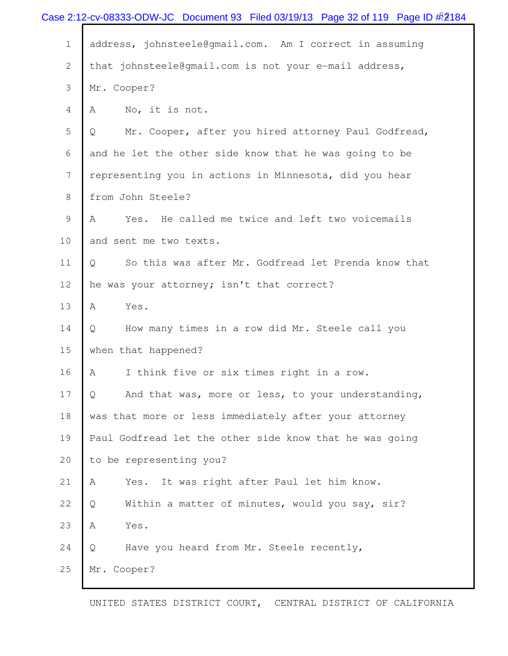|              | Case 2:12-cv-08333-ODW-JC Document 93 Filed 03/19/13 Page 32 of 119 Page ID $\#2184$ |
|--------------|--------------------------------------------------------------------------------------|
| $\mathbf 1$  | address, johnsteele@gmail.com. Am I correct in assuming                              |
| $\mathbf{2}$ | that johnsteele@gmail.com is not your e-mail address,                                |
| 3            | Mr. Cooper?                                                                          |
| 4            | No, it is not.<br>Α                                                                  |
| 5            | Mr. Cooper, after you hired attorney Paul Godfread,<br>Q                             |
| 6            | and he let the other side know that he was going to be                               |
| 7            | representing you in actions in Minnesota, did you hear                               |
| $8\,$        | from John Steele?                                                                    |
| $\mathsf 9$  | Yes. He called me twice and left two voicemails<br>Α                                 |
| 10           | and sent me two texts.                                                               |
| 11           | So this was after Mr. Godfread let Prenda know that<br>Q                             |
| 12           | he was your attorney; isn't that correct?                                            |
| 13           | Α<br>Yes.                                                                            |
| 14           | How many times in a row did Mr. Steele call you<br>Q                                 |
| 15           | when that happened?                                                                  |
| 16           | I think five or six times right in a row.<br>Α                                       |
| 17           | And that was, more or less, to your understanding,<br>Q                              |
| 18           | was that more or less immediately after your attorney                                |
| 19           | Paul Godfread let the other side know that he was going                              |
| 20           | to be representing you?                                                              |
| 21           | It was right after Paul let him know.<br>Α<br>Yes.                                   |
| 22           | Within a matter of minutes, would you say, sir?<br>Q                                 |
| 23           | Yes.<br>Α                                                                            |
| 24           | $\mathsf{Q}$<br>Have you heard from Mr. Steele recently,                             |
| 25           | Mr. Cooper?                                                                          |
|              |                                                                                      |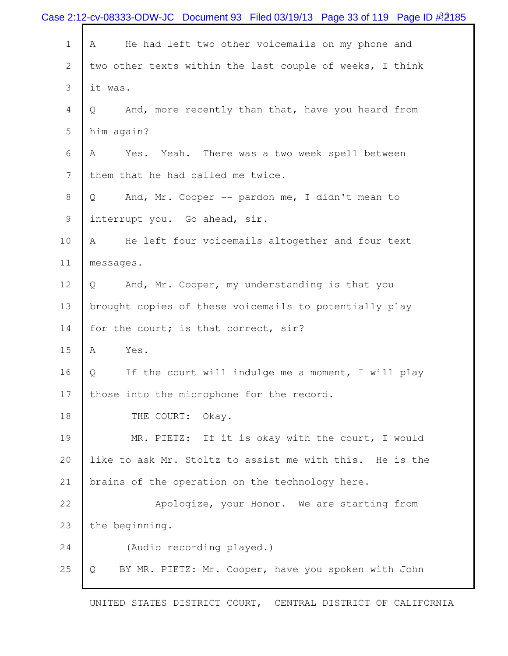|              | Case 2:12-cv-08333-ODW-JC Document 93 Filed 03/19/13 Page 33 of 119 Page ID #2185 |
|--------------|-----------------------------------------------------------------------------------|
| $1\,$        | He had left two other voicemails on my phone and<br>Α                             |
| $\mathbf{2}$ | two other texts within the last couple of weeks, I think                          |
| 3            | it was.                                                                           |
| 4            | And, more recently than that, have you heard from<br>Q                            |
| 5            | him again?                                                                        |
| 6            | A<br>Yes.<br>Yeah. There was a two week spell between                             |
| 7            | them that he had called me twice.                                                 |
| 8            | And, Mr. Cooper -- pardon me, I didn't mean to<br>Q                               |
| 9            | interrupt you. Go ahead, sir.                                                     |
| 10           | He left four voicemails altogether and four text<br>Α                             |
| 11           | messages.                                                                         |
| 12           | And, Mr. Cooper, my understanding is that you<br>Q                                |
| 13           | brought copies of these voicemails to potentially play                            |
| 14           | for the court; is that correct, sir?                                              |
| 15           | Yes.<br>Α                                                                         |
| 16           | If the court will indulge me a moment, I will play<br>Q                           |
| 17           | those into the microphone for the record.                                         |
| 18           | THE COURT:<br>Okay.                                                               |
| 19           | MR. PIETZ: If it is okay with the court, I would                                  |
| 20           | like to ask Mr. Stoltz to assist me with this. He is the                          |
| 21           | brains of the operation on the technology here.                                   |
| 22           | Apologize, your Honor. We are starting from                                       |
| 23           | the beginning.                                                                    |
| 24           | (Audio recording played.)                                                         |
| 25           | BY MR. PIETZ: Mr. Cooper, have you spoken with John<br>Q                          |
|              |                                                                                   |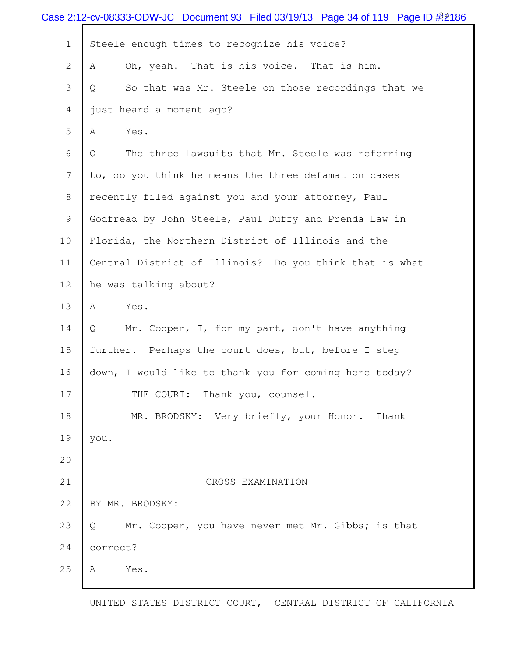|                 | Case 2:12-cv-08333-ODW-JC Document 93 Filed 03/19/13 Page 34 of 119 Page ID $\frac{\#2}{186}$ |
|-----------------|-----------------------------------------------------------------------------------------------|
| $\mathbf 1$     | Steele enough times to recognize his voice?                                                   |
| $\overline{2}$  | Oh, yeah. That is his voice. That is him.<br>A                                                |
| 3               | So that was Mr. Steele on those recordings that we<br>Q                                       |
| 4               | just heard a moment ago?                                                                      |
| 5               | Yes.<br>Α                                                                                     |
| 6               | The three lawsuits that Mr. Steele was referring<br>$\mathsf{Q}$                              |
| $7\phantom{.0}$ | to, do you think he means the three defamation cases                                          |
| 8               | recently filed against you and your attorney, Paul                                            |
| 9               | Godfread by John Steele, Paul Duffy and Prenda Law in                                         |
| 10              | Florida, the Northern District of Illinois and the                                            |
| 11              | Central District of Illinois? Do you think that is what                                       |
| 12              | he was talking about?                                                                         |
| 13              | A<br>Yes.                                                                                     |
| 14              | Mr. Cooper, I, for my part, don't have anything<br>Q                                          |
| 15              | further. Perhaps the court does, but, before I step                                           |
| 16              | down, I would like to thank you for coming here today?                                        |
| 17              | THE COURT: Thank you, counsel.                                                                |
| 18              | MR. BRODSKY: Very briefly, your Honor. Thank                                                  |
| 19              | you.                                                                                          |
| 20              |                                                                                               |
| 21              | CROSS-EXAMINATION                                                                             |
| 22              | BY MR. BRODSKY:                                                                               |
| 23              | Mr. Cooper, you have never met Mr. Gibbs; is that<br>Q                                        |
| 24              | correct?                                                                                      |
| 25              | Yes.<br>A                                                                                     |
|                 |                                                                                               |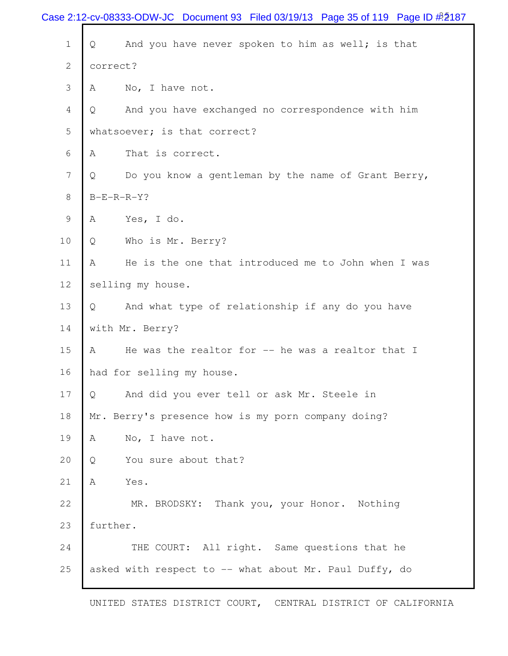|              | Case 2:12-cv-08333-ODW-JC Document 93 Filed 03/19/13 Page 35 of 119 Page ID $\frac{\cancel{0.25}}{\cancel{0.25}}$ |
|--------------|-------------------------------------------------------------------------------------------------------------------|
| $\mathbf 1$  | And you have never spoken to him as well; is that<br>Q                                                            |
| $\mathbf{2}$ | correct?                                                                                                          |
| 3            | No, I have not.<br>A                                                                                              |
| 4            | And you have exchanged no correspondence with him<br>Q                                                            |
| 5            | whatsoever; is that correct?                                                                                      |
| 6            | That is correct.<br>A                                                                                             |
| 7            | Do you know a gentleman by the name of Grant Berry,<br>Q                                                          |
| 8            | $B-E-R-R-Y$ ?                                                                                                     |
| 9            | Yes, I do.<br>A                                                                                                   |
| 10           | Who is Mr. Berry?<br>Q                                                                                            |
| 11           | He is the one that introduced me to John when I was<br>A                                                          |
| 12           | selling my house.                                                                                                 |
| 13           | And what type of relationship if any do you have<br>Q.                                                            |
| 14           | with Mr. Berry?                                                                                                   |
| 15           | He was the realtor for -- he was a realtor that I<br>A                                                            |
| 16           | had for selling my house.                                                                                         |
| 17           | And did you ever tell or ask Mr. Steele in<br>Q                                                                   |
| 18           | Mr. Berry's presence how is my porn company doing?                                                                |
| 19           | No, I have not.<br>A                                                                                              |
| 20           | You sure about that?<br>Q                                                                                         |
| 21           | Yes.<br>Α                                                                                                         |
| 22           | MR. BRODSKY: Thank you, your Honor. Nothing                                                                       |
| 23           | further.                                                                                                          |
| 24           | THE COURT: All right. Same questions that he                                                                      |
| 25           | asked with respect to -- what about Mr. Paul Duffy, do                                                            |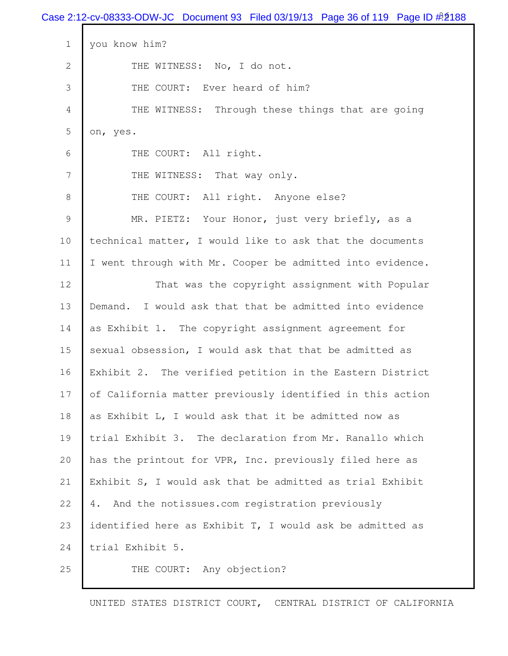|              | Case 2:12-cv-08333-ODW-JC Document 93 Filed 03/19/13 Page 36 of 119 Page ID $\frac{\#2}{188}$ |
|--------------|-----------------------------------------------------------------------------------------------|
| $\mathbf 1$  | you know him?                                                                                 |
| $\mathbf{2}$ | THE WITNESS: No, I do not.                                                                    |
| 3            | THE COURT: Ever heard of him?                                                                 |
| 4            | THE WITNESS:<br>Through these things that are going                                           |
| 5            | on, yes.                                                                                      |
| 6            | THE COURT: All right.                                                                         |
| 7            | THE WITNESS: That way only.                                                                   |
| 8            | THE COURT: All right. Anyone else?                                                            |
| $\mathsf 9$  | MR. PIETZ: Your Honor, just very briefly, as a                                                |
| 10           | technical matter, I would like to ask that the documents                                      |
| 11           | I went through with Mr. Cooper be admitted into evidence.                                     |
| 12           | That was the copyright assignment with Popular                                                |
| 13           | I would ask that that be admitted into evidence<br>Demand.                                    |
| 14           | as Exhibit 1. The copyright assignment agreement for                                          |
| 15           | sexual obsession, I would ask that that be admitted as                                        |
| 16           | Exhibit 2. The verified petition in the Eastern District                                      |
| 17           | of California matter previously identified in this action                                     |
| 18           | as Exhibit L, I would ask that it be admitted now as                                          |
| 19           | trial Exhibit 3. The declaration from Mr. Ranallo which                                       |
| 20           | has the printout for VPR, Inc. previously filed here as                                       |
| 21           | Exhibit S, I would ask that be admitted as trial Exhibit                                      |
| 22           | And the notissues.com registration previously<br>4.                                           |
| 23           | identified here as Exhibit T, I would ask be admitted as                                      |
| 24           | trial Exhibit 5.                                                                              |
| 25           | THE COURT: Any objection?                                                                     |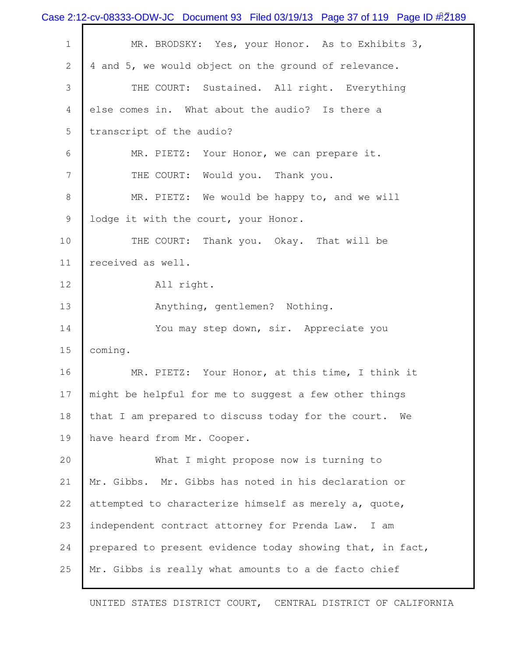|              | Case 2:12-cv-08333-ODW-JC Document 93 Filed 03/19/13 Page 37 of 119 Page ID $\frac{\cancel{0.2189}}{\cancel{0.2189}}$ |
|--------------|-----------------------------------------------------------------------------------------------------------------------|
| $\mathbf 1$  | MR. BRODSKY: Yes, your Honor. As to Exhibits 3,                                                                       |
| $\mathbf{2}$ | 4 and 5, we would object on the ground of relevance.                                                                  |
| 3            | THE COURT: Sustained. All right. Everything                                                                           |
| 4            | else comes in. What about the audio? Is there a                                                                       |
| 5            | transcript of the audio?                                                                                              |
| 6            | MR. PIETZ: Your Honor, we can prepare it.                                                                             |
| 7            | THE COURT: Would you. Thank you.                                                                                      |
| 8            | MR. PIETZ: We would be happy to, and we will                                                                          |
| 9            | lodge it with the court, your Honor.                                                                                  |
| 10           | THE COURT: Thank you. Okay. That will be                                                                              |
| 11           | received as well.                                                                                                     |
| 12           | All right.                                                                                                            |
| 13           | Anything, gentlemen? Nothing.                                                                                         |
| 14           | You may step down, sir. Appreciate you                                                                                |
| 15           | coming.                                                                                                               |
| 16           | MR. PIETZ: Your Honor, at this time, I think it                                                                       |
| 17           | might be helpful for me to suggest a few other things                                                                 |
| 18           | that I am prepared to discuss today for the court.<br>We                                                              |
| 19           | have heard from Mr. Cooper.                                                                                           |
| 20           | What I might propose now is turning to                                                                                |
| 21           | Mr. Gibbs. Mr. Gibbs has noted in his declaration or                                                                  |
| 22           | attempted to characterize himself as merely a, quote,                                                                 |
| 23           | independent contract attorney for Prenda Law. I am                                                                    |
| 24           | prepared to present evidence today showing that, in fact,                                                             |
| 25           | Mr. Gibbs is really what amounts to a de facto chief                                                                  |
|              |                                                                                                                       |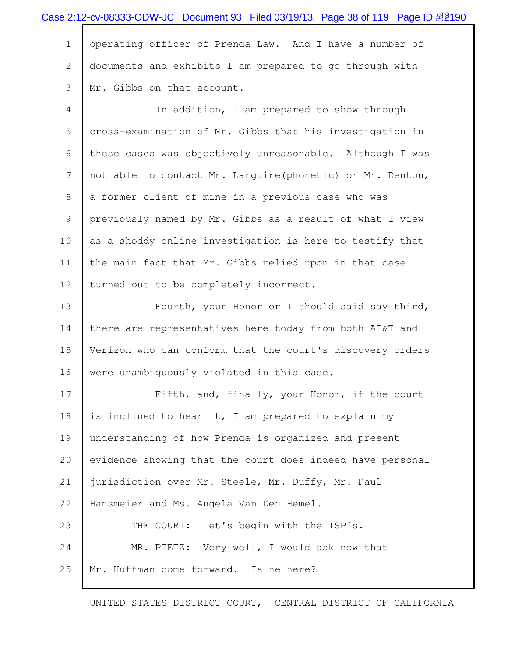|             | Case 2:12-cv-08333-ODW-JC Document 93 Filed 03/19/13 Page 38 of 119 Page ID $\frac{\cancel{0.0016}}{\cancel{0.0016}}$ |
|-------------|-----------------------------------------------------------------------------------------------------------------------|
| $\mathbf 1$ | operating officer of Prenda Law. And I have a number of                                                               |
| 2           | documents and exhibits I am prepared to go through with                                                               |
| 3           | Mr. Gibbs on that account.                                                                                            |
| 4           | In addition, I am prepared to show through                                                                            |
| 5           | cross-examination of Mr. Gibbs that his investigation in                                                              |
| 6           | these cases was objectively unreasonable. Although I was                                                              |
| 7           | not able to contact Mr. Larguire (phonetic) or Mr. Denton,                                                            |
| 8           | a former client of mine in a previous case who was                                                                    |
| 9           | previously named by Mr. Gibbs as a result of what I view                                                              |
| 10          | as a shoddy online investigation is here to testify that                                                              |
| 11          | the main fact that Mr. Gibbs relied upon in that case                                                                 |
| 12          | turned out to be completely incorrect.                                                                                |
| 13          | Fourth, your Honor or I should said say third,                                                                        |
| 14          | there are representatives here today from both AT&T and                                                               |
| 15          | Verizon who can conform that the court's discovery orders                                                             |
| 16          | were unambiguously violated in this case.                                                                             |
| 17          | Fifth, and, finally, your Honor, if the court                                                                         |
| 18          | is inclined to hear it, I am prepared to explain my                                                                   |
| 19          | understanding of how Prenda is organized and present                                                                  |
| 20          | evidence showing that the court does indeed have personal                                                             |
| 21          | jurisdiction over Mr. Steele, Mr. Duffy, Mr. Paul                                                                     |
| 22          | Hansmeier and Ms. Angela Van Den Hemel.                                                                               |
| 23          | THE COURT: Let's begin with the ISP's.                                                                                |
| 24          | MR. PIETZ: Very well, I would ask now that                                                                            |
| 25          | Mr. Huffman come forward. Is he here?                                                                                 |
|             |                                                                                                                       |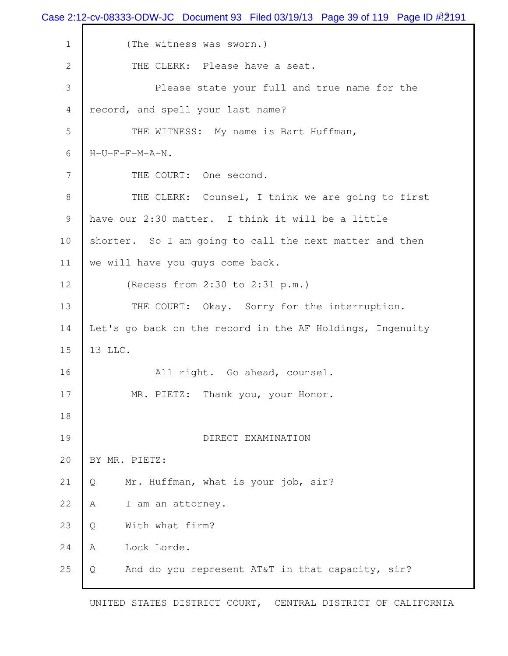Case 2:12-cv-08333-ODW-JC Document 93 Filed 03/19/13 Page 39 of 119 Page ID  $\#$  2191 1 (The witness was sworn.) 2 THE CLERK: Please have a seat. 3 Please state your full and true name for the 4 record, and spell your last name? 5 THE WITNESS: My name is Bart Huffman, 6 H-U-F-F-M-A-N. 7 THE COURT: One second. 8 THE CLERK: Counsel, I think we are going to first 9 have our 2:30 matter. I think it will be a little 10 shorter. So I am going to call the next matter and then 11 we will have you guys come back. 12 (Recess from 2:30 to 2:31 p.m.) 13 THE COURT: Okay. Sorry for the interruption. 14 Let's go back on the record in the AF Holdings, Ingenuity 15 13 LLC. 16 All right. Go ahead, counsel. 17 MR. PIETZ: Thank you, your Honor. 18 19 DIRECT EXAMINATION 20 BY MR. PIETZ: 21 Q Mr. Huffman, what is your job, sir? 22 A I am an attorney. 23 Q With what firm? 24 A Lock Lorde. 25 Q And do you represent AT&T in that capacity, sir?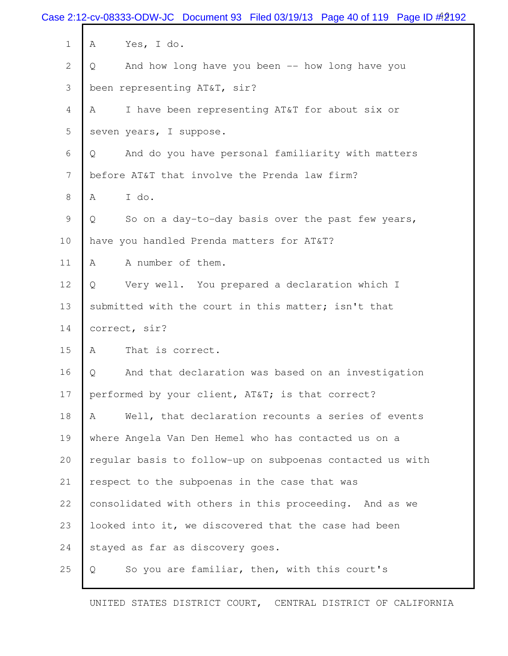|                 | Case 2:12-cv-08333-ODW-JC Document 93 Filed 03/19/13 Page 40 of 119 Page ID # 2192 |
|-----------------|------------------------------------------------------------------------------------|
| $\mathbf 1$     | Yes, I do.<br>A                                                                    |
| $\mathbf{2}$    | And how long have you been -- how long have you<br>Q                               |
| 3               | been representing AT&T, sir?                                                       |
| $\overline{4}$  | I have been representing AT&T for about six or<br>A                                |
| 5               | seven years, I suppose.                                                            |
| 6               | And do you have personal familiarity with matters<br>Q                             |
| $7\phantom{.0}$ | before AT&T that involve the Prenda law firm?                                      |
| 8               | I do.<br>A                                                                         |
| 9               | So on a day-to-day basis over the past few years,<br>Q                             |
| 10              | have you handled Prenda matters for AT&T?                                          |
| 11              | A number of them.<br>A                                                             |
| 12              | Very well. You prepared a declaration which I<br>Q                                 |
| 13              | submitted with the court in this matter; isn't that                                |
| 14              | correct, sir?                                                                      |
| 15              | A<br>That is correct.                                                              |
| 16              | And that declaration was based on an investigation<br>Q                            |
| 17              | performed by your client, AT&T is that correct?                                    |
| 18              | Well, that declaration recounts a series of events<br>A                            |
| 19              | where Angela Van Den Hemel who has contacted us on a                               |
| 20              | regular basis to follow-up on subpoenas contacted us with                          |
| 21              | respect to the subpoenas in the case that was                                      |
| 22              | consolidated with others in this proceeding. And as we                             |
| 23              | looked into it, we discovered that the case had been                               |
| 24              | stayed as far as discovery goes.                                                   |
| 25              | So you are familiar, then, with this court's<br>Q                                  |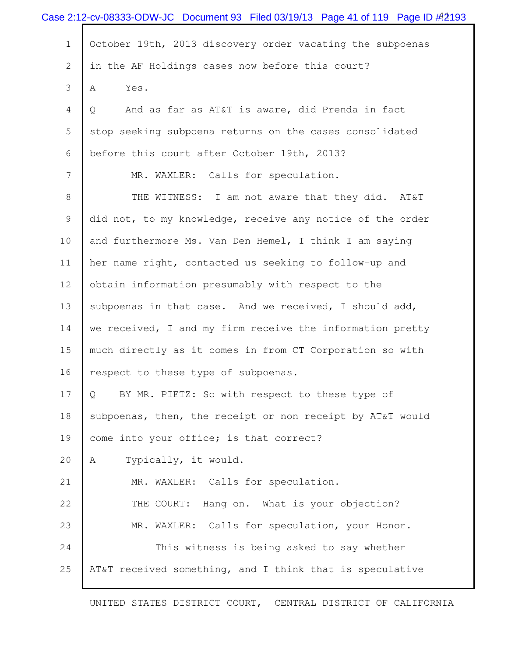|                | Case 2:12-cv-08333-ODW-JC Document 93 Filed 03/19/13 Page 41 of 119 Page ID # 2193 |
|----------------|------------------------------------------------------------------------------------|
| $\mathbf 1$    | October 19th, 2013 discovery order vacating the subpoenas                          |
| $\overline{2}$ | in the AF Holdings cases now before this court?                                    |
| 3              | A<br>Yes.                                                                          |
| 4              | And as far as AT&T is aware, did Prenda in fact<br>Q                               |
| 5              | stop seeking subpoena returns on the cases consolidated                            |
| 6              | before this court after October 19th, 2013?                                        |
| 7              | MR. WAXLER: Calls for speculation.                                                 |
| 8              | THE WITNESS: I am not aware that they did. AT&T                                    |
| 9              | did not, to my knowledge, receive any notice of the order                          |
| 10             | and furthermore Ms. Van Den Hemel, I think I am saying                             |
| 11             | her name right, contacted us seeking to follow-up and                              |
| 12             | obtain information presumably with respect to the                                  |
| 13             | subpoenas in that case. And we received, I should add,                             |
| 14             | we received, I and my firm receive the information pretty                          |
| 15             | much directly as it comes in from CT Corporation so with                           |
| 16             | respect to these type of subpoenas.                                                |
| 17             | BY MR. PIETZ: So with respect to these type of<br>Q                                |
| 18             | subpoenas, then, the receipt or non receipt by AT&T would                          |
| 19             | come into your office; is that correct?                                            |
| 20             | Typically, it would.<br>Α                                                          |
| 21             | MR. WAXLER: Calls for speculation.                                                 |
| 22             | THE COURT:<br>Hang on. What is your objection?                                     |
| 23             | MR. WAXLER: Calls for speculation, your Honor.                                     |
| 24             | This witness is being asked to say whether                                         |
| 25             | AT&T received something, and I think that is speculative                           |
|                |                                                                                    |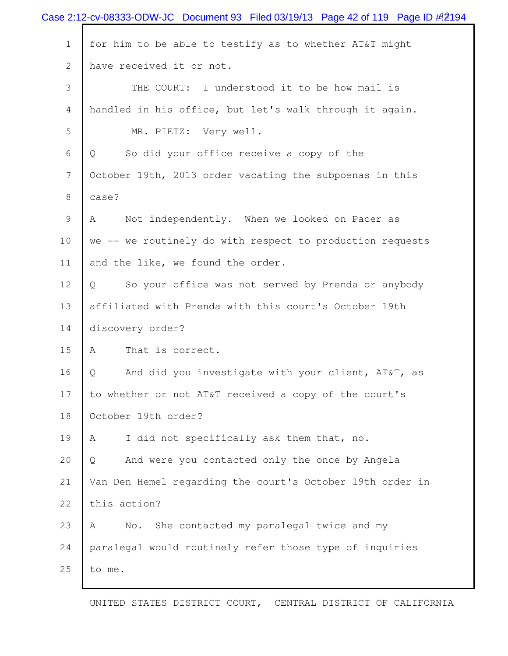|              | Case 2:12-cv-08333-ODW-JC Document 93 Filed 03/19/13 Page 42 of 119 Page ID $\#2194$ |
|--------------|--------------------------------------------------------------------------------------|
| $\mathbf 1$  | for him to be able to testify as to whether AT&T might                               |
| $\mathbf{2}$ | have received it or not.                                                             |
| 3            | THE COURT: I understood it to be how mail is                                         |
| 4            | handled in his office, but let's walk through it again.                              |
| 5            | MR. PIETZ: Very well.                                                                |
| 6            | So did your office receive a copy of the<br>Q                                        |
| 7            | October 19th, 2013 order vacating the subpoenas in this                              |
| 8            | case?                                                                                |
| 9            | Not independently. When we looked on Pacer as<br>Α                                   |
| 10           | we -- we routinely do with respect to production requests                            |
| 11           | and the like, we found the order.                                                    |
| 12           | So your office was not served by Prenda or anybody<br>$\overline{Q}$                 |
| 13           | affiliated with Prenda with this court's October 19th                                |
| 14           | discovery order?                                                                     |
| 15           | That is correct.<br>Α                                                                |
| 16           | And did you investigate with your client, AT&T, as<br>Q                              |
| 17           | to whether or not AT&T received a copy of the court's                                |
| 18           | October 19th order?                                                                  |
| 19           | $\mathbb A$<br>I did not specifically ask them that, no.                             |
| 20           | And were you contacted only the once by Angela<br>Q                                  |
| 21           | Van Den Hemel regarding the court's October 19th order in                            |
| 22           | this action?                                                                         |
| 23           | She contacted my paralegal twice and my<br>No.<br>A                                  |
| 24           | paralegal would routinely refer those type of inquiries                              |
| 25           | to me.                                                                               |
|              |                                                                                      |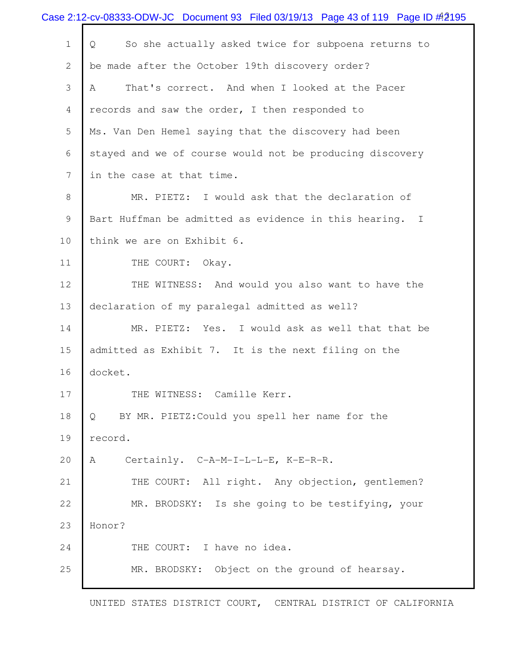|              | Case 2:12-cv-08333-ODW-JC Document 93 Filed 03/19/13 Page 43 of 119 Page ID # 2195 |
|--------------|------------------------------------------------------------------------------------|
| $\mathbf 1$  | So she actually asked twice for subpoena returns to<br>Q                           |
| $\mathbf{2}$ | be made after the October 19th discovery order?                                    |
| 3            | That's correct. And when I looked at the Pacer<br>A                                |
| 4            | records and saw the order, I then responded to                                     |
| 5            | Ms. Van Den Hemel saying that the discovery had been                               |
| 6            | stayed and we of course would not be producing discovery                           |
| 7            | in the case at that time.                                                          |
| 8            | MR. PIETZ: I would ask that the declaration of                                     |
| 9            | Bart Huffman be admitted as evidence in this hearing. I                            |
| 10           | think we are on Exhibit 6.                                                         |
| 11           | THE COURT:<br>Okay.                                                                |
| 12           | THE WITNESS: And would you also want to have the                                   |
| 13           | declaration of my paralegal admitted as well?                                      |
| 14           | MR. PIETZ: Yes. I would ask as well that that be                                   |
| 15           | admitted as Exhibit 7. It is the next filing on the                                |
| 16           | docket.                                                                            |
| 17           | THE WITNESS: Camille Kerr.                                                         |
| 18           | BY MR. PIETZ: Could you spell her name for the<br>$Q_{1}$                          |
| 19           | record.                                                                            |
| 20           | Certainly. C-A-M-I-L-L-E, K-E-R-R.<br>A                                            |
| 21           | THE COURT: All right. Any objection, gentlemen?                                    |
| 22           | MR. BRODSKY: Is she going to be testifying, your                                   |
| 23           | Honor?                                                                             |
| 24           | THE COURT: I have no idea.                                                         |
| 25           | MR. BRODSKY: Object on the ground of hearsay.                                      |
|              |                                                                                    |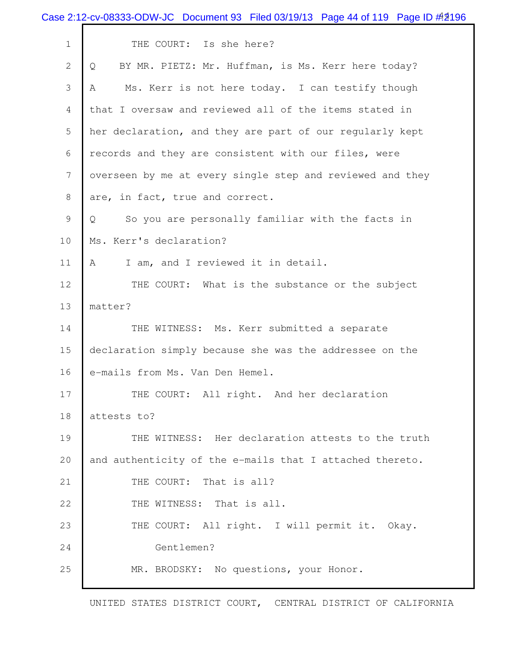|             | Case 2:12-cv-08333-ODW-JC Document 93 Filed 03/19/13 Page 44 of 119 Page ID #2196 |
|-------------|-----------------------------------------------------------------------------------|
| $\mathbf 1$ | THE COURT: Is she here?                                                           |
| 2           | BY MR. PIETZ: Mr. Huffman, is Ms. Kerr here today?<br>Q                           |
| 3           | Ms. Kerr is not here today. I can testify though<br>A                             |
| 4           | that I oversaw and reviewed all of the items stated in                            |
| 5           | her declaration, and they are part of our regularly kept                          |
| 6           | records and they are consistent with our files, were                              |
| 7           | overseen by me at every single step and reviewed and they                         |
| 8           | are, in fact, true and correct.                                                   |
| 9           | So you are personally familiar with the facts in<br>Q                             |
| 10          | Ms. Kerr's declaration?                                                           |
| 11          | I am, and I reviewed it in detail.<br>A                                           |
| 12          | THE COURT: What is the substance or the subject                                   |
| 13          | matter?                                                                           |
| 14          | THE WITNESS: Ms. Kerr submitted a separate                                        |
| 15          | declaration simply because she was the addressee on the                           |
| 16          | e-mails from Ms. Van Den Hemel.                                                   |
| 17          | THE COURT: All right. And her declaration                                         |
| 18          | attests to?                                                                       |
| 19          | THE WITNESS: Her declaration attests to the truth                                 |
| 20          | and authenticity of the e-mails that I attached thereto.                          |
| 21          | THE COURT: That is all?                                                           |
| 22          | THE WITNESS: That is all.                                                         |
| 23          | THE COURT: All right. I will permit it. Okay.                                     |
| 24          | Gentlemen?                                                                        |
| 25          | MR. BRODSKY: No questions, your Honor.                                            |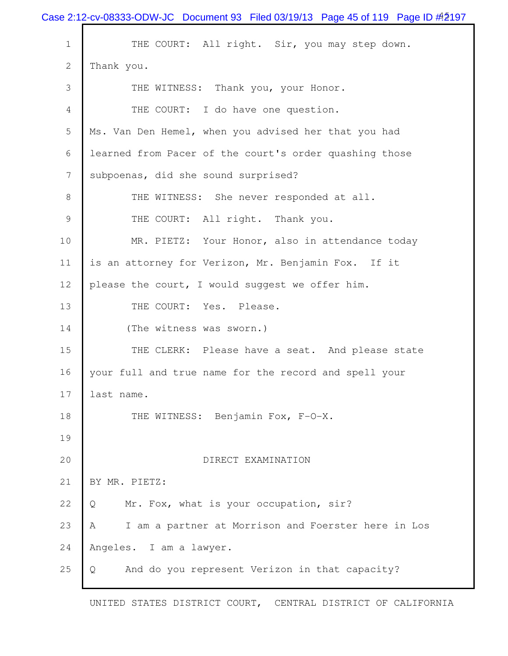|                 | Case 2:12-cv-08333-ODW-JC Document 93 Filed 03/19/13 Page 45 of 119 Page ID # 2197 |
|-----------------|------------------------------------------------------------------------------------|
| $\mathbf 1$     | THE COURT: All right. Sir, you may step down.                                      |
| $\overline{2}$  | Thank you.                                                                         |
| 3               | THE WITNESS: Thank you, your Honor.                                                |
| 4               | THE COURT: I do have one question.                                                 |
| 5               | Ms. Van Den Hemel, when you advised her that you had                               |
| 6               | learned from Pacer of the court's order quashing those                             |
| $7\phantom{.0}$ | subpoenas, did she sound surprised?                                                |
| 8               | THE WITNESS: She never responded at all.                                           |
| 9               | THE COURT: All right. Thank you.                                                   |
| 10              | MR. PIETZ: Your Honor, also in attendance today                                    |
| 11              | is an attorney for Verizon, Mr. Benjamin Fox. If it                                |
| 12              | please the court, I would suggest we offer him.                                    |
| 13              | THE COURT: Yes. Please.                                                            |
| 14              | (The witness was sworn.)                                                           |
| 15              | THE CLERK: Please have a seat. And please state                                    |
| 16              | your full and true name for the record and spell your                              |
| 17              | last name.                                                                         |
| 18              | THE WITNESS: Benjamin Fox, F-O-X.                                                  |
| 19              |                                                                                    |
| 20              | DIRECT EXAMINATION                                                                 |
| 21              | BY MR. PIETZ:                                                                      |
| 22              | Mr. Fox, what is your occupation, sir?<br>Q                                        |
| 23              | I am a partner at Morrison and Foerster here in Los<br>A                           |
| 24              | Angeles. I am a lawyer.                                                            |
| 25              | And do you represent Verizon in that capacity?<br>Q                                |
|                 |                                                                                    |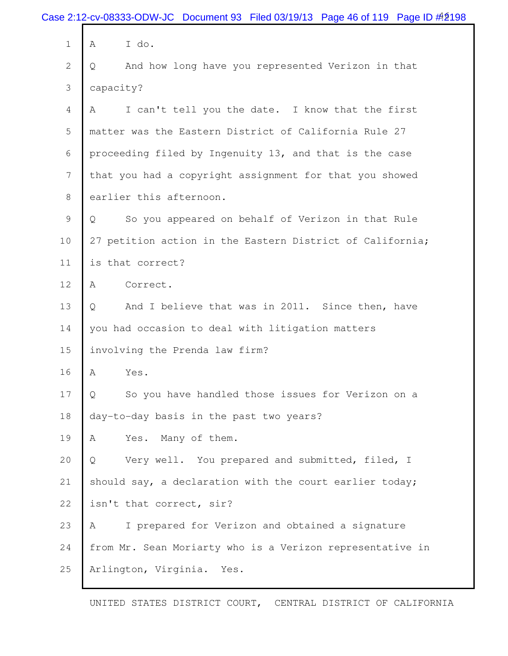|              | Case 2:12-cv-08333-ODW-JC Document 93 Filed 03/19/13 Page 46 of 119 Page ID # 2198 |
|--------------|------------------------------------------------------------------------------------|
| $\mathbf 1$  | I do.<br>Α                                                                         |
| $\mathbf{2}$ | And how long have you represented Verizon in that<br>Q                             |
| 3            | capacity?                                                                          |
| 4            | I can't tell you the date. I know that the first<br>Α                              |
| 5            | matter was the Eastern District of California Rule 27                              |
| 6            | proceeding filed by Ingenuity 13, and that is the case                             |
| 7            | that you had a copyright assignment for that you showed                            |
| 8            | earlier this afternoon.                                                            |
| 9            | So you appeared on behalf of Verizon in that Rule<br>Q                             |
| 10           | 27 petition action in the Eastern District of California;                          |
| 11           | is that correct?                                                                   |
| 12           | Α<br>Correct.                                                                      |
| 13           | And I believe that was in 2011. Since then, have<br>Q                              |
| 14           | you had occasion to deal with litigation matters                                   |
| 15           | involving the Prenda law firm?                                                     |
| 16           | Yes.<br>Α                                                                          |
| 17           | So you have handled those issues for Verizon on a<br>Q                             |
| 18           | day-to-day basis in the past two years?                                            |
| 19           | A<br>Yes. Many of them.                                                            |
| 20           | Very well. You prepared and submitted, filed, I<br>Q                               |
| 21           | should say, a declaration with the court earlier today;                            |
| 22           | isn't that correct, sir?                                                           |
| 23           | I prepared for Verizon and obtained a signature<br>A                               |
| 24           | from Mr. Sean Moriarty who is a Verizon representative in                          |
| 25           | Arlington, Virginia. Yes.                                                          |
|              |                                                                                    |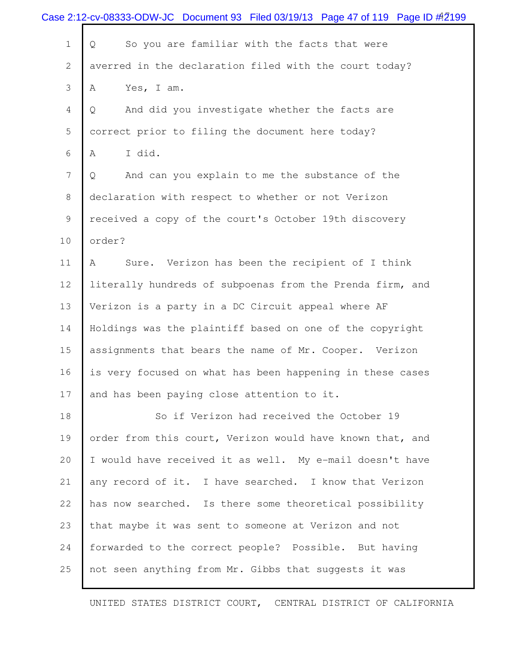|                | Case 2:12-cv-08333-ODW-JC Document 93 Filed 03/19/13 Page 47 of 119 Page ID #2199 |
|----------------|-----------------------------------------------------------------------------------|
| $\mathbf 1$    | So you are familiar with the facts that were<br>Q                                 |
| $\overline{2}$ | averred in the declaration filed with the court today?                            |
| 3              | Yes, I am.<br>Α                                                                   |
| 4              | And did you investigate whether the facts are<br>Q                                |
| 5              | correct prior to filing the document here today?                                  |
| 6              | I did.<br>Α                                                                       |
| 7              | And can you explain to me the substance of the<br>Q                               |
| 8              | declaration with respect to whether or not Verizon                                |
| 9              | received a copy of the court's October 19th discovery                             |
| 10             | order?                                                                            |
| 11             | Sure. Verizon has been the recipient of I think<br>Α                              |
| 12             | literally hundreds of subpoenas from the Prenda firm, and                         |
| 13             | Verizon is a party in a DC Circuit appeal where AF                                |
| 14             | Holdings was the plaintiff based on one of the copyright                          |
| 15             | assignments that bears the name of Mr. Cooper. Verizon                            |
| 16             | is very focused on what has been happening in these cases                         |
| 17             | and has been paying close attention to it.                                        |
| 18             | So if Verizon had received the October 19                                         |
| 19             | order from this court, Verizon would have known that, and                         |
| 20             | I would have received it as well. My e-mail doesn't have                          |
| 21             | any record of it. I have searched. I know that Verizon                            |
| 22             | has now searched. Is there some theoretical possibility                           |
| 23             | that maybe it was sent to someone at Verizon and not                              |
| 24             | forwarded to the correct people? Possible. But having                             |
| 25             | not seen anything from Mr. Gibbs that suggests it was                             |
|                |                                                                                   |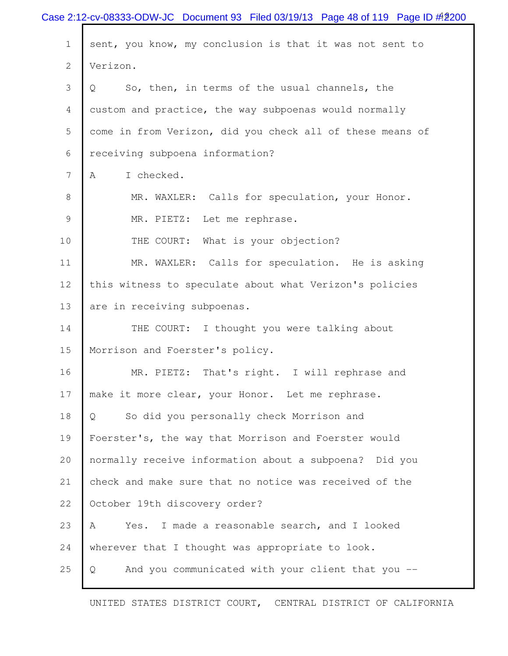|              | Case 2:12-cv-08333-ODW-JC Document 93 Filed 03/19/13 Page 48 of 119 Page ID # 200 |
|--------------|-----------------------------------------------------------------------------------|
| $\mathbf 1$  | sent, you know, my conclusion is that it was not sent to                          |
| $\mathbf{2}$ | Verizon.                                                                          |
| 3            | So, then, in terms of the usual channels, the<br>Q                                |
| 4            | custom and practice, the way subpoenas would normally                             |
| 5            | come in from Verizon, did you check all of these means of                         |
| 6            | receiving subpoena information?                                                   |
| 7            | I checked.<br>Α                                                                   |
| $8\,$        | MR. WAXLER: Calls for speculation, your Honor.                                    |
| 9            | Let me rephrase.<br>MR. PIETZ:                                                    |
| 10           | THE COURT: What is your objection?                                                |
| 11           | MR. WAXLER: Calls for speculation. He is asking                                   |
| 12           | this witness to speculate about what Verizon's policies                           |
| 13           | are in receiving subpoenas.                                                       |
| 14           | THE COURT: I thought you were talking about                                       |
| 15           | Morrison and Foerster's policy.                                                   |
| 16           | That's right. I will rephrase and<br>MR. PIETZ:                                   |
| 17           | make it more clear, your Honor. Let me rephrase.                                  |
| 18           | So did you personally check Morrison and<br>Q                                     |
| 19           | Foerster's, the way that Morrison and Foerster would                              |
| 20           | normally receive information about a subpoena? Did you                            |
| 21           | check and make sure that no notice was received of the                            |
| 22           | October 19th discovery order?                                                     |
| 23           | Yes. I made a reasonable search, and I looked<br>A                                |
| 24           | wherever that I thought was appropriate to look.                                  |
| 25           | And you communicated with your client that you --<br>$\mathsf{Q}$                 |
|              | UNITED STATES DISTRICT COURT, CENTRAL DISTRICT OF CALIFORNIA                      |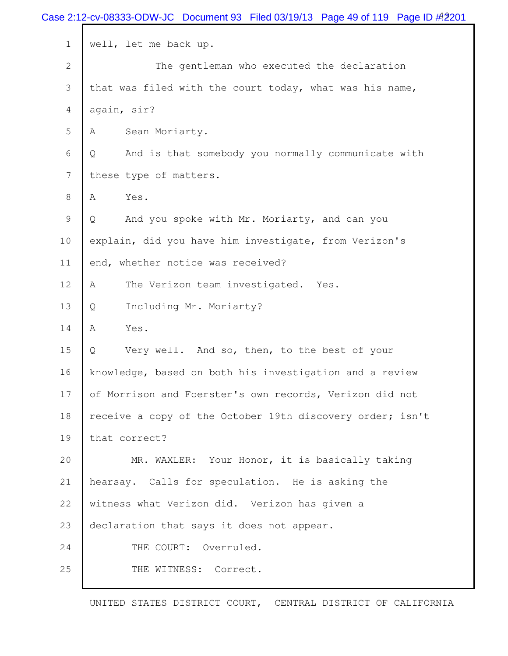|              | Case 2:12-cv-08333-ODW-JC Document 93 Filed 03/19/13 Page 49 of 119 Page ID # 2201 |
|--------------|------------------------------------------------------------------------------------|
| $\mathbf 1$  | well, let me back up.                                                              |
| $\mathbf{2}$ | The gentleman who executed the declaration                                         |
| 3            | that was filed with the court today, what was his name,                            |
| 4            | again, sir?                                                                        |
| 5            | Sean Moriarty.<br>Α                                                                |
| 6            | And is that somebody you normally communicate with<br>Q                            |
| 7            | these type of matters.                                                             |
| 8            | Α<br>Yes.                                                                          |
| 9            | And you spoke with Mr. Moriarty, and can you<br>Q                                  |
| 10           | explain, did you have him investigate, from Verizon's                              |
| 11           | end, whether notice was received?                                                  |
| 12           | A<br>The Verizon team investigated. Yes.                                           |
| 13           | Including Mr. Moriarty?<br>Q                                                       |
| 14           | A<br>Yes.                                                                          |
| 15           | Q<br>Very well. And so, then, to the best of your                                  |
| 16           | knowledge, based on both his investigation and a review                            |
| 17           | of Morrison and Foerster's own records, Verizon did not                            |
| 18           | receive a copy of the October 19th discovery order; isn't                          |
| 19           | that correct?                                                                      |
| 20           | MR. WAXLER: Your Honor, it is basically taking                                     |
| 21           | hearsay. Calls for speculation. He is asking the                                   |
| 22           | witness what Verizon did. Verizon has given a                                      |
| 23           | declaration that says it does not appear.                                          |
| 24           | THE COURT: Overruled.                                                              |
| 25           | THE WITNESS: Correct.                                                              |
|              |                                                                                    |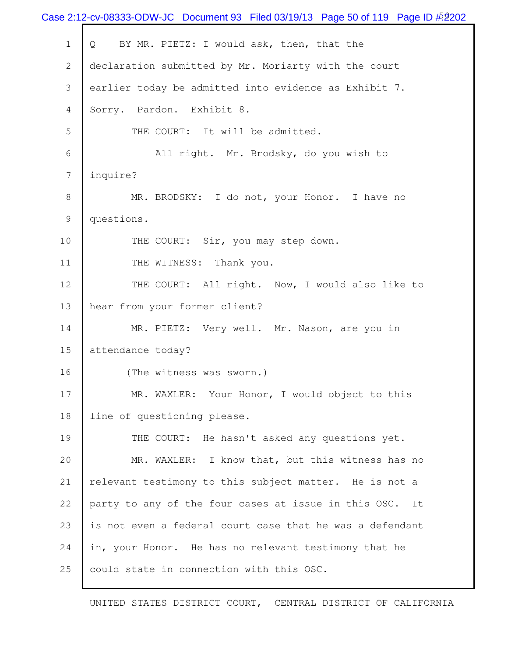|                | Case 2:12-cv-08333-ODW-JC Document 93 Filed 03/19/13 Page 50 of 119 Page ID $\#2$ 02 |
|----------------|--------------------------------------------------------------------------------------|
| $\mathbf 1$    | BY MR. PIETZ: I would ask, then, that the<br>Q                                       |
| $\mathbf{2}$   | declaration submitted by Mr. Moriarty with the court                                 |
| 3              | earlier today be admitted into evidence as Exhibit 7.                                |
| 4              | Sorry. Pardon. Exhibit 8.                                                            |
| $\mathsf S$    | THE COURT: It will be admitted.                                                      |
| 6              | All right. Mr. Brodsky, do you wish to                                               |
| $\overline{7}$ | inquire?                                                                             |
| $8\,$          | MR. BRODSKY: I do not, your Honor. I have no                                         |
| 9              | questions.                                                                           |
| 10             | THE COURT: Sir, you may step down.                                                   |
| 11             | THE WITNESS: Thank you.                                                              |
| 12             | THE COURT: All right. Now, I would also like to                                      |
| 13             | hear from your former client?                                                        |
| 14             | MR. PIETZ: Very well. Mr. Nason, are you in                                          |
| 15             | attendance today?                                                                    |
| 16             | (The witness was sworn.)                                                             |
| 17             | MR. WAXLER: Your Honor, I would object to this                                       |
| 18             | line of questioning please.                                                          |
| 19             | THE COURT: He hasn't asked any questions yet.                                        |
| 20             | MR. WAXLER: I know that, but this witness has no                                     |
| 21             | relevant testimony to this subject matter. He is not a                               |
| 22             | party to any of the four cases at issue in this OSC. It                              |
| 23             | is not even a federal court case that he was a defendant                             |
| 24             | in, your Honor. He has no relevant testimony that he                                 |
| 25             | could state in connection with this OSC.                                             |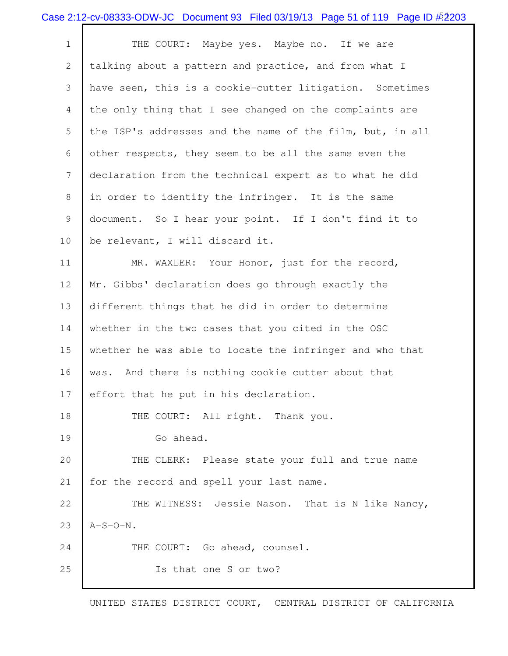|              | Case 2:12-cv-08333-ODW-JC Document 93 Filed 03/19/13 Page 51 of 119 Page ID #2203 |
|--------------|-----------------------------------------------------------------------------------|
| $\mathbf 1$  | THE COURT: Maybe yes. Maybe no. If we are                                         |
| $\mathbf{2}$ | talking about a pattern and practice, and from what I                             |
| 3            | have seen, this is a cookie-cutter litigation. Sometimes                          |
| 4            | the only thing that I see changed on the complaints are                           |
| 5            | the ISP's addresses and the name of the film, but, in all                         |
| 6            | other respects, they seem to be all the same even the                             |
| 7            | declaration from the technical expert as to what he did                           |
| 8            | in order to identify the infringer. It is the same                                |
| 9            | document. So I hear your point. If I don't find it to                             |
| 10           | be relevant, I will discard it.                                                   |
| 11           | MR. WAXLER: Your Honor, just for the record,                                      |
| 12           | Mr. Gibbs' declaration does go through exactly the                                |
| 13           | different things that he did in order to determine                                |
| 14           | whether in the two cases that you cited in the OSC                                |
| 15           | whether he was able to locate the infringer and who that                          |
| 16           | And there is nothing cookie cutter about that<br>was.                             |
| 17           | effort that he put in his declaration.                                            |
| 18           | THE COURT: All right. Thank you.                                                  |
| 19           | Go ahead.                                                                         |
| 20           | THE CLERK: Please state your full and true name                                   |
| 21           | for the record and spell your last name.                                          |
| 22           | THE WITNESS: Jessie Nason. That is N like Nancy,                                  |
| 23           | $A-S-O-N$ .                                                                       |
| 24           | THE COURT: Go ahead, counsel.                                                     |
| 25           | Is that one S or two?                                                             |
|              |                                                                                   |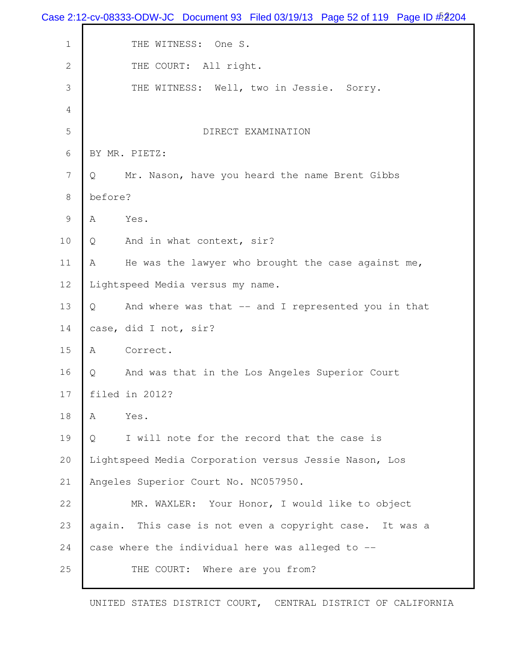|                | Case 2:12-cv-08333-ODW-JC Document 93 Filed 03/19/13 Page 52 of 119 Page ID #2204 |
|----------------|-----------------------------------------------------------------------------------|
| $1\,$          | THE WITNESS: One S.                                                               |
| $\mathbf{2}$   | THE COURT: All right.                                                             |
| 3              | THE WITNESS: Well, two in Jessie. Sorry.                                          |
| 4              |                                                                                   |
| $\mathsf S$    | DIRECT EXAMINATION                                                                |
| 6              | BY MR. PIETZ:                                                                     |
| $7\phantom{.}$ | Mr. Nason, have you heard the name Brent Gibbs<br>Q                               |
| $\,8\,$        | before?                                                                           |
| $\mathsf 9$    | A<br>Yes.                                                                         |
| 10             | Q<br>And in what context, sir?                                                    |
| 11             | He was the lawyer who brought the case against me,<br>A                           |
| 12             | Lightspeed Media versus my name.                                                  |
| 13             | And where was that -- and I represented you in that<br>Q                          |
| 14             | case, did I not, sir?                                                             |
| 15             | Α<br>Correct.                                                                     |
| 16             | And was that in the Los Angeles Superior Court<br>Q                               |
| 17             | filed in 2012?                                                                    |
| 18             | Yes.<br>A                                                                         |
| 19             | I will note for the record that the case is<br>Q                                  |
| 20             | Lightspeed Media Corporation versus Jessie Nason, Los                             |
| 21             | Angeles Superior Court No. NC057950.                                              |
| 22             | MR. WAXLER: Your Honor, I would like to object                                    |
| 23             | again. This case is not even a copyright case. It was a                           |
| 24             | case where the individual here was alleged to --                                  |
| 25             | THE COURT: Where are you from?                                                    |
|                |                                                                                   |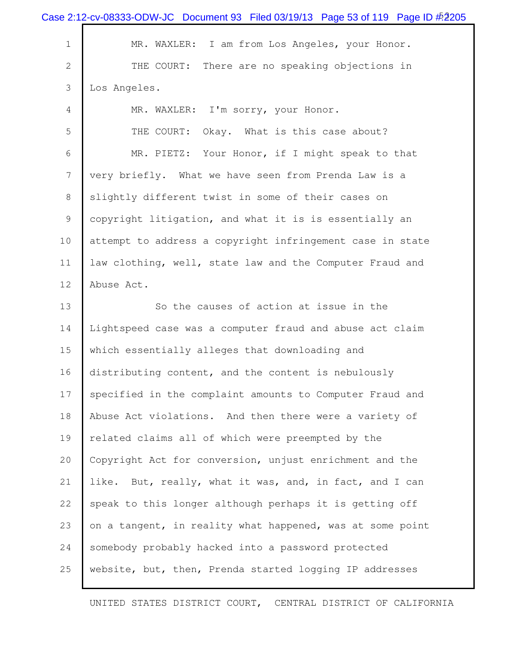|                | Case 2:12-cv-08333-ODW-JC Document 93 Filed 03/19/13 Page 53 of 119 Page ID $\frac{15205}{205}$ |
|----------------|-------------------------------------------------------------------------------------------------|
| $\mathbf 1$    | MR. WAXLER: I am from Los Angeles, your Honor.                                                  |
| $\overline{2}$ | THE COURT:<br>There are no speaking objections in                                               |
| 3              | Los Angeles.                                                                                    |
| 4              | MR. WAXLER: I'm sorry, your Honor.                                                              |
| 5              | Okay. What is this case about?<br>THE COURT:                                                    |
| 6              | MR. PIETZ: Your Honor, if I might speak to that                                                 |
| 7              | very briefly. What we have seen from Prenda Law is a                                            |
| 8              | slightly different twist in some of their cases on                                              |
| 9              | copyright litigation, and what it is is essentially an                                          |
| 10             | attempt to address a copyright infringement case in state                                       |
| 11             | law clothing, well, state law and the Computer Fraud and                                        |
| 12             | Abuse Act.                                                                                      |
| 13             | So the causes of action at issue in the                                                         |
| 14             | Lightspeed case was a computer fraud and abuse act claim                                        |
| 15             | which essentially alleges that downloading and                                                  |
| 16             | distributing content, and the content is nebulously                                             |
| 17             | specified in the complaint amounts to Computer Fraud and                                        |
| 18             | Abuse Act violations. And then there were a variety of                                          |
| 19             | related claims all of which were preempted by the                                               |
| 20             | Copyright Act for conversion, unjust enrichment and the                                         |
| 21             | like. But, really, what it was, and, in fact, and I can                                         |
| 22             | speak to this longer although perhaps it is getting off                                         |
| 23             | on a tangent, in reality what happened, was at some point                                       |
| 24             | somebody probably hacked into a password protected                                              |
| 25             | website, but, then, Prenda started logging IP addresses                                         |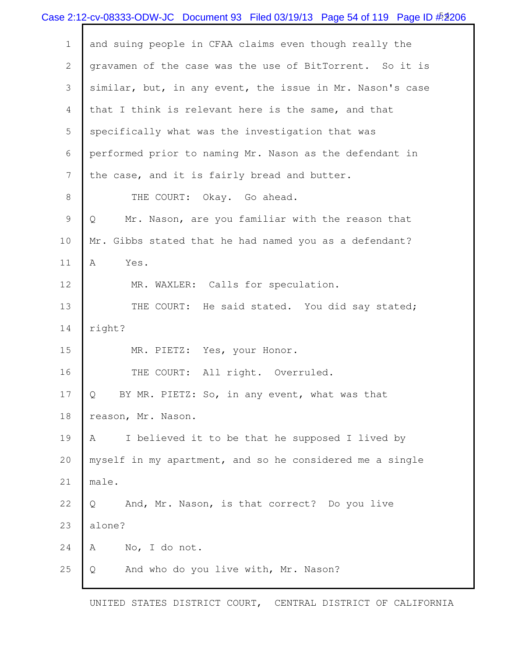|                | Case 2:12-cv-08333-ODW-JC Document 93 Filed 03/19/13 Page 54 of 119 Page ID $\frac{\#2}{206}$ |
|----------------|-----------------------------------------------------------------------------------------------|
| $\mathbf 1$    | and suing people in CFAA claims even though really the                                        |
| $\mathbf{2}$   | gravamen of the case was the use of BitTorrent. So it is                                      |
| 3              | similar, but, in any event, the issue in Mr. Nason's case                                     |
| $\overline{4}$ | that I think is relevant here is the same, and that                                           |
| 5              | specifically what was the investigation that was                                              |
| 6              | performed prior to naming Mr. Nason as the defendant in                                       |
| 7              | the case, and it is fairly bread and butter.                                                  |
| 8              | THE COURT: Okay. Go ahead.                                                                    |
| 9              | Mr. Nason, are you familiar with the reason that<br>Q                                         |
| 10             | Mr. Gibbs stated that he had named you as a defendant?                                        |
| 11             | $\mathbb A$<br>Yes.                                                                           |
| 12             | MR. WAXLER: Calls for speculation.                                                            |
| 13             | THE COURT: He said stated. You did say stated;                                                |
| 14             | right?                                                                                        |
| 15             | MR. PIETZ: Yes, your Honor.                                                                   |
| 16             | THE COURT: All right. Overruled.                                                              |
| 17             | BY MR. PIETZ: So, in any event, what was that<br>Q                                            |
| 18             | reason, Mr. Nason.                                                                            |
| 19             | I believed it to be that he supposed I lived by<br>Α                                          |
| 20             | myself in my apartment, and so he considered me a single                                      |
| 21             | male.                                                                                         |
| 22             | And, Mr. Nason, is that correct? Do you live<br>Q                                             |
| 23             | alone?                                                                                        |
| 24             | No, I do not.<br>Α                                                                            |
| 25             | And who do you live with, Mr. Nason?<br>Q                                                     |
|                |                                                                                               |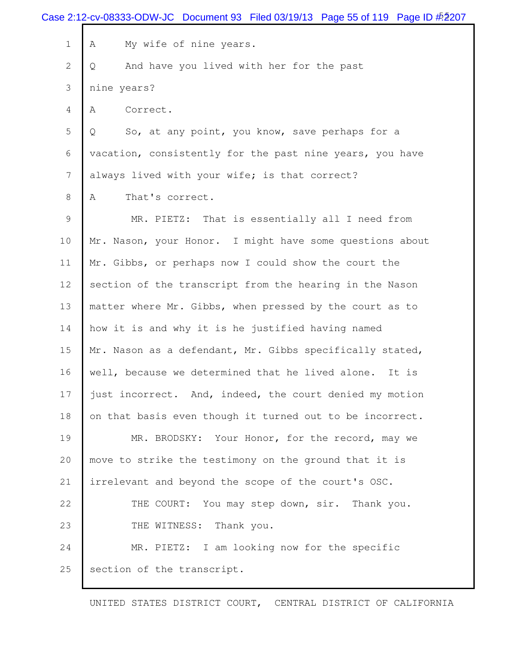|              | Case 2:12-cv-08333-ODW-JC Document 93 Filed 03/19/13 Page 55 of 119 Page ID #2207 |
|--------------|-----------------------------------------------------------------------------------|
| $\mathbf 1$  | My wife of nine years.<br>Α                                                       |
| $\mathbf{2}$ | And have you lived with her for the past<br>Q                                     |
| 3            | nine years?                                                                       |
| 4            | Correct.<br>A                                                                     |
| 5            | So, at any point, you know, save perhaps for a<br>Q                               |
| 6            | vacation, consistently for the past nine years, you have                          |
| 7            | always lived with your wife; is that correct?                                     |
| 8            | That's correct.<br>A                                                              |
| 9            | MR. PIETZ: That is essentially all I need from                                    |
| 10           | Mr. Nason, your Honor. I might have some questions about                          |
| 11           | Mr. Gibbs, or perhaps now I could show the court the                              |
| 12           | section of the transcript from the hearing in the Nason                           |
| 13           | matter where Mr. Gibbs, when pressed by the court as to                           |
| 14           | how it is and why it is he justified having named                                 |
| 15           | Mr. Nason as a defendant, Mr. Gibbs specifically stated,                          |
| 16           | well, because we determined that he lived alone. It is                            |
| 17           | just incorrect. And, indeed, the court denied my motion                           |
| 18           | on that basis even though it turned out to be incorrect.                          |
| 19           | MR. BRODSKY: Your Honor, for the record, may we                                   |
| 20           | move to strike the testimony on the ground that it is                             |
| 21           | irrelevant and beyond the scope of the court's OSC.                               |
| 22           | THE COURT: You may step down, sir. Thank you.                                     |
| 23           | THE WITNESS: Thank you.                                                           |
| 24           | MR. PIETZ: I am looking now for the specific                                      |
| 25           | section of the transcript.                                                        |
|              |                                                                                   |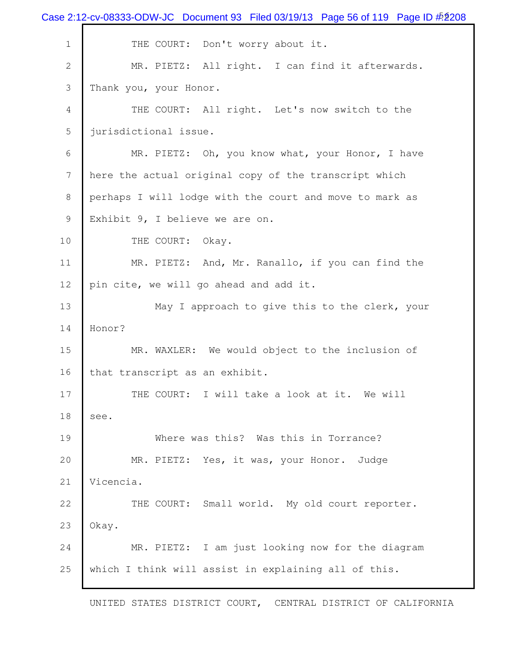|                | Case 2:12-cv-08333-ODW-JC Document 93 Filed 03/19/13 Page 56 of 119 Page ID $\frac{\#208}{}$ |
|----------------|----------------------------------------------------------------------------------------------|
| $1\,$          | THE COURT: Don't worry about it.                                                             |
| $\mathbf{2}$   | MR. PIETZ: All right. I can find it afterwards.                                              |
| 3              | Thank you, your Honor.                                                                       |
| $\overline{4}$ | THE COURT: All right. Let's now switch to the                                                |
| 5              | jurisdictional issue.                                                                        |
| 6              | MR. PIETZ: Oh, you know what, your Honor, I have                                             |
| 7              | here the actual original copy of the transcript which                                        |
| 8              | perhaps I will lodge with the court and move to mark as                                      |
| 9              | Exhibit 9, I believe we are on.                                                              |
| 10             | THE COURT:<br>Okay.                                                                          |
| 11             | MR. PIETZ: And, Mr. Ranallo, if you can find the                                             |
| 12             | pin cite, we will go ahead and add it.                                                       |
| 13             | May I approach to give this to the clerk, your                                               |
| 14             | Honor?                                                                                       |
| 15             | MR. WAXLER: We would object to the inclusion of                                              |
| 16             | that transcript as an exhibit.                                                               |
| 17             | THE COURT: I will take a look at it. We will                                                 |
| 18             | see.                                                                                         |
| 19             | Where was this? Was this in Torrance?                                                        |
| 20             | MR. PIETZ: Yes, it was, your Honor.<br>Judge                                                 |
| 21             | Vicencia.                                                                                    |
| 22             | THE COURT: Small world. My old court reporter.                                               |
| 23             | Okay.                                                                                        |
| 24             | MR. PIETZ: I am just looking now for the diagram                                             |
| 25             | which I think will assist in explaining all of this.                                         |
|                |                                                                                              |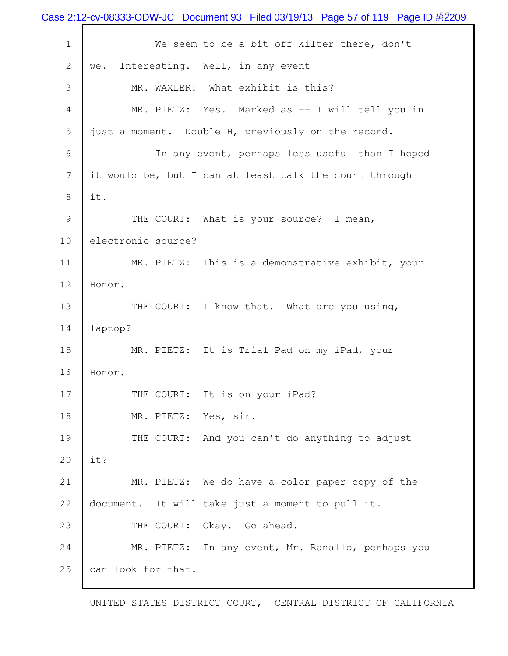Case 2:12-cv-08333-ODW-JC Document 93 Filed 03/19/13 Page 57 of 119 Page ID  $\frac{45209}{2}$ 1 We seem to be a bit off kilter there, don't 2 we. Interesting. Well, in any event -- 3 MR. WAXLER: What exhibit is this? 4 MR. PIETZ: Yes. Marked as -- I will tell you in 5 just a moment. Double H, previously on the record. 6 In any event, perhaps less useful than I hoped 7 it would be, but I can at least talk the court through 8 it. 9 THE COURT: What is your source? I mean, 10 electronic source? 11 MR. PIETZ: This is a demonstrative exhibit, your 12 Honor. 13 THE COURT: I know that. What are you using, 14 laptop? 15 MR. PIETZ: It is Trial Pad on my iPad, your 16 Honor. 17 THE COURT: It is on your iPad? 18 MR. PIETZ: Yes, sir. 19 THE COURT: And you can't do anything to adjust 20 it? 21 MR. PIETZ: We do have a color paper copy of the 22 document. It will take just a moment to pull it. 23 THE COURT: Okay. Go ahead. 24 MR. PIETZ: In any event, Mr. Ranallo, perhaps you 25 can look for that.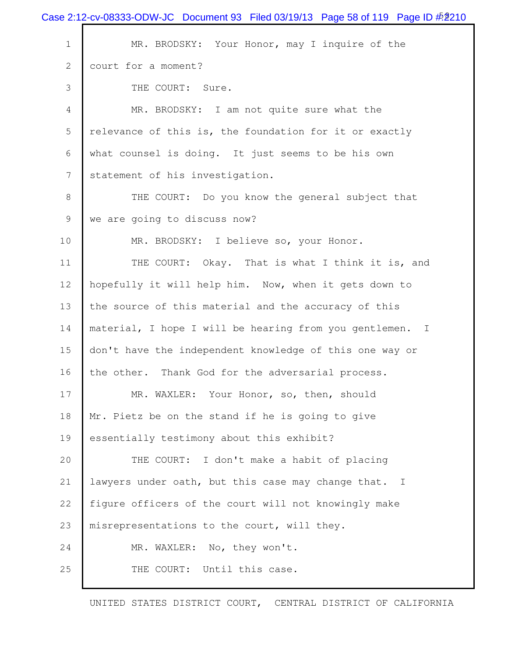|             | Case 2:12-cv-08333-ODW-JC Document 93 Filed 03/19/13 Page 58 of 119 Page ID $\frac{452210}{2520}$ |
|-------------|---------------------------------------------------------------------------------------------------|
| $\mathbf 1$ | MR. BRODSKY: Your Honor, may I inquire of the                                                     |
| 2           | court for a moment?                                                                               |
| 3           | THE COURT: Sure.                                                                                  |
| 4           | MR. BRODSKY: I am not quite sure what the                                                         |
| 5           | relevance of this is, the foundation for it or exactly                                            |
| 6           | what counsel is doing. It just seems to be his own                                                |
| 7           | statement of his investigation.                                                                   |
| 8           | THE COURT: Do you know the general subject that                                                   |
| 9           | we are going to discuss now?                                                                      |
| 10          | MR. BRODSKY: I believe so, your Honor.                                                            |
| 11          | THE COURT: Okay. That is what I think it is, and                                                  |
| 12          | hopefully it will help him. Now, when it gets down to                                             |
| 13          | the source of this material and the accuracy of this                                              |
| 14          | material, I hope I will be hearing from you gentlemen.<br>$\mathbb{I}$                            |
| 15          | don't have the independent knowledge of this one way or                                           |
| 16          | the other. Thank God for the adversarial process.                                                 |
| 17          | MR. WAXLER: Your Honor, so, then, should                                                          |
| 18          | Mr. Pietz be on the stand if he is going to give                                                  |
| 19          | essentially testimony about this exhibit?                                                         |
| 20          | THE COURT: I don't make a habit of placing                                                        |
| 21          | lawyers under oath, but this case may change that. I                                              |
| 22          | figure officers of the court will not knowingly make                                              |
| 23          | misrepresentations to the court, will they.                                                       |
| 24          | MR. WAXLER: No, they won't.                                                                       |
| 25          | THE COURT: Until this case.                                                                       |
|             |                                                                                                   |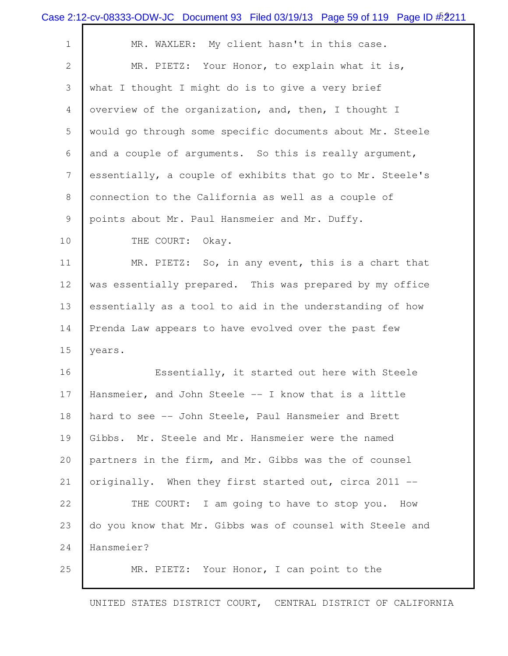|                | Case 2:12-cv-08333-ODW-JC Document 93 Filed 03/19/13 Page 59 of 119 Page ID $\frac{\#2211}{}$ |
|----------------|-----------------------------------------------------------------------------------------------|
| $\mathbf 1$    | MR. WAXLER: My client hasn't in this case.                                                    |
| $\overline{2}$ | MR. PIETZ: Your Honor, to explain what it is,                                                 |
| 3              | what I thought I might do is to give a very brief                                             |
| $\overline{4}$ | overview of the organization, and, then, I thought I                                          |
| 5              | would go through some specific documents about Mr. Steele                                     |
| 6              | and a couple of arguments. So this is really argument,                                        |
| 7              | essentially, a couple of exhibits that go to Mr. Steele's                                     |
| 8              | connection to the California as well as a couple of                                           |
| 9              | points about Mr. Paul Hansmeier and Mr. Duffy.                                                |
| 10             | THE COURT:<br>Okay.                                                                           |
| 11             | MR. PIETZ: So, in any event, this is a chart that                                             |
| 12             | was essentially prepared. This was prepared by my office                                      |
| 13             | essentially as a tool to aid in the understanding of how                                      |
| 14             | Prenda Law appears to have evolved over the past few                                          |
| 15             | years.                                                                                        |
| 16             | Essentially, it started out here with Steele                                                  |
| 17             | Hansmeier, and John Steele -- I know that is a little                                         |
| 18             | hard to see -- John Steele, Paul Hansmeier and Brett                                          |
| 19             | Gibbs. Mr. Steele and Mr. Hansmeier were the named                                            |
| 20             | partners in the firm, and Mr. Gibbs was the of counsel                                        |
| 21             | originally. When they first started out, circa 2011 --                                        |
| 22             | THE COURT: I am going to have to stop you. How                                                |
| 23             | do you know that Mr. Gibbs was of counsel with Steele and                                     |
| 24             | Hansmeier?                                                                                    |
| 25             | MR. PIETZ: Your Honor, I can point to the                                                     |
|                |                                                                                               |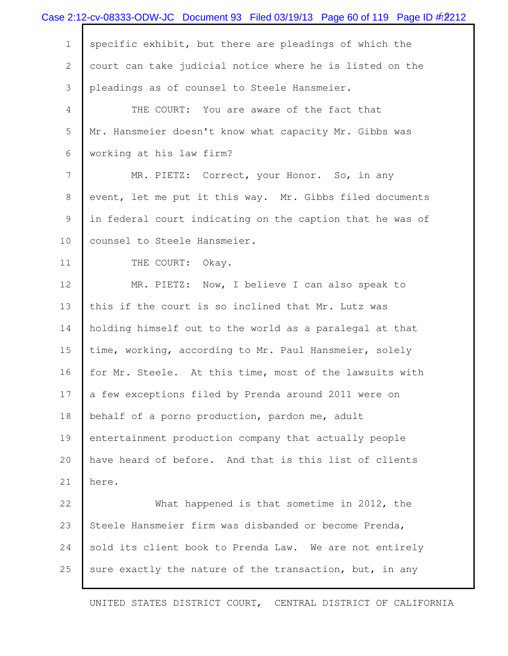|                | Case 2:12-cv-08333-ODW-JC Document 93 Filed 03/19/13 Page 60 of 119 Page ID $\#2$ 212 |
|----------------|---------------------------------------------------------------------------------------|
| $\mathbf 1$    | specific exhibit, but there are pleadings of which the                                |
| $\mathbf{2}$   | court can take judicial notice where he is listed on the                              |
| 3              | pleadings as of counsel to Steele Hansmeier.                                          |
| 4              | THE COURT: You are aware of the fact that                                             |
| 5              | Mr. Hansmeier doesn't know what capacity Mr. Gibbs was                                |
| 6              | working at his law firm?                                                              |
| $\overline{7}$ | MR. PIETZ: Correct, your Honor. So, in any                                            |
| 8              | event, let me put it this way. Mr. Gibbs filed documents                              |
| 9              | in federal court indicating on the caption that he was of                             |
| 10             | counsel to Steele Hansmeier.                                                          |
| 11             | THE COURT:<br>Okay.                                                                   |
| 12             | MR. PIETZ: Now, I believe I can also speak to                                         |
| 13             | this if the court is so inclined that Mr. Lutz was                                    |
| 14             | holding himself out to the world as a paralegal at that                               |
| 15             | time, working, according to Mr. Paul Hansmeier, solely                                |
| 16             | for Mr. Steele. At this time, most of the lawsuits with                               |
| 17             | a few exceptions filed by Prenda around 2011 were on                                  |
| 18             | behalf of a porno production, pardon me, adult                                        |
| 19             | entertainment production company that actually people                                 |
| 20             | have heard of before. And that is this list of clients                                |
| 21             | here.                                                                                 |
| 22             | What happened is that sometime in 2012, the                                           |
| 23             | Steele Hansmeier firm was disbanded or become Prenda,                                 |
| 24             | sold its client book to Prenda Law. We are not entirely                               |
| 25             | sure exactly the nature of the transaction, but, in any                               |
|                |                                                                                       |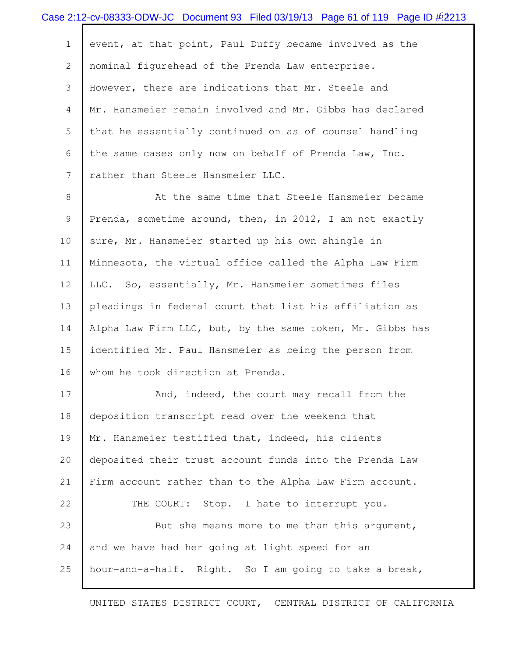|                | Case 2:12-cv-08333-ODW-JC Document 93 Filed 03/19/13 Page 61 of 119 Page ID #2213 |
|----------------|-----------------------------------------------------------------------------------|
| $\mathbf 1$    | event, at that point, Paul Duffy became involved as the                           |
| $\overline{2}$ | nominal figurehead of the Prenda Law enterprise.                                  |
| 3              | However, there are indications that Mr. Steele and                                |
| 4              | Mr. Hansmeier remain involved and Mr. Gibbs has declared                          |
| 5              | that he essentially continued on as of counsel handling                           |
| 6              | the same cases only now on behalf of Prenda Law, Inc.                             |
| $\overline{7}$ | rather than Steele Hansmeier LLC.                                                 |
| 8              | At the same time that Steele Hansmeier became                                     |
| 9              | Prenda, sometime around, then, in 2012, I am not exactly                          |
| 10             | sure, Mr. Hansmeier started up his own shingle in                                 |
| 11             | Minnesota, the virtual office called the Alpha Law Firm                           |
| 12             | LLC. So, essentially, Mr. Hansmeier sometimes files                               |
| 13             | pleadings in federal court that list his affiliation as                           |
| 14             | Alpha Law Firm LLC, but, by the same token, Mr. Gibbs has                         |
| 15             | identified Mr. Paul Hansmeier as being the person from                            |
| 16             | whom he took direction at Prenda.                                                 |
| 17             | And, indeed, the court may recall from the                                        |
| 18             | deposition transcript read over the weekend that                                  |
| 19             | Mr. Hansmeier testified that, indeed, his clients                                 |
| 20             | deposited their trust account funds into the Prenda Law                           |
| 21             | Firm account rather than to the Alpha Law Firm account.                           |
| 22             | THE COURT: Stop. I hate to interrupt you.                                         |
| 23             | But she means more to me than this argument,                                      |
| 24             | and we have had her going at light speed for an                                   |
| 25             | hour-and-a-half. Right. So I am going to take a break,                            |
|                |                                                                                   |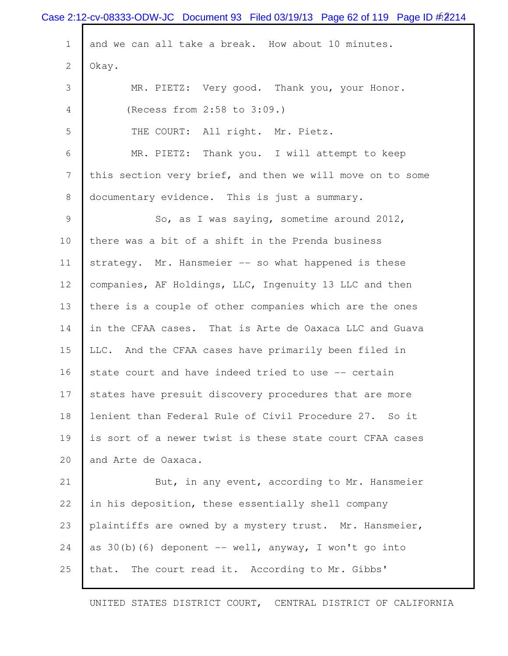|                 | Case 2:12-cv-08333-ODW-JC Document 93 Filed 03/19/13 Page 62 of 119 Page ID $\#2214$ |
|-----------------|--------------------------------------------------------------------------------------|
| $\mathbf{1}$    | and we can all take a break. How about 10 minutes.                                   |
| $\mathbf{2}$    | Okay.                                                                                |
| 3               | MR. PIETZ: Very good. Thank you, your Honor.                                         |
| 4               | (Recess from 2:58 to 3:09.)                                                          |
| 5               | THE COURT: All right. Mr. Pietz.                                                     |
| 6               | MR. PIETZ: Thank you. I will attempt to keep                                         |
| $7\phantom{.0}$ | this section very brief, and then we will move on to some                            |
| 8               | documentary evidence. This is just a summary.                                        |
| 9               | So, as I was saying, sometime around 2012,                                           |
| 10              | there was a bit of a shift in the Prenda business                                    |
| 11              | strategy. Mr. Hansmeier -- so what happened is these                                 |
| 12              | companies, AF Holdings, LLC, Ingenuity 13 LLC and then                               |
| 13              | there is a couple of other companies which are the ones                              |
| 14              | in the CFAA cases. That is Arte de Oaxaca LLC and Guava                              |
| 15              | LLC. And the CFAA cases have primarily been filed in                                 |
| 16              | state court and have indeed tried to use -- certain                                  |
| 17              | states have presuit discovery procedures that are more                               |
| 18              | lenient than Federal Rule of Civil Procedure 27. So it                               |
| 19              | is sort of a newer twist is these state court CFAA cases                             |
| 20              | and Arte de Oaxaca.                                                                  |
| 21              | But, in any event, according to Mr. Hansmeier                                        |
| 22              | in his deposition, these essentially shell company                                   |
| 23              | plaintiffs are owned by a mystery trust. Mr. Hansmeier,                              |
| 24              | as 30(b)(6) deponent -- well, anyway, I won't go into                                |
| 25              | that. The court read it. According to Mr. Gibbs'                                     |
|                 |                                                                                      |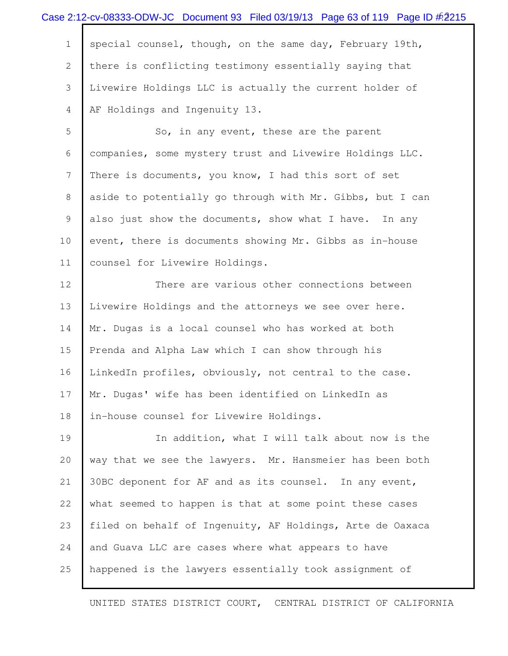|             | Case 2:12-cv-08333-ODW-JC Document 93 Filed 03/19/13 Page 63 of 119 Page ID #2215 |
|-------------|-----------------------------------------------------------------------------------|
| $\mathbf 1$ | special counsel, though, on the same day, February 19th,                          |
| 2           | there is conflicting testimony essentially saying that                            |
| 3           | Livewire Holdings LLC is actually the current holder of                           |
| 4           | AF Holdings and Ingenuity 13.                                                     |
| 5           | So, in any event, these are the parent                                            |
| 6           | companies, some mystery trust and Livewire Holdings LLC.                          |
| 7           | There is documents, you know, I had this sort of set                              |
| 8           | aside to potentially go through with Mr. Gibbs, but I can                         |
| 9           | also just show the documents, show what I have. In any                            |
| 10          | event, there is documents showing Mr. Gibbs as in-house                           |
| 11          | counsel for Livewire Holdings.                                                    |
| 12          | There are various other connections between                                       |
| 13          | Livewire Holdings and the attorneys we see over here.                             |
| 14          | Mr. Dugas is a local counsel who has worked at both                               |
| 15          | Prenda and Alpha Law which I can show through his                                 |
| 16          | LinkedIn profiles, obviously, not central to the case.                            |
| 17          | Mr. Dugas' wife has been identified on LinkedIn as                                |
| 18          | in-house counsel for Livewire Holdings.                                           |
| 19          | In addition, what I will talk about now is the                                    |
| 20          | way that we see the lawyers. Mr. Hansmeier has been both                          |
| 21          | 30BC deponent for AF and as its counsel. In any event,                            |
| 22          | what seemed to happen is that at some point these cases                           |
| 23          | filed on behalf of Ingenuity, AF Holdings, Arte de Oaxaca                         |
| 24          | and Guava LLC are cases where what appears to have                                |
| 25          | happened is the lawyers essentially took assignment of                            |
|             |                                                                                   |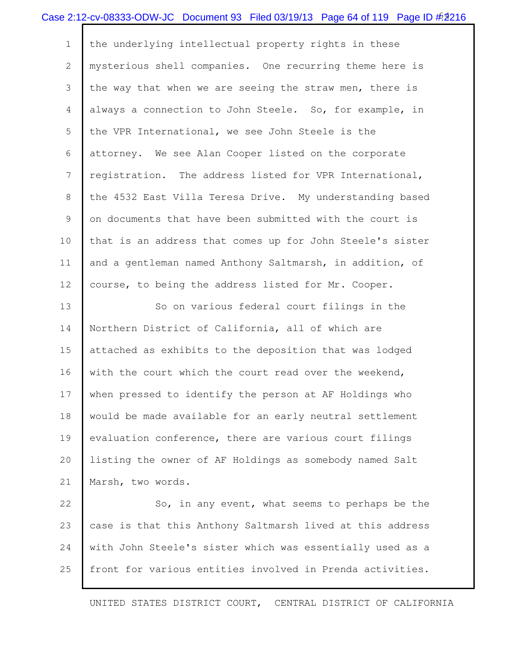|              | Case 2:12-cv-08333-ODW-JC Document 93 Filed 03/19/13 Page 64 of 119 Page ID #2216 |
|--------------|-----------------------------------------------------------------------------------|
| $\mathbf{1}$ | the underlying intellectual property rights in these                              |
| 2            | mysterious shell companies. One recurring theme here is                           |
| 3            | the way that when we are seeing the straw men, there is                           |
| 4            | always a connection to John Steele. So, for example, in                           |
| 5            | the VPR International, we see John Steele is the                                  |
| 6            | attorney. We see Alan Cooper listed on the corporate                              |
| 7            | registration. The address listed for VPR International,                           |
| 8            | the 4532 East Villa Teresa Drive. My understanding based                          |
| 9            | on documents that have been submitted with the court is                           |
| 10           | that is an address that comes up for John Steele's sister                         |
| 11           | and a gentleman named Anthony Saltmarsh, in addition, of                          |
| 12           | course, to being the address listed for Mr. Cooper.                               |
| 13           | So on various federal court filings in the                                        |
| 14           | Northern District of California, all of which are                                 |
| 15           | attached as exhibits to the deposition that was lodged                            |
| 16           | with the court which the court read over the weekend,                             |
| 17           | when pressed to identify the person at AF Holdings who                            |
| 18           | would be made available for an early neutral settlement                           |
| 19           | evaluation conference, there are various court filings                            |
| 20           | listing the owner of AF Holdings as somebody named Salt                           |
| 21           | Marsh, two words.                                                                 |
| 22           | So, in any event, what seems to perhaps be the                                    |
| 23           | case is that this Anthony Saltmarsh lived at this address                         |
| 24           | with John Steele's sister which was essentially used as a                         |
| 25           | front for various entities involved in Prenda activities.                         |
|              |                                                                                   |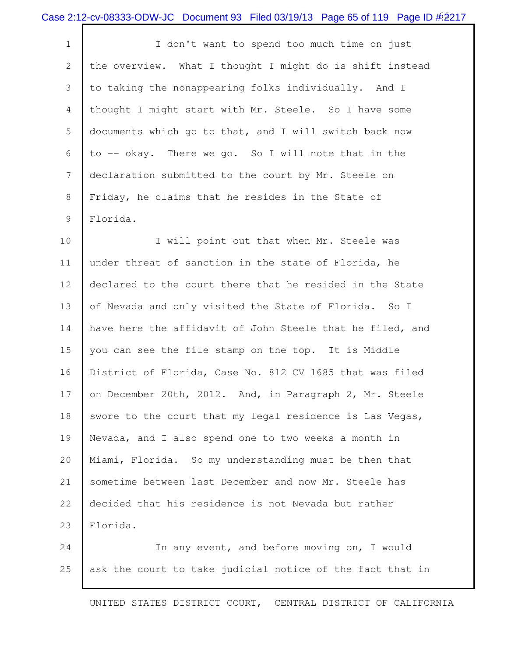|  | Case 2:12-cv-08333-ODW-JC Document 93 Filed 03/19/13 Page 65 of 119 Page ID #2217 |  |  |  |  |
|--|-----------------------------------------------------------------------------------|--|--|--|--|
|--|-----------------------------------------------------------------------------------|--|--|--|--|

1 I I don't want to spend too much time on just the overview. What I thought I might do is shift instead to taking the nonappearing folks individually. And I thought I might start with Mr. Steele. So I have some documents which go to that, and I will switch back now to -- okay. There we go. So I will note that in the declaration submitted to the court by Mr. Steele on Friday, he claims that he resides in the State of Florida.

10 I will point out that when Mr. Steele was under threat of sanction in the state of Florida, he declared to the court there that he resided in the State 13 of Nevada and only visited the State of Florida. So I 14 have here the affidavit of John Steele that he filed, and you can see the file stamp on the top. It is Middle District of Florida, Case No. 812 CV 1685 that was filed 17 on December 20th, 2012. And, in Paragraph 2, Mr. Steele 18 swore to the court that my legal residence is Las Vegas, Nevada, and I also spend one to two weeks a month in Miami, Florida. So my understanding must be then that sometime between last December and now Mr. Steele has decided that his residence is not Nevada but rather Florida.

 In any event, and before moving on, I would 25 ask the court to take judicial notice of the fact that in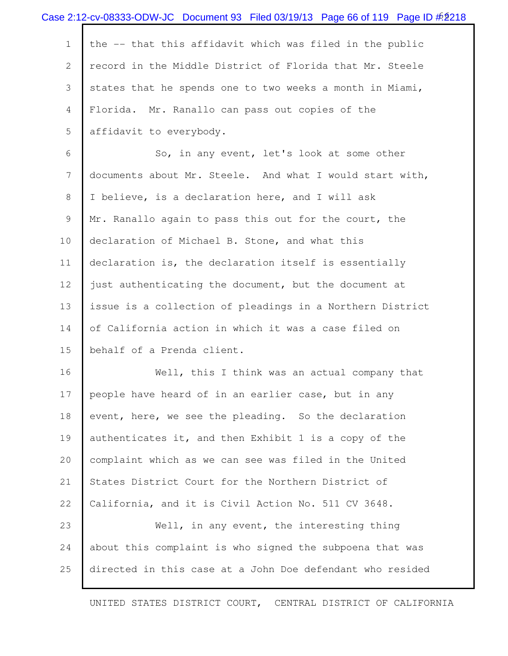|              | Case 2:12-cv-08333-ODW-JC Document 93 Filed 03/19/13 Page 66 of 119 Page ID $\frac{\#2}{218}$ |
|--------------|-----------------------------------------------------------------------------------------------|
| $\mathbf 1$  | the -- that this affidavit which was filed in the public                                      |
| $\mathbf{2}$ | record in the Middle District of Florida that Mr. Steele                                      |
| 3            | states that he spends one to two weeks a month in Miami,                                      |
| 4            | Florida. Mr. Ranallo can pass out copies of the                                               |
| 5            | affidavit to everybody.                                                                       |
| 6            | So, in any event, let's look at some other                                                    |
| 7            | documents about Mr. Steele. And what I would start with,                                      |
| 8            | I believe, is a declaration here, and I will ask                                              |
| 9            | Mr. Ranallo again to pass this out for the court, the                                         |
| 10           | declaration of Michael B. Stone, and what this                                                |
| 11           | declaration is, the declaration itself is essentially                                         |
| 12           | just authenticating the document, but the document at                                         |
| 13           | issue is a collection of pleadings in a Northern District                                     |
| 14           | of California action in which it was a case filed on                                          |
| 15           | behalf of a Prenda client.                                                                    |
| 16           | Well, this I think was an actual company that                                                 |
| 17           | people have heard of in an earlier case, but in any                                           |
| 18           | event, here, we see the pleading. So the declaration                                          |
| 19           | authenticates it, and then Exhibit 1 is a copy of the                                         |
| 20           | complaint which as we can see was filed in the United                                         |
| 21           | States District Court for the Northern District of                                            |
| 22           | California, and it is Civil Action No. 511 CV 3648.                                           |
| 23           | Well, in any event, the interesting thing                                                     |
| 24           | about this complaint is who signed the subpoena that was                                      |
| 25           | directed in this case at a John Doe defendant who resided                                     |
|              |                                                                                               |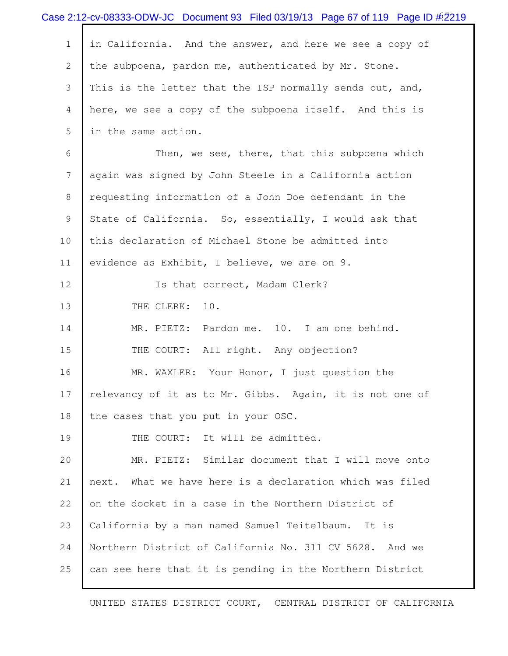|                | Case 2:12-cv-08333-ODW-JC Document 93 Filed 03/19/13 Page 67 of 119 Page ID #2219 |
|----------------|-----------------------------------------------------------------------------------|
| $\mathbf 1$    | in California. And the answer, and here we see a copy of                          |
| $\mathbf{2}$   | the subpoena, pardon me, authenticated by Mr. Stone.                              |
| 3              | This is the letter that the ISP normally sends out, and,                          |
| $\overline{4}$ | here, we see a copy of the subpoena itself. And this is                           |
| 5              | in the same action.                                                               |
| 6              | Then, we see, there, that this subpoena which                                     |
| $7\phantom{.}$ | again was signed by John Steele in a California action                            |
| 8              | requesting information of a John Doe defendant in the                             |
| 9              | State of California. So, essentially, I would ask that                            |
| 10             | this declaration of Michael Stone be admitted into                                |
| 11             | evidence as Exhibit, I believe, we are on 9.                                      |
| 12             | Is that correct, Madam Clerk?                                                     |
| 13             | THE CLERK: 10.                                                                    |
| 14             | MR. PIETZ: Pardon me. 10. I am one behind.                                        |
| 15             | THE COURT: All right. Any objection?                                              |
| 16             | MR. WAXLER: Your Honor, I just question the                                       |
| 17             | relevancy of it as to Mr. Gibbs. Again, it is not one of                          |
| 18             | the cases that you put in your OSC.                                               |
| 19             | THE COURT: It will be admitted.                                                   |
| 20             | MR. PIETZ: Similar document that I will move onto                                 |
| 21             | next. What we have here is a declaration which was filed                          |
| 22             | on the docket in a case in the Northern District of                               |
| 23             | California by a man named Samuel Teitelbaum.<br>It is                             |
| 24             | Northern District of California No. 311 CV 5628. And we                           |
| 25             | can see here that it is pending in the Northern District                          |
|                |                                                                                   |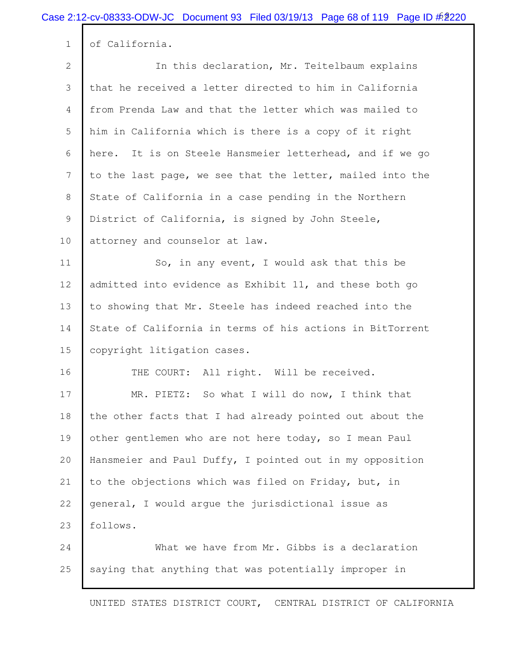1 of California.

 In this declaration, Mr. Teitelbaum explains that he received a letter directed to him in California from Prenda Law and that the letter which was mailed to him in California which is there is a copy of it right here. It is on Steele Hansmeier letterhead, and if we go to the last page, we see that the letter, mailed into the 8 State of California in a case pending in the Northern 9 District of California, is signed by John Steele, 10 | attorney and counselor at law. 11 So, in any event, I would ask that this be admitted into evidence as Exhibit 11, and these both go to showing that Mr. Steele has indeed reached into the State of California in terms of his actions in BitTorrent

15 | copyright litigation cases.

16 THE COURT: All right. Will be received.

 MR. PIETZ: So what I will do now, I think that the other facts that I had already pointed out about the other gentlemen who are not here today, so I mean Paul Hansmeier and Paul Duffy, I pointed out in my opposition 21 to the objections which was filed on Friday, but, in general, I would argue the jurisdictional issue as 23 | follows.

24 What we have from Mr. Gibbs is a declaration 25 saying that anything that was potentially improper in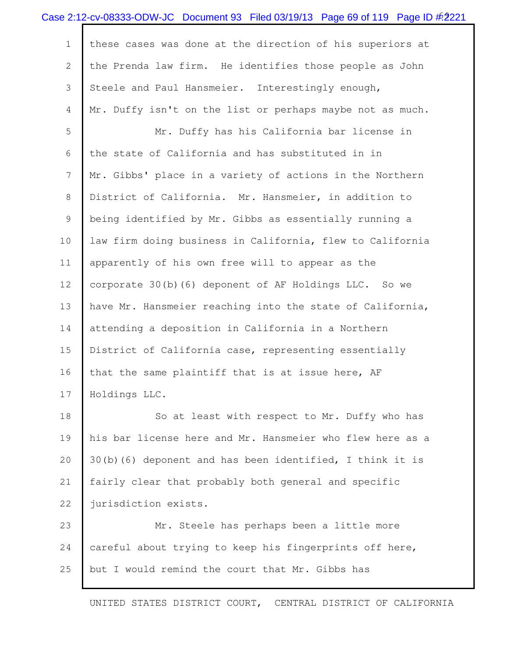|              | Case 2:12-cv-08333-ODW-JC Document 93 Filed 03/19/13 Page 69 of 119 Page ID $\#2221$ |
|--------------|--------------------------------------------------------------------------------------|
| $\mathbf 1$  | these cases was done at the direction of his superiors at                            |
| $\mathbf{2}$ | the Prenda law firm. He identifies those people as John                              |
| 3            | Steele and Paul Hansmeier. Interestingly enough,                                     |
| 4            | Mr. Duffy isn't on the list or perhaps maybe not as much.                            |
| 5            | Mr. Duffy has his California bar license in                                          |
| 6            | the state of California and has substituted in in                                    |
| 7            | Mr. Gibbs' place in a variety of actions in the Northern                             |
| 8            | District of California. Mr. Hansmeier, in addition to                                |
| 9            | being identified by Mr. Gibbs as essentially running a                               |
| 10           | law firm doing business in California, flew to California                            |
| 11           | apparently of his own free will to appear as the                                     |
| 12           | corporate 30(b)(6) deponent of AF Holdings LLC. So we                                |
| 13           | have Mr. Hansmeier reaching into the state of California,                            |
| 14           | attending a deposition in California in a Northern                                   |
| 15           | District of California case, representing essentially                                |
| 16           | that the same plaintiff that is at issue here, AF                                    |
| 17           | Holdings LLC.                                                                        |
| 18           | So at least with respect to Mr. Duffy who has                                        |
| 19           | his bar license here and Mr. Hansmeier who flew here as a                            |
| 20           | 30(b)(6) deponent and has been identified, I think it is                             |
| 21           | fairly clear that probably both general and specific                                 |
| 22           | jurisdiction exists.                                                                 |

 Mr. Steele has perhaps been a little more careful about trying to keep his fingerprints off here, but I would remind the court that Mr. Gibbs has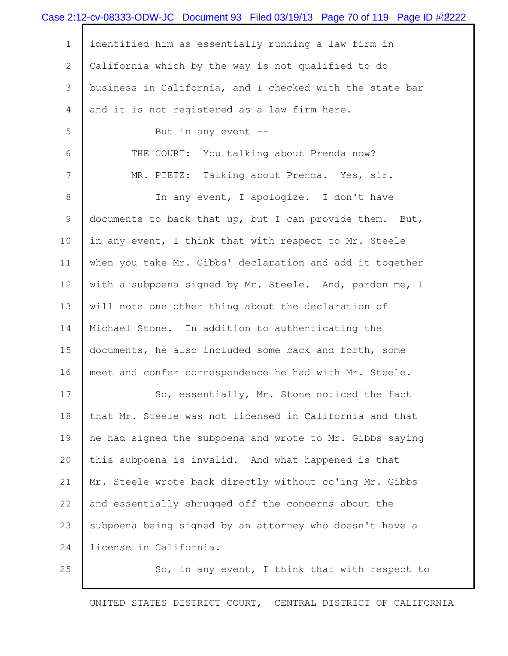|              | Case 2:12-cv-08333-ODW-JC Document 93 Filed 03/19/13 Page 70 of 119 Page ID $#2222$ |
|--------------|-------------------------------------------------------------------------------------|
| $\mathbf 1$  | identified him as essentially running a law firm in                                 |
| $\mathbf{2}$ | California which by the way is not qualified to do                                  |
| 3            | business in California, and I checked with the state bar                            |
| 4            | and it is not registered as a law firm here.                                        |
| 5            | But in any event $-$                                                                |
| 6            | THE COURT: You talking about Prenda now?                                            |
| 7            | MR. PIETZ: Talking about Prenda. Yes, sir.                                          |
| 8            | In any event, I apologize. I don't have                                             |
| 9            | documents to back that up, but I can provide them. But,                             |
| 10           | in any event, I think that with respect to Mr. Steele                               |
| 11           | when you take Mr. Gibbs' declaration and add it together                            |
| 12           | with a subpoena signed by Mr. Steele. And, pardon me, I                             |
| 13           | will note one other thing about the declaration of                                  |
| 14           | Michael Stone. In addition to authenticating the                                    |
| 15           | documents, he also included some back and forth, some                               |
| 16           | meet and confer correspondence he had with Mr. Steele.                              |
| 17           | So, essentially, Mr. Stone noticed the fact                                         |
| 18           | that Mr. Steele was not licensed in California and that                             |
| 19           | he had signed the subpoena and wrote to Mr. Gibbs saying                            |
| 20           | this subpoena is invalid. And what happened is that                                 |
| 21           | Mr. Steele wrote back directly without cc'ing Mr. Gibbs                             |
| 22           | and essentially shrugged off the concerns about the                                 |
| 23           | subpoena being signed by an attorney who doesn't have a                             |
| 24           | license in California.                                                              |
| 25           | So, in any event, I think that with respect to                                      |
|              |                                                                                     |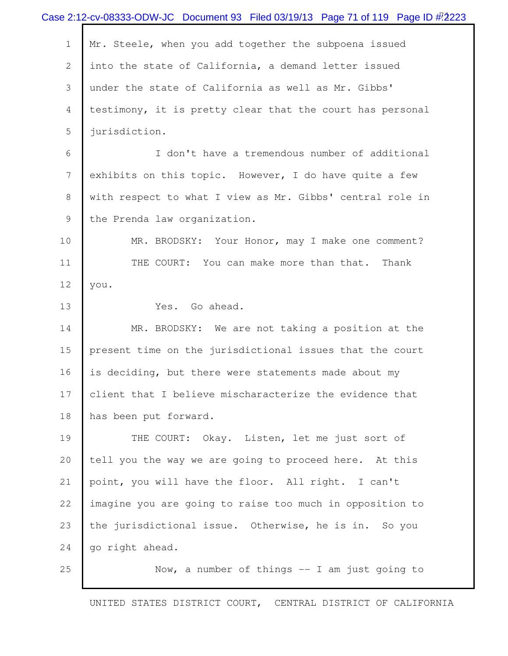| Case 2:12-cv-08333-ODW-JC Document 93 Filed 03/19/13 Page 71 of 119 Page ID $\#2223$ |
|--------------------------------------------------------------------------------------|
| Mr. Steele, when you add together the subpoena issued                                |
| into the state of California, a demand letter issued                                 |
| under the state of California as well as Mr. Gibbs'                                  |
| testimony, it is pretty clear that the court has personal                            |
| jurisdiction.                                                                        |
| I don't have a tremendous number of additional                                       |
| exhibits on this topic. However, I do have quite a few                               |
| with respect to what I view as Mr. Gibbs' central role in                            |
| the Prenda law organization.                                                         |
| MR. BRODSKY: Your Honor, may I make one comment?                                     |
| THE COURT: You can make more than that. Thank                                        |
| you.                                                                                 |
| Yes. Go ahead.                                                                       |
| MR. BRODSKY: We are not taking a position at the                                     |
| present time on the jurisdictional issues that the court                             |
| is deciding, but there were statements made about my                                 |
| client that I believe mischaracterize the evidence that                              |
| has been put forward.                                                                |
| THE COURT: Okay. Listen, let me just sort of                                         |
| tell you the way we are going to proceed here. At this                               |
| point, you will have the floor. All right. I can't                                   |
| imagine you are going to raise too much in opposition to                             |
| the jurisdictional issue. Otherwise, he is in. So you                                |
| go right ahead.                                                                      |
| Now, a number of things $-$ I am just going to                                       |
|                                                                                      |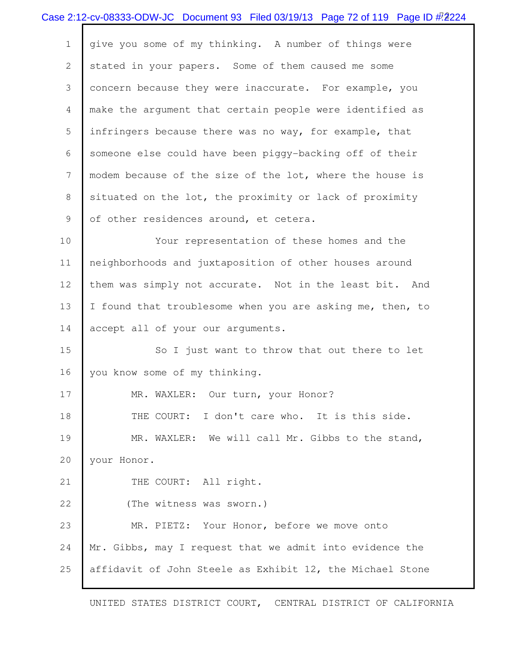|                           | Case 2:12-cv-08333-ODW-JC Document 93 Filed 03/19/13 Page 72 of 119 Page ID $#2224$ |
|---------------------------|-------------------------------------------------------------------------------------|
| $\mathbf 1$               | give you some of my thinking. A number of things were                               |
| $\mathbf{2}^{\mathsf{I}}$ | stated in your papers. Some of them caused me some                                  |
| 3                         | concern because they were inaccurate. For example, you                              |
| 4                         | make the argument that certain people were identified as                            |
| 5                         | infringers because there was no way, for example, that                              |
| 6                         | someone else could have been piggy-backing off of their                             |
| 7                         | modem because of the size of the lot, where the house is                            |
| 8                         | situated on the lot, the proximity or lack of proximity                             |
| 9                         | of other residences around, et cetera.                                              |
| 10 <sub>o</sub>           | Your representation of these homes and the                                          |
| 11                        | neighborhoods and juxtaposition of other houses around                              |
| 12                        | them was simply not accurate. Not in the least bit. And                             |
| 13                        | I found that troublesome when you are asking me, then, to                           |
| 14                        | accept all of your our arguments.                                                   |
| 15                        | So I just want to throw that out there to let                                       |
| 16                        | you know some of my thinking.                                                       |
| 17                        | MR. WAXLER: Our turn, your Honor?                                                   |
| 18                        | THE COURT: I don't care who. It is this side.                                       |
| 19                        | MR. WAXLER: We will call Mr. Gibbs to the stand,                                    |
| 20                        | your Honor.                                                                         |
| 21                        | THE COURT: All right.                                                               |
| 22                        | (The witness was sworn.)                                                            |
| 23                        | MR. PIETZ: Your Honor, before we move onto                                          |
| 24                        | Mr. Gibbs, may I request that we admit into evidence the                            |
| 25                        | affidavit of John Steele as Exhibit 12, the Michael Stone                           |
|                           |                                                                                     |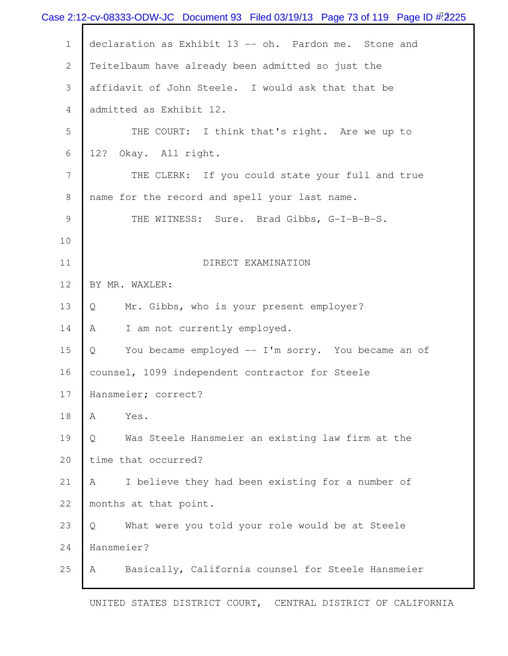|                | Case 2:12-cv-08333-ODW-JC Document 93 Filed 03/19/13 Page 73 of 119 Page ID $#2225$ |
|----------------|-------------------------------------------------------------------------------------|
| $\mathbf 1$    | declaration as Exhibit 13 -- oh. Pardon me. Stone and                               |
| $\overline{2}$ | Teitelbaum have already been admitted so just the                                   |
| 3              | affidavit of John Steele. I would ask that that be                                  |
| 4              | admitted as Exhibit 12.                                                             |
| 5              | THE COURT: I think that's right. Are we up to                                       |
| 6              | 12? Okay. All right.                                                                |
| 7              | THE CLERK: If you could state your full and true                                    |
| 8              | name for the record and spell your last name.                                       |
| 9              | THE WITNESS: Sure. Brad Gibbs, G-I-B-B-S.                                           |
| 10             |                                                                                     |
| 11             | DIRECT EXAMINATION                                                                  |
| 12             | BY MR. WAXLER:                                                                      |
| 13             | Mr. Gibbs, who is your present employer?<br>Q                                       |
| 14             | I am not currently employed.<br>Α                                                   |
| 15             | You became employed -- I'm sorry. You became an of<br>Q                             |
| 16             | counsel, 1099 independent contractor for Steele                                     |
| 17             | Hansmeier; correct?                                                                 |
| 18             | Yes.<br>A                                                                           |
| 19             | Was Steele Hansmeier an existing law firm at the<br>Q                               |
| 20             | time that occurred?                                                                 |
| 21             | I believe they had been existing for a number of<br>A                               |
| 22             | months at that point.                                                               |
| 23             | What were you told your role would be at Steele<br>Q                                |
| 24             | Hansmeier?                                                                          |
| 25             | Basically, California counsel for Steele Hansmeier<br>Α                             |
|                |                                                                                     |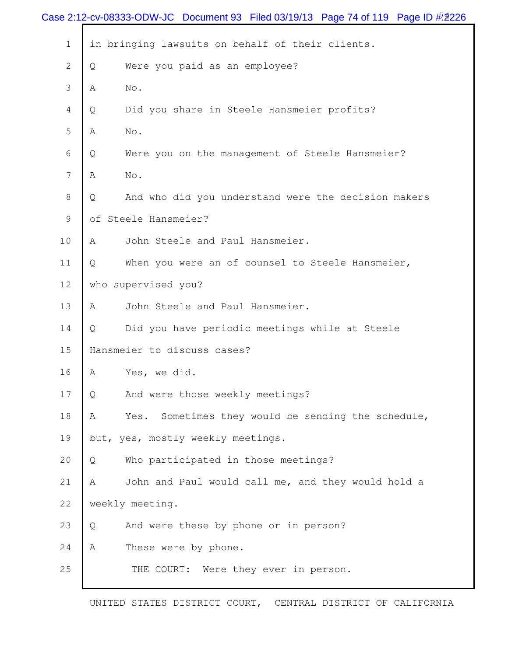|              | Case 2:12-cv-08333-ODW-JC Document 93 Filed 03/19/13 Page 74 of 119 Page ID $\#$ 2226 |  |
|--------------|---------------------------------------------------------------------------------------|--|
| $\mathbf 1$  | in bringing lawsuits on behalf of their clients.                                      |  |
| $\mathbf{2}$ | Were you paid as an employee?<br>Q                                                    |  |
| 3            | Α<br>No.                                                                              |  |
| 4            | Did you share in Steele Hansmeier profits?<br>Q                                       |  |
| 5            | No.<br>Α                                                                              |  |
| 6            | Were you on the management of Steele Hansmeier?<br>Q                                  |  |
| 7            | No.<br>Α                                                                              |  |
| 8            | And who did you understand were the decision makers<br>Q                              |  |
| 9            | of Steele Hansmeier?                                                                  |  |
| 10           | John Steele and Paul Hansmeier.<br>Α                                                  |  |
| 11           | When you were an of counsel to Steele Hansmeier,<br>Q                                 |  |
| 12           | who supervised you?                                                                   |  |
| 13           | John Steele and Paul Hansmeier.<br>Α                                                  |  |
| 14           | Did you have periodic meetings while at Steele<br>Q                                   |  |
| 15           | Hansmeier to discuss cases?                                                           |  |
| 16           | Yes, we did.<br>Α                                                                     |  |
| 17           | And were those weekly meetings?<br>Q                                                  |  |
| 18           | Sometimes they would be sending the schedule,<br>Α<br>Yes.                            |  |
| 19           | but, yes, mostly weekly meetings.                                                     |  |
| 20           | Who participated in those meetings?<br>Q                                              |  |
| 21           | John and Paul would call me, and they would hold a<br>Α                               |  |
| 22           | weekly meeting.                                                                       |  |
| 23           | And were these by phone or in person?<br>Q                                            |  |
| 24           | These were by phone.<br>Α                                                             |  |
| 25           | THE COURT: Were they ever in person.                                                  |  |
|              |                                                                                       |  |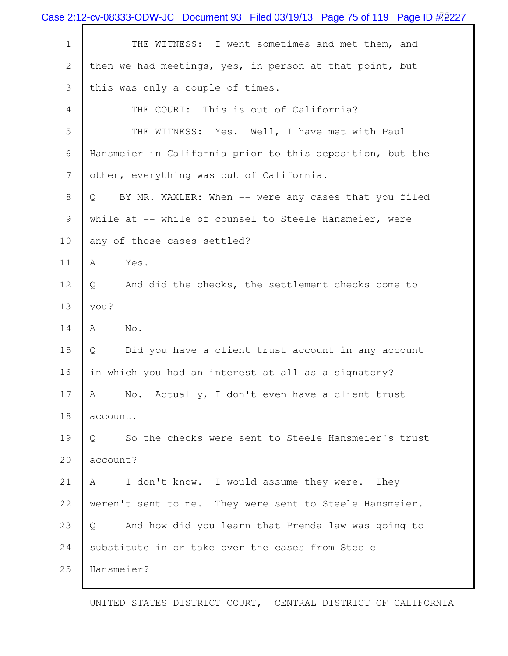|             | Case 2:12-cv-08333-ODW-JC Document 93 Filed 03/19/13 Page 75 of 119 Page ID $#2$ 227 |
|-------------|--------------------------------------------------------------------------------------|
| $\mathbf 1$ | THE WITNESS: I went sometimes and met them, and                                      |
| 2           | then we had meetings, yes, in person at that point, but                              |
| 3           | this was only a couple of times.                                                     |
| 4           | THE COURT: This is out of California?                                                |
| 5           | THE WITNESS: Yes. Well, I have met with Paul                                         |
| 6           | Hansmeier in California prior to this deposition, but the                            |
| 7           | other, everything was out of California.                                             |
| 8           | BY MR. WAXLER: When -- were any cases that you filed<br>Q                            |
| 9           | while at -- while of counsel to Steele Hansmeier, were                               |
| 10          | any of those cases settled?                                                          |
| 11          | A<br>Yes.                                                                            |
| 12          | And did the checks, the settlement checks come to<br>Q                               |
| 13          | you?                                                                                 |
| 14          | A<br>No.                                                                             |
| 15          | Did you have a client trust account in any account<br>Q                              |
| 16          | in which you had an interest at all as a signatory?                                  |
| 17          | No. Actually, I don't even have a client trust<br>A                                  |
| 18          | account.                                                                             |
| 19          | So the checks were sent to Steele Hansmeier's trust<br>Q                             |
| 20          | account?                                                                             |
| 21          | A<br>I don't know. I would assume they were. They                                    |
| 22          | weren't sent to me. They were sent to Steele Hansmeier.                              |
| 23          | And how did you learn that Prenda law was going to<br>Q                              |
| 24          | substitute in or take over the cases from Steele                                     |
| 25          | Hansmeier?                                                                           |
|             |                                                                                      |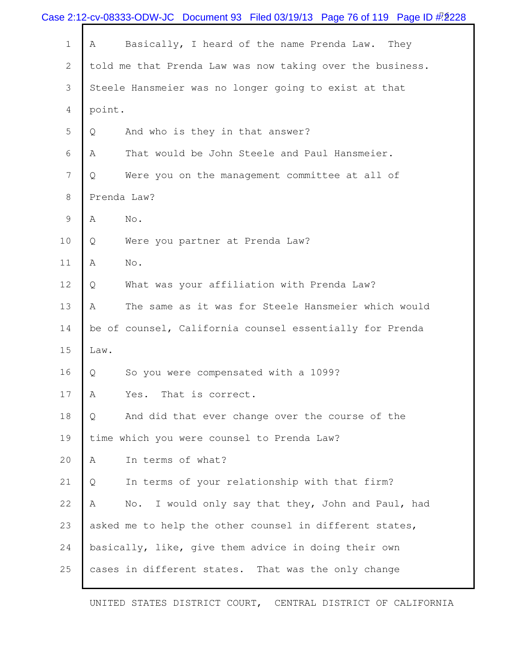|                |        | Case 2:12-cv-08333-ODW-JC Document 93 Filed 03/19/13 Page 76 of 119 Page ID $\#$ 2228 |
|----------------|--------|---------------------------------------------------------------------------------------|
| $\mathbf 1$    | Α      | Basically, I heard of the name Prenda Law.<br>They                                    |
| $\mathbf{2}$   |        | told me that Prenda Law was now taking over the business.                             |
| 3              |        | Steele Hansmeier was no longer going to exist at that                                 |
| 4              | point. |                                                                                       |
| 5              | Q      | And who is they in that answer?                                                       |
| 6              | Α      | That would be John Steele and Paul Hansmeier.                                         |
| $7\phantom{.}$ | Q      | Were you on the management committee at all of                                        |
| $8\,$          |        | Prenda Law?                                                                           |
| $\mathsf 9$    | A      | No.                                                                                   |
| 10             | Q      | Were you partner at Prenda Law?                                                       |
| 11             | A      | No.                                                                                   |
| 12             | Q      | What was your affiliation with Prenda Law?                                            |
| 13             | Α      | The same as it was for Steele Hansmeier which would                                   |
| 14             |        | be of counsel, California counsel essentially for Prenda                              |
| 15             | Law.   |                                                                                       |
| 16             | Q      | So you were compensated with a 1099?                                                  |
| 17             | Α      | That is correct.<br>Yes.                                                              |
| 18             | Q      | And did that ever change over the course of the                                       |
| 19             |        | time which you were counsel to Prenda Law?                                            |
| 20             | A      | In terms of what?                                                                     |
| 21             | Q      | In terms of your relationship with that firm?                                         |
| 22             | Α      | No. I would only say that they, John and Paul, had                                    |
| 23             |        | asked me to help the other counsel in different states,                               |
| 24             |        | basically, like, give them advice in doing their own                                  |
| 25             |        | cases in different states. That was the only change                                   |
|                |        |                                                                                       |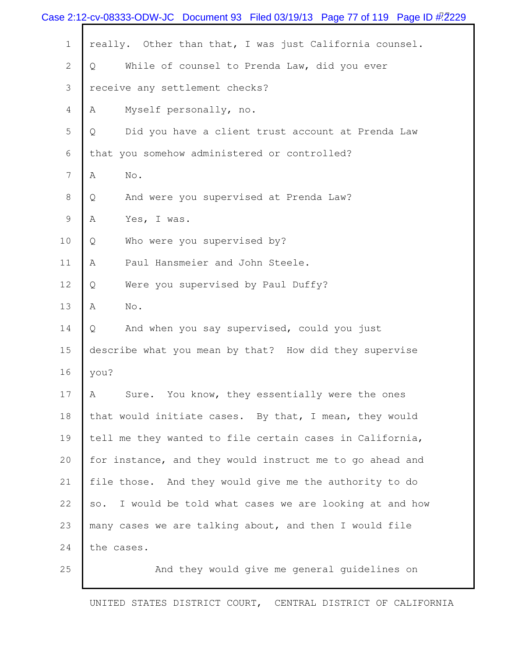|                | Case 2:12-cv-08333-ODW-JC Document 93 Filed 03/19/13 Page 77 of 119 Page ID $\#$ . 2229 |
|----------------|-----------------------------------------------------------------------------------------|
| $\mathbf 1$    | really. Other than that, I was just California counsel.                                 |
| $\overline{2}$ | While of counsel to Prenda Law, did you ever<br>Q                                       |
| 3              | receive any settlement checks?                                                          |
| 4              | Myself personally, no.<br>Α                                                             |
| 5              | Did you have a client trust account at Prenda Law<br>Q                                  |
| 6              | that you somehow administered or controlled?                                            |
| $\overline{7}$ | No.<br>Α                                                                                |
| 8              | And were you supervised at Prenda Law?<br>Q                                             |
| 9              | Yes, I was.<br>Α                                                                        |
| 10             | Who were you supervised by?<br>Q                                                        |
| 11             | Paul Hansmeier and John Steele.<br>Α                                                    |
| 12             | Were you supervised by Paul Duffy?<br>Q                                                 |
| 13             | Α<br>No.                                                                                |
| 14             | And when you say supervised, could you just<br>Q                                        |
| 15             | describe what you mean by that? How did they supervise                                  |
| 16             | you?                                                                                    |
| 17             | Sure. You know, they essentially were the ones<br>A                                     |
| 18             | that would initiate cases. By that, I mean, they would                                  |
| 19             | tell me they wanted to file certain cases in California,                                |
| 20             | for instance, and they would instruct me to go ahead and                                |
| 21             | file those. And they would give me the authority to do                                  |
| 22             | I would be told what cases we are looking at and how<br>SO.                             |
| 23             | many cases we are talking about, and then I would file                                  |
| 24             | the cases.                                                                              |
| 25             | And they would give me general guidelines on                                            |
|                |                                                                                         |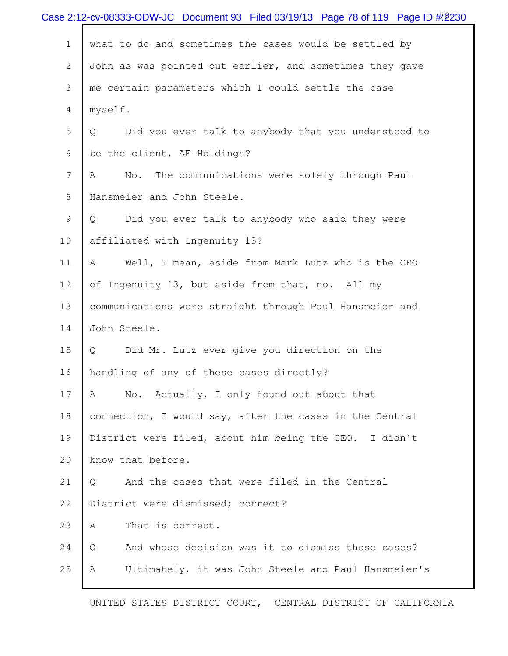|             | Case 2:12-cv-08333-ODW-JC Document 93 Filed 03/19/13 Page 78 of 119 Page ID $#2230$ |
|-------------|-------------------------------------------------------------------------------------|
| $\mathbf 1$ | what to do and sometimes the cases would be settled by                              |
| 2           | John as was pointed out earlier, and sometimes they gave                            |
| 3           | me certain parameters which I could settle the case                                 |
| 4           | myself.                                                                             |
| 5           | Did you ever talk to anybody that you understood to<br>Q                            |
| 6           | be the client, AF Holdings?                                                         |
| 7           | The communications were solely through Paul<br>No.<br>A                             |
| 8           | Hansmeier and John Steele.                                                          |
| 9           | Did you ever talk to anybody who said they were<br>Q                                |
| 10          | affiliated with Ingenuity 13?                                                       |
| 11          | Well, I mean, aside from Mark Lutz who is the CEO<br>A                              |
| 12          | of Ingenuity 13, but aside from that, no. All my                                    |
| 13          | communications were straight through Paul Hansmeier and                             |
| 14          | John Steele.                                                                        |
| 15          | Did Mr. Lutz ever give you direction on the<br>Q                                    |
| 16          | handling of any of these cases directly?                                            |
| 17          | No. Actually, I only found out about that<br>A                                      |
| 18          | connection, I would say, after the cases in the Central                             |
| 19          | District were filed, about him being the CEO. I didn't                              |
| 20          | know that before.                                                                   |
| 21          | And the cases that were filed in the Central<br>Q                                   |
| 22          | District were dismissed; correct?                                                   |
| 23          | That is correct.<br>A                                                               |
| 24          | And whose decision was it to dismiss those cases?<br>Q                              |
| 25          | Ultimately, it was John Steele and Paul Hansmeier's<br>Α                            |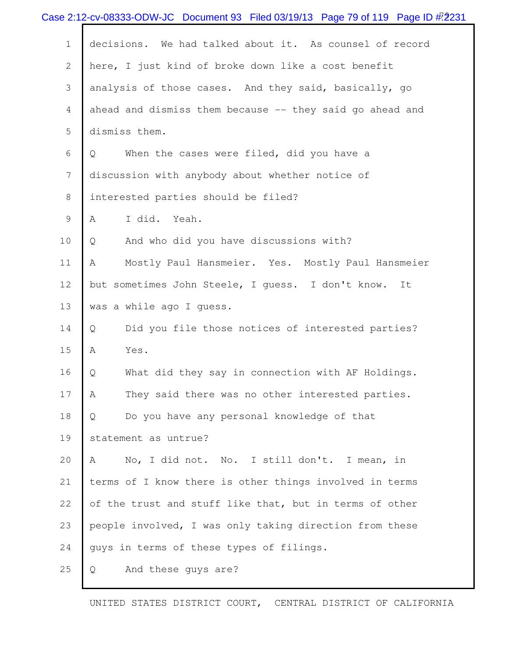|                | Case 2:12-cv-08333-ODW-JC Document 93 Filed 03/19/13 Page 79 of 119 Page ID $#2231$ |
|----------------|-------------------------------------------------------------------------------------|
| $1\,$          | decisions. We had talked about it. As counsel of record                             |
| $\mathbf{2}$   | here, I just kind of broke down like a cost benefit                                 |
| 3              | analysis of those cases. And they said, basically, go                               |
| $\overline{4}$ | ahead and dismiss them because -- they said go ahead and                            |
| 5              | dismiss them.                                                                       |
| 6              | When the cases were filed, did you have a<br>Q                                      |
| 7              | discussion with anybody about whether notice of                                     |
| 8              | interested parties should be filed?                                                 |
| 9              | I did. Yeah.<br>Α                                                                   |
| 10             | And who did you have discussions with?<br>Q                                         |
| 11             | Mostly Paul Hansmeier. Yes. Mostly Paul Hansmeier<br>A                              |
| 12             | but sometimes John Steele, I guess. I don't know.<br>It                             |
| 13             | was a while ago I guess.                                                            |
| 14             | Did you file those notices of interested parties?<br>Q                              |
| 15             | A<br>Yes.                                                                           |
| 16             | What did they say in connection with AF Holdings.<br>Q                              |
| 17             | Α<br>They said there was no other interested parties.                               |
| 18             | Do you have any personal knowledge of that<br>Q                                     |
| 19             | statement as untrue?                                                                |
| 20             | No, I did not. No. I still don't. I mean, in<br>A                                   |
| 21             | terms of I know there is other things involved in terms                             |
| 22             | of the trust and stuff like that, but in terms of other                             |
| 23             | people involved, I was only taking direction from these                             |
| 24             | guys in terms of these types of filings.                                            |
| 25             | And these guys are?<br>Q                                                            |
|                |                                                                                     |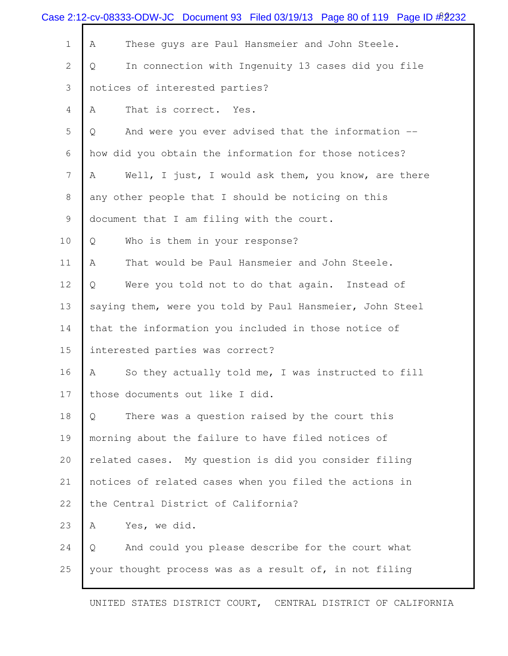| Case 2:12-cv-08333-ODW-JC Document 93 Filed 03/19/13 Page 80 of 119 Page ID $\frac{\cancel{0.0016}}{\cancel{0.0016}}$ |                                                          |  |
|-----------------------------------------------------------------------------------------------------------------------|----------------------------------------------------------|--|
| $\mathbf 1$                                                                                                           | These guys are Paul Hansmeier and John Steele.<br>A      |  |
| $\mathbf{2}$                                                                                                          | In connection with Ingenuity 13 cases did you file<br>Q  |  |
| 3                                                                                                                     | notices of interested parties?                           |  |
| 4                                                                                                                     | That is correct. Yes.<br>A                               |  |
| 5                                                                                                                     | And were you ever advised that the information --<br>Q   |  |
| 6                                                                                                                     | how did you obtain the information for those notices?    |  |
| 7                                                                                                                     | Well, I just, I would ask them, you know, are there<br>Α |  |
| 8                                                                                                                     | any other people that I should be noticing on this       |  |
| 9                                                                                                                     | document that I am filing with the court.                |  |
| 10                                                                                                                    | Who is them in your response?<br>Q                       |  |
| 11                                                                                                                    | That would be Paul Hansmeier and John Steele.<br>A       |  |
| 12                                                                                                                    | Were you told not to do that again. Instead of<br>Q      |  |
| 13                                                                                                                    | saying them, were you told by Paul Hansmeier, John Steel |  |
| 14                                                                                                                    | that the information you included in those notice of     |  |
| 15                                                                                                                    | interested parties was correct?                          |  |
| 16                                                                                                                    | So they actually told me, I was instructed to fill<br>Α  |  |
| 17                                                                                                                    | those documents out like I did.                          |  |
| 18                                                                                                                    | There was a question raised by the court this<br>Q       |  |
| 19                                                                                                                    | morning about the failure to have filed notices of       |  |
| 20                                                                                                                    | related cases. My question is did you consider filing    |  |
| 21                                                                                                                    | notices of related cases when you filed the actions in   |  |
| 22                                                                                                                    | the Central District of California?                      |  |
| 23                                                                                                                    | Yes, we did.<br>A                                        |  |
| 24                                                                                                                    | And could you please describe for the court what<br>Q    |  |
| 25                                                                                                                    | your thought process was as a result of, in not filing   |  |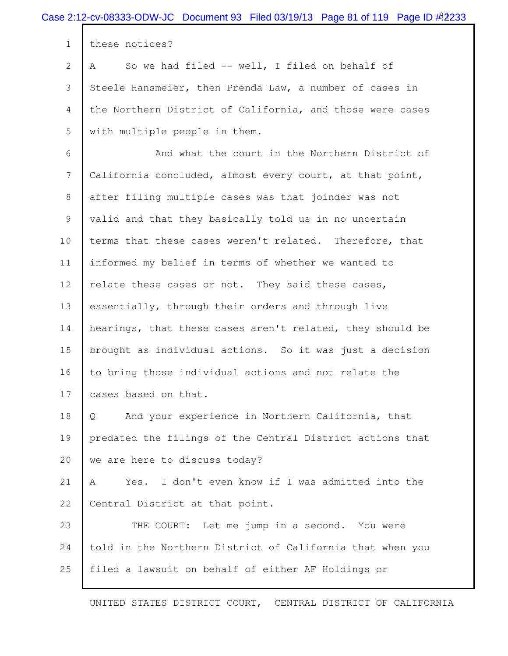|                | Case 2:12-cv-08333-ODW-JC Document 93 Filed 03/19/13 Page 81 of 119 Page ID $\frac{\cancel{0.2233}}{\cancel{0.2233}}$ |
|----------------|-----------------------------------------------------------------------------------------------------------------------|
| $\mathbf 1$    | these notices?                                                                                                        |
| $\mathbf{2}$   | So we had filed -- well, I filed on behalf of<br>A                                                                    |
| 3              | Steele Hansmeier, then Prenda Law, a number of cases in                                                               |
| 4              | the Northern District of California, and those were cases                                                             |
| 5              | with multiple people in them.                                                                                         |
| 6              | And what the court in the Northern District of                                                                        |
| $7\phantom{.}$ | California concluded, almost every court, at that point,                                                              |
| 8              | after filing multiple cases was that joinder was not                                                                  |
| 9              | valid and that they basically told us in no uncertain                                                                 |
| 10             | terms that these cases weren't related. Therefore, that                                                               |
| 11             | informed my belief in terms of whether we wanted to                                                                   |
| 12             | relate these cases or not. They said these cases,                                                                     |
| 13             | essentially, through their orders and through live                                                                    |
| 14             | hearings, that these cases aren't related, they should be                                                             |
| 15             | brought as individual actions. So it was just a decision                                                              |
| 16             | to bring those individual actions and not relate the                                                                  |
| 17             | cases based on that.                                                                                                  |
| 18             | And your experience in Northern California, that<br>Q                                                                 |
| 19             | predated the filings of the Central District actions that                                                             |
| 20             | we are here to discuss today?                                                                                         |
| 21             | I don't even know if I was admitted into the<br>Α<br>Yes.                                                             |
| 22             | Central District at that point.                                                                                       |
| 23             | THE COURT: Let me jump in a second. You were                                                                          |
| 24             | told in the Northern District of California that when you                                                             |
| 25             | filed a lawsuit on behalf of either AF Holdings or                                                                    |
|                |                                                                                                                       |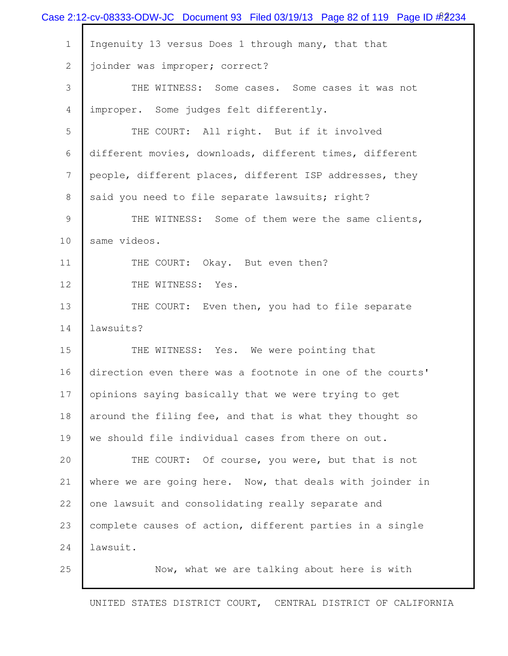|                 | Case 2:12-cv-08333-ODW-JC Document 93 Filed 03/19/13 Page 82 of 119 Page ID $\frac{\#2234}{}$ |
|-----------------|-----------------------------------------------------------------------------------------------|
| $\mathbf 1$     | Ingenuity 13 versus Does 1 through many, that that                                            |
| $\mathbf{2}$    | joinder was improper; correct?                                                                |
| 3               | THE WITNESS: Some cases. Some cases it was not                                                |
| $\overline{4}$  | improper. Some judges felt differently.                                                       |
| 5               | THE COURT: All right. But if it involved                                                      |
| 6               | different movies, downloads, different times, different                                       |
| $7\phantom{.0}$ | people, different places, different ISP addresses, they                                       |
| 8               | said you need to file separate lawsuits; right?                                               |
| 9               | THE WITNESS: Some of them were the same clients,                                              |
| 10              | same videos.                                                                                  |
| 11              | THE COURT: Okay. But even then?                                                               |
| 12              | THE WITNESS: Yes.                                                                             |
| 13              | THE COURT: Even then, you had to file separate                                                |
| 14              | lawsuits?                                                                                     |
| 15              | THE WITNESS: Yes. We were pointing that                                                       |
| 16              | direction even there was a footnote in one of the courts'                                     |
| 17              | opinions saying basically that we were trying to get                                          |
| 18              | around the filing fee, and that is what they thought so                                       |
| 19              | we should file individual cases from there on out.                                            |
| 20              | THE COURT: Of course, you were, but that is not                                               |
| 21              | where we are going here. Now, that deals with joinder in                                      |
| 22              | one lawsuit and consolidating really separate and                                             |
| 23              | complete causes of action, different parties in a single                                      |
| 24              | lawsuit.                                                                                      |
| 25              | Now, what we are talking about here is with                                                   |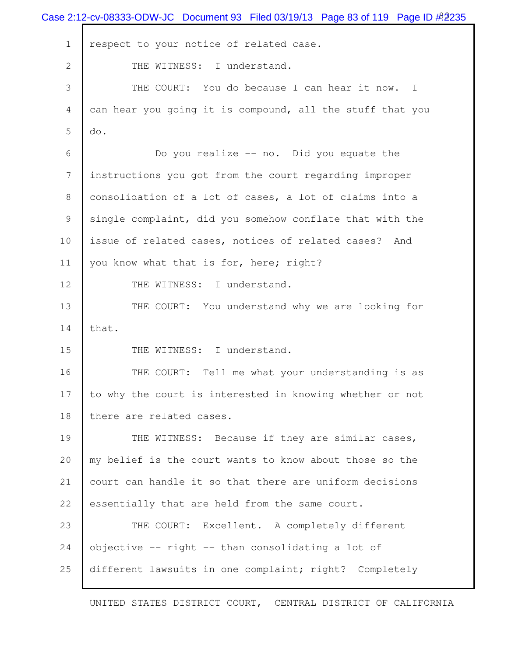|                | Case 2:12-cv-08333-ODW-JC Document 93 Filed 03/19/13 Page 83 of 119 Page ID # 2235 |
|----------------|------------------------------------------------------------------------------------|
| $\mathbf{1}$   | respect to your notice of related case.                                            |
| $\overline{2}$ | THE WITNESS: I understand.                                                         |
| 3              | THE COURT: You do because I can hear it now. I                                     |
| 4              | can hear you going it is compound, all the stuff that you                          |
| 5              | do.                                                                                |
| 6              | Do you realize -- no. Did you equate the                                           |
| 7              | instructions you got from the court regarding improper                             |
| 8              | consolidation of a lot of cases, a lot of claims into a                            |
| 9              | single complaint, did you somehow conflate that with the                           |
| 10             | issue of related cases, notices of related cases? And                              |
| 11             | you know what that is for, here; right?                                            |
| 12             | THE WITNESS: I understand.                                                         |
| 13             | THE COURT: You understand why we are looking for                                   |
| 14             | that.                                                                              |
| 15             | THE WITNESS: I understand.                                                         |
| 16             | Tell me what your understanding is as<br>THE COURT:                                |
| 17             | to why the court is interested in knowing whether or not                           |
| 18             | there are related cases.                                                           |
| 19             | THE WITNESS: Because if they are similar cases,                                    |
| 20             | my belief is the court wants to know about those so the                            |
| 21             | court can handle it so that there are uniform decisions                            |
| 22             | essentially that are held from the same court.                                     |
| 23             | THE COURT: Excellent. A completely different                                       |
| 24             | objective -- right -- than consolidating a lot of                                  |
| 25             | different lawsuits in one complaint; right? Completely                             |
|                |                                                                                    |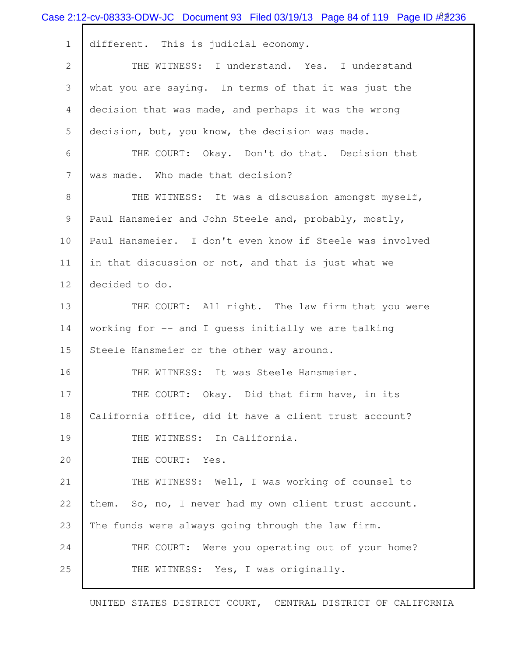|                | Case 2:12-cv-08333-ODW-JC Document 93 Filed 03/19/13 Page 84 of 119 Page ID $\#2236$ |
|----------------|--------------------------------------------------------------------------------------|
| $\mathbf{1}$   | different. This is judicial economy.                                                 |
| $\overline{2}$ | THE WITNESS: I understand. Yes. I understand                                         |
| 3              | what you are saying. In terms of that it was just the                                |
| 4              | decision that was made, and perhaps it was the wrong                                 |
| 5              | decision, but, you know, the decision was made.                                      |
| 6              | THE COURT: Okay. Don't do that. Decision that                                        |
| 7              | was made. Who made that decision?                                                    |
| 8              | THE WITNESS: It was a discussion amongst myself,                                     |
| 9              | Paul Hansmeier and John Steele and, probably, mostly,                                |
| 10             | Paul Hansmeier. I don't even know if Steele was involved                             |
| 11             | in that discussion or not, and that is just what we                                  |
| 12             | decided to do.                                                                       |
| 13             | THE COURT: All right. The law firm that you were                                     |
| 14             | working for -- and I guess initially we are talking                                  |
| 15             | Steele Hansmeier or the other way around.                                            |
| 16             | THE WITNESS: It was Steele Hansmeier.                                                |
| 17             | THE COURT: Okay. Did that firm have, in its                                          |
| 18             | California office, did it have a client trust account?                               |
| 19             | THE WITNESS: In California.                                                          |
| 20             | THE COURT: Yes.                                                                      |
| 21             | THE WITNESS: Well, I was working of counsel to                                       |
| 22             | them. So, no, I never had my own client trust account.                               |
| 23             | The funds were always going through the law firm.                                    |
| 24             | THE COURT: Were you operating out of your home?                                      |
| 25             | THE WITNESS: Yes, I was originally.                                                  |
|                |                                                                                      |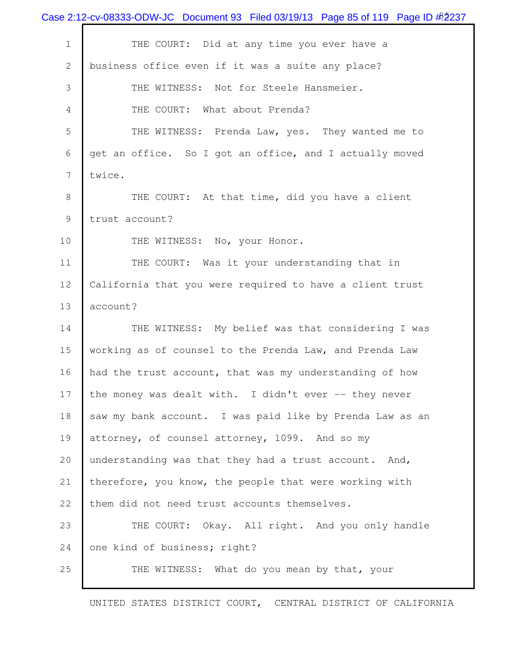|              | Case 2:12-cv-08333-ODW-JC Document 93 Filed 03/19/13 Page 85 of 119 Page ID # 2237 |
|--------------|------------------------------------------------------------------------------------|
| $1\,$        | THE COURT: Did at any time you ever have a                                         |
| $\mathbf{2}$ | business office even if it was a suite any place?                                  |
| 3            | THE WITNESS: Not for Steele Hansmeier.                                             |
| 4            | THE COURT: What about Prenda?                                                      |
| 5            | THE WITNESS: Prenda Law, yes. They wanted me to                                    |
| 6            | get an office. So I got an office, and I actually moved                            |
| 7            | twice.                                                                             |
| 8            | THE COURT: At that time, did you have a client                                     |
| 9            | trust account?                                                                     |
| 10           | THE WITNESS: No, your Honor.                                                       |
| 11           | THE COURT: Was it your understanding that in                                       |
| 12           | California that you were required to have a client trust                           |
| 13           | account?                                                                           |
| 14           | THE WITNESS: My belief was that considering I was                                  |
| 15           | working as of counsel to the Prenda Law, and Prenda Law                            |
| 16           | had the trust account, that was my understanding of how                            |
| 17           | the money was dealt with. I didn't ever -- they never                              |
| 18           | saw my bank account. I was paid like by Prenda Law as an                           |
| 19           | attorney, of counsel attorney, 1099. And so my                                     |
| 20           | understanding was that they had a trust account. And,                              |
| 21           | therefore, you know, the people that were working with                             |
| 22           | them did not need trust accounts themselves.                                       |
| 23           | THE COURT: Okay. All right. And you only handle                                    |
| 24           | one kind of business; right?                                                       |
| 25           | THE WITNESS: What do you mean by that, your                                        |
|              |                                                                                    |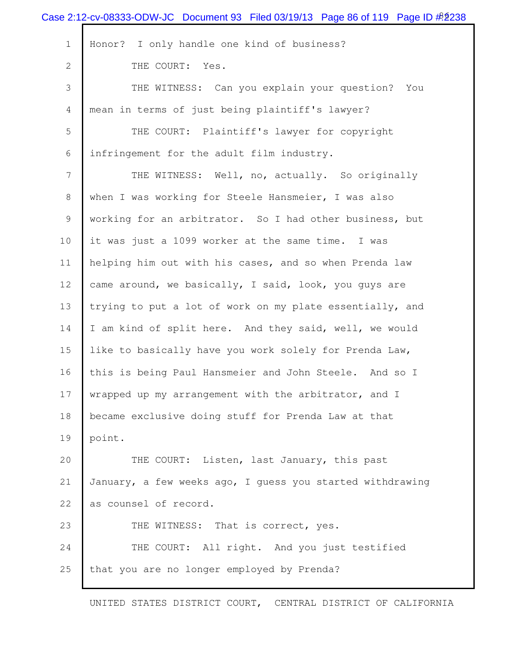| Case 2:12-cv-08333-ODW-JC Document 93 Filed 03/19/13 Page 86 of 119 Page ID #2238 |
|-----------------------------------------------------------------------------------|
| Honor? I only handle one kind of business?                                        |
| THE COURT: Yes.                                                                   |
| THE WITNESS: Can you explain your question? You                                   |
| mean in terms of just being plaintiff's lawyer?                                   |
| THE COURT: Plaintiff's lawyer for copyright                                       |
| infringement for the adult film industry.                                         |
| THE WITNESS: Well, no, actually. So originally                                    |
| when I was working for Steele Hansmeier, I was also                               |
| working for an arbitrator. So I had other business, but                           |
| it was just a 1099 worker at the same time. I was                                 |
| helping him out with his cases, and so when Prenda law                            |
| came around, we basically, I said, look, you guys are                             |
| trying to put a lot of work on my plate essentially, and                          |
| I am kind of split here. And they said, well, we would                            |
| like to basically have you work solely for Prenda Law,                            |
| this is being Paul Hansmeier and John Steele. And so I                            |
| wrapped up my arrangement with the arbitrator, and I                              |
| became exclusive doing stuff for Prenda Law at that                               |
| point.                                                                            |
| THE COURT: Listen, last January, this past                                        |
| January, a few weeks ago, I quess you started withdrawing                         |
| as counsel of record.                                                             |
| THE WITNESS: That is correct, yes.                                                |
| THE COURT: All right. And you just testified                                      |
| that you are no longer employed by Prenda?                                        |
|                                                                                   |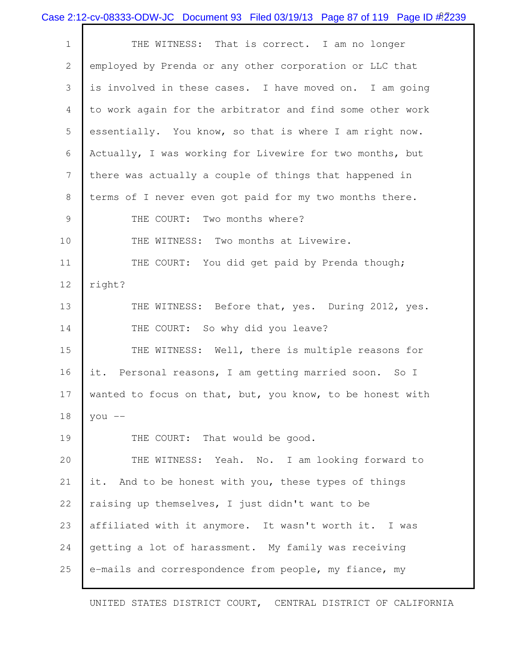|  | Case 2:12-cv-08333-ODW-JC Document 93 Filed 03/19/13 Page 87 of 119 Page ID #2239 |  |  |  |  |
|--|-----------------------------------------------------------------------------------|--|--|--|--|
|--|-----------------------------------------------------------------------------------|--|--|--|--|

| $\mathbf 1$    | THE WITNESS: That is correct. I am no longer              |
|----------------|-----------------------------------------------------------|
| $\mathbf{2}$   | employed by Prenda or any other corporation or LLC that   |
| 3              | is involved in these cases. I have moved on. I am going   |
| $\overline{4}$ | to work again for the arbitrator and find some other work |
| 5              | essentially. You know, so that is where I am right now.   |
| 6              | Actually, I was working for Livewire for two months, but  |
| $\overline{7}$ | there was actually a couple of things that happened in    |
| 8              | terms of I never even got paid for my two months there.   |
| $\mathcal{G}$  | THE COURT: Two months where?                              |
| 10             | THE WITNESS: Two months at Livewire.                      |
| 11             | THE COURT: You did get paid by Prenda though;             |
| 12             | right?                                                    |
| 13             | THE WITNESS: Before that, yes. During 2012, yes.          |
| 14             | THE COURT: So why did you leave?                          |
| 15             | THE WITNESS: Well, there is multiple reasons for          |
| 16             | it. Personal reasons, I am getting married soon. So I     |
| 17             | wanted to focus on that, but, you know, to be honest with |
| 18             | you $--$                                                  |
| 19             | THE COURT: That would be good.                            |
| 20             | THE WITNESS: Yeah. No. I am looking forward to            |
| 21             | it. And to be honest with you, these types of things      |
| 22             | raising up themselves, I just didn't want to be           |
| 23             | affiliated with it anymore. It wasn't worth it. I was     |
| 24             | getting a lot of harassment. My family was receiving      |
| 25             | e-mails and correspondence from people, my fiance, my     |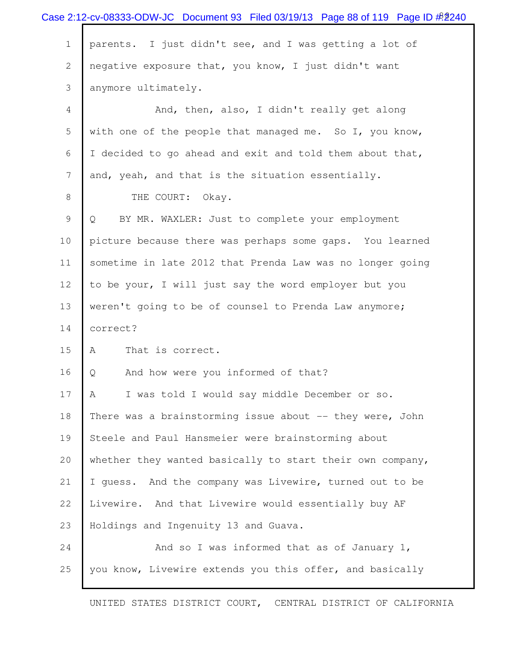|             | Case 2:12-cv-08333-ODW-JC Document 93 Filed 03/19/13 Page 88 of 119 Page ID # 2240 |
|-------------|------------------------------------------------------------------------------------|
| $\mathbf 1$ | parents. I just didn't see, and I was getting a lot of                             |
| 2           | negative exposure that, you know, I just didn't want                               |
| 3           | anymore ultimately.                                                                |
| 4           | And, then, also, I didn't really get along                                         |
| 5           | with one of the people that managed me. So I, you know,                            |
| 6           | I decided to go ahead and exit and told them about that,                           |
| 7           | and, yeah, and that is the situation essentially.                                  |
| 8           | THE COURT: Okay.                                                                   |
| 9           | BY MR. WAXLER: Just to complete your employment<br>Q                               |
| 10          | picture because there was perhaps some gaps. You learned                           |
| 11          | sometime in late 2012 that Prenda Law was no longer going                          |
| 12          | to be your, I will just say the word employer but you                              |
| 13          | weren't going to be of counsel to Prenda Law anymore;                              |
| 14          | correct?                                                                           |
| 15          | That is correct.<br>A                                                              |
| 16          | And how were you informed of that?<br>Q                                            |
| 17          | I was told I would say middle December or so.<br>A                                 |
| 18          | There was a brainstorming issue about -- they were, John                           |
| 19          | Steele and Paul Hansmeier were brainstorming about                                 |
| 20          | whether they wanted basically to start their own company,                          |
| 21          | I guess. And the company was Livewire, turned out to be                            |
| 22          | Livewire. And that Livewire would essentially buy AF                               |
| 23          | Holdings and Ingenuity 13 and Guava.                                               |
| 24          | And so I was informed that as of January 1,                                        |
| 25          | you know, Livewire extends you this offer, and basically                           |
|             |                                                                                    |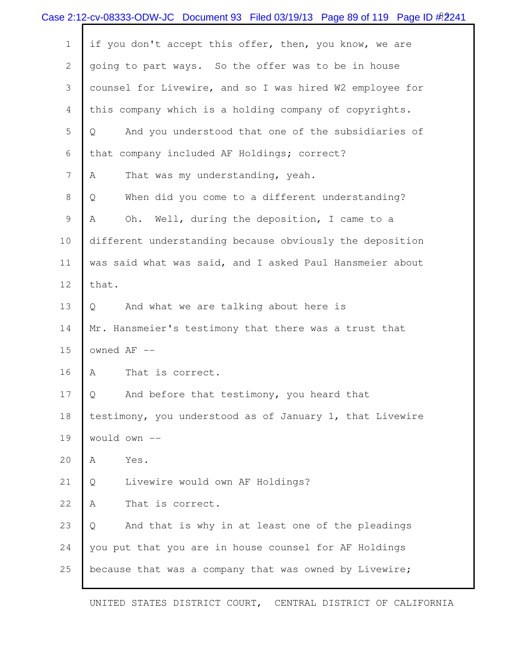|                | Case 2:12-cv-08333-ODW-JC Document 93 Filed 03/19/13 Page 89 of 119 Page ID $\#2241$ |
|----------------|--------------------------------------------------------------------------------------|
| $1\,$          | if you don't accept this offer, then, you know, we are                               |
| $\mathbf{2}$   | going to part ways. So the offer was to be in house                                  |
| 3              | counsel for Livewire, and so I was hired W2 employee for                             |
| $\overline{4}$ | this company which is a holding company of copyrights.                               |
| 5              | And you understood that one of the subsidiaries of<br>$\overline{Q}$                 |
| 6              | that company included AF Holdings; correct?                                          |
| $\overline{7}$ | That was my understanding, yeah.<br>A                                                |
| $8\,$          | When did you come to a different understanding?<br>Q                                 |
| 9              | Oh. Well, during the deposition, I came to a<br>Α                                    |
| 10             | different understanding because obviously the deposition                             |
| 11             | was said what was said, and I asked Paul Hansmeier about                             |
| 12             | that.                                                                                |
| 13             | And what we are talking about here is<br>Q                                           |
| 14             | Mr. Hansmeier's testimony that there was a trust that                                |
| 15             | owned AF --                                                                          |
| 16             | That is correct.<br>Α                                                                |
| 17             | And before that testimony, you heard that<br>Q                                       |
| 18             | testimony, you understood as of January 1, that Livewire                             |
| 19             | would own --                                                                         |
| 20             | Α<br>Yes.                                                                            |
| 21             | Livewire would own AF Holdings?<br>Q                                                 |
| 22             | That is correct.<br>Α                                                                |
| 23             | And that is why in at least one of the pleadings<br>Q                                |
| 24             | you put that you are in house counsel for AF Holdings                                |
| 25             | because that was a company that was owned by Livewire;                               |
|                |                                                                                      |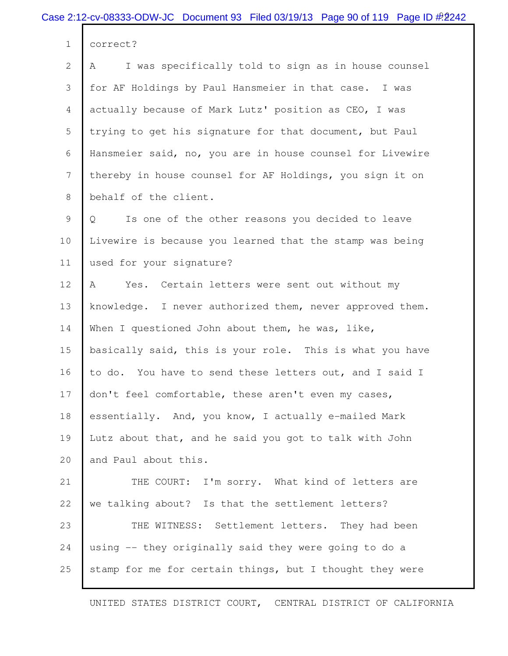|                | Case 2:12-cv-08333-ODW-JC Document 93 Filed 03/19/13 Page 90 of 119 Page ID $\#$ 2242 |
|----------------|---------------------------------------------------------------------------------------|
| $\mathbf 1$    | correct?                                                                              |
| $\mathbf{2}$   | I was specifically told to sign as in house counsel<br>Α                              |
| 3              | for AF Holdings by Paul Hansmeier in that case. I was                                 |
| $\overline{4}$ | actually because of Mark Lutz' position as CEO, I was                                 |
| 5              | trying to get his signature for that document, but Paul                               |
| 6              | Hansmeier said, no, you are in house counsel for Livewire                             |
| 7              | thereby in house counsel for AF Holdings, you sign it on                              |
| 8              | behalf of the client.                                                                 |
| 9              | Is one of the other reasons you decided to leave<br>Q                                 |
| 10             | Livewire is because you learned that the stamp was being                              |
| 11             | used for your signature?                                                              |
| 12             | Yes. Certain letters were sent out without my<br>A                                    |
| 13             | knowledge. I never authorized them, never approved them.                              |
| 14             | When I questioned John about them, he was, like,                                      |
| 15             | basically said, this is your role. This is what you have                              |
| 16             | to do. You have to send these letters out, and I said I                               |
| 17             | don't feel comfortable, these aren't even my cases,                                   |
| 18             | essentially. And, you know, I actually e-mailed Mark                                  |
| 19             | Lutz about that, and he said you got to talk with John                                |
| 20             | and Paul about this.                                                                  |
| 21             | THE COURT: I'm sorry. What kind of letters are                                        |
| 22             | we talking about? Is that the settlement letters?                                     |
| 23             | THE WITNESS: Settlement letters. They had been                                        |
| 24             | using -- they originally said they were going to do a                                 |
| 25             | stamp for me for certain things, but I thought they were                              |
|                |                                                                                       |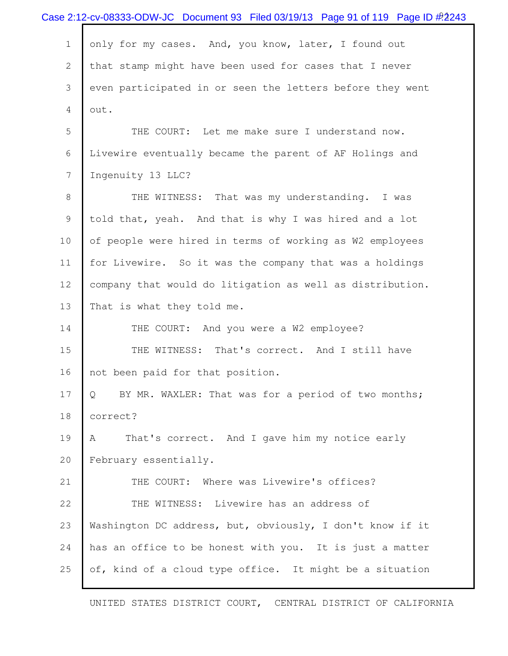|              | Case 2:12-cv-08333-ODW-JC Document 93 Filed 03/19/13 Page 91 of 119 Page ID $\#$ 2243 |
|--------------|---------------------------------------------------------------------------------------|
| $\mathbf 1$  | only for my cases. And, you know, later, I found out                                  |
| $\mathbf{2}$ | that stamp might have been used for cases that I never                                |
| 3            | even participated in or seen the letters before they went                             |
| 4            | out.                                                                                  |
| 5            | THE COURT: Let me make sure I understand now.                                         |
| 6            | Livewire eventually became the parent of AF Holings and                               |
| 7            | Ingenuity 13 LLC?                                                                     |
| 8            | THE WITNESS: That was my understanding. I was                                         |
| 9            | told that, yeah. And that is why I was hired and a lot                                |
| 10           | of people were hired in terms of working as W2 employees                              |
| 11           | for Livewire. So it was the company that was a holdings                               |
| 12           | company that would do litigation as well as distribution.                             |
| 13           | That is what they told me.                                                            |
| 14           | THE COURT: And you were a W2 employee?                                                |
| 15           | THE WITNESS: That's correct. And I still have                                         |
| 16           | not been paid for that position.                                                      |
| 17           | BY MR. WAXLER: That was for a period of two months;<br>Q                              |
| 18           | correct?                                                                              |
| 19           | That's correct. And I gave him my notice early<br>A                                   |
| 20           | February essentially.                                                                 |
| 21           | THE COURT: Where was Livewire's offices?                                              |
| 22           | THE WITNESS: Livewire has an address of                                               |
| 23           | Washington DC address, but, obviously, I don't know if it                             |
| 24           | has an office to be honest with you. It is just a matter                              |
| 25           | of, kind of a cloud type office. It might be a situation                              |
|              |                                                                                       |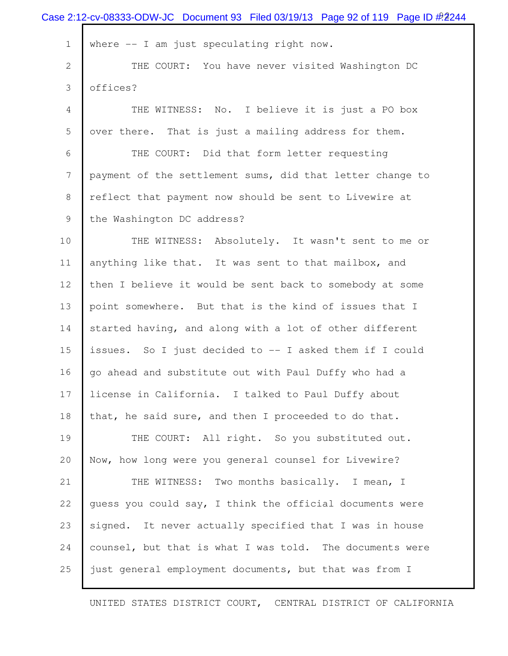| Case 2:12-cv-08333-ODW-JC Document 93 Filed 03/19/13 Page 92 of 119 Page ID #2244 |
|-----------------------------------------------------------------------------------|
| where $--$ I am just speculating right now.                                       |
| THE COURT: You have never visited Washington DC                                   |
| offices?                                                                          |
| THE WITNESS: No. I believe it is just a PO box                                    |
| over there. That is just a mailing address for them.                              |
| THE COURT: Did that form letter requesting                                        |
| payment of the settlement sums, did that letter change to                         |
| reflect that payment now should be sent to Livewire at                            |
| the Washington DC address?                                                        |
| THE WITNESS: Absolutely. It wasn't sent to me or                                  |
| anything like that. It was sent to that mailbox, and                              |
| then I believe it would be sent back to somebody at some                          |
| point somewhere. But that is the kind of issues that I                            |
| started having, and along with a lot of other different                           |
| issues. So I just decided to -- I asked them if I could                           |
| go ahead and substitute out with Paul Duffy who had a                             |
| license in California. I talked to Paul Duffy about                               |
| that, he said sure, and then I proceeded to do that.                              |
| THE COURT: All right. So you substituted out.                                     |
| Now, how long were you general counsel for Livewire?                              |
| THE WITNESS: Two months basically. I mean, I                                      |
| quess you could say, I think the official documents were                          |
| signed. It never actually specified that I was in house                           |
| counsel, but that is what I was told. The documents were                          |
| just general employment documents, but that was from I                            |
|                                                                                   |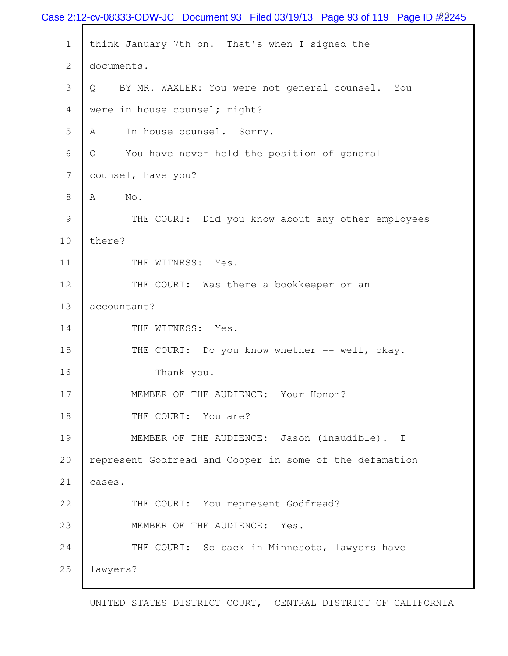|                | Case 2:12-cv-08333-ODW-JC Document 93 Filed 03/19/13 Page 93 of 119 Page ID $\#$ 2245 |
|----------------|---------------------------------------------------------------------------------------|
| $\mathbf 1$    | think January 7th on. That's when I signed the                                        |
| $\overline{2}$ | documents.                                                                            |
| 3              | BY MR. WAXLER: You were not general counsel. You<br>Q                                 |
| 4              | were in house counsel; right?                                                         |
| 5              | In house counsel. Sorry.<br>A                                                         |
| 6              | You have never held the position of general<br>Q                                      |
| $\overline{7}$ | counsel, have you?                                                                    |
| 8              | Α<br>No.                                                                              |
| 9              | THE COURT: Did you know about any other employees                                     |
| 10             | there?                                                                                |
| 11             | THE WITNESS: Yes.                                                                     |
| 12             | THE COURT: Was there a bookkeeper or an                                               |
| 13             | accountant?                                                                           |
| 14             | THE WITNESS: Yes.                                                                     |
| 15             | THE COURT: Do you know whether -- well, okay.                                         |
| 16             | Thank you.                                                                            |
| 17             | MEMBER OF THE AUDIENCE: Your Honor?                                                   |
| 18             | THE COURT: You are?                                                                   |
| 19             | MEMBER OF THE AUDIENCE: Jason (inaudible). I                                          |
| 20             | represent Godfread and Cooper in some of the defamation                               |
| 21             | cases.                                                                                |
| 22             | THE COURT: You represent Godfread?                                                    |
| 23             | MEMBER OF THE AUDIENCE: Yes.                                                          |
| 24             | THE COURT: So back in Minnesota, lawyers have                                         |
| 25             | lawyers?                                                                              |
|                |                                                                                       |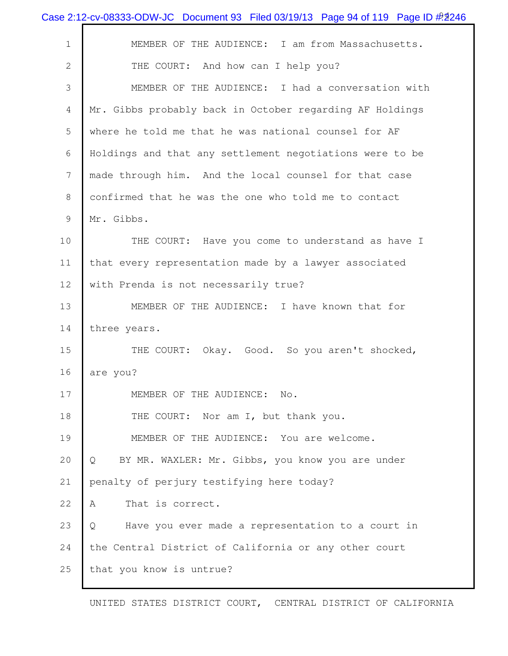|                | Case 2:12-cv-08333-ODW-JC Document 93 Filed 03/19/13 Page 94 of 119 Page ID # 2246 |
|----------------|------------------------------------------------------------------------------------|
| $\mathbf 1$    | MEMBER OF THE AUDIENCE: I am from Massachusetts.                                   |
| $\overline{2}$ | THE COURT: And how can I help you?                                                 |
| 3              | MEMBER OF THE AUDIENCE: I had a conversation with                                  |
| 4              | Mr. Gibbs probably back in October regarding AF Holdings                           |
| 5              | where he told me that he was national counsel for AF                               |
| 6              | Holdings and that any settlement negotiations were to be                           |
| $\overline{7}$ | made through him. And the local counsel for that case                              |
| 8              | confirmed that he was the one who told me to contact                               |
| 9              | Mr. Gibbs.                                                                         |
| 10             | THE COURT: Have you come to understand as have I                                   |
| 11             | that every representation made by a lawyer associated                              |
| 12             | with Prenda is not necessarily true?                                               |
| 13             | MEMBER OF THE AUDIENCE: I have known that for                                      |
| 14             | three years.                                                                       |
| 15             | THE COURT:<br>Okay. Good. So you aren't shocked,                                   |
| 16             | are you?                                                                           |
| 17             | MEMBER OF THE AUDIENCE: No.                                                        |
| 18             | THE COURT: Nor am I, but thank you.                                                |
| 19             | MEMBER OF THE AUDIENCE: You are welcome.                                           |
| 20             | BY MR. WAXLER: Mr. Gibbs, you know you are under<br>Q                              |
| 21             | penalty of perjury testifying here today?                                          |
| 22             | That is correct.<br>A                                                              |
| 23             | Have you ever made a representation to a court in<br>Q                             |
| 24             | the Central District of California or any other court                              |
| 25             | that you know is untrue?                                                           |
|                |                                                                                    |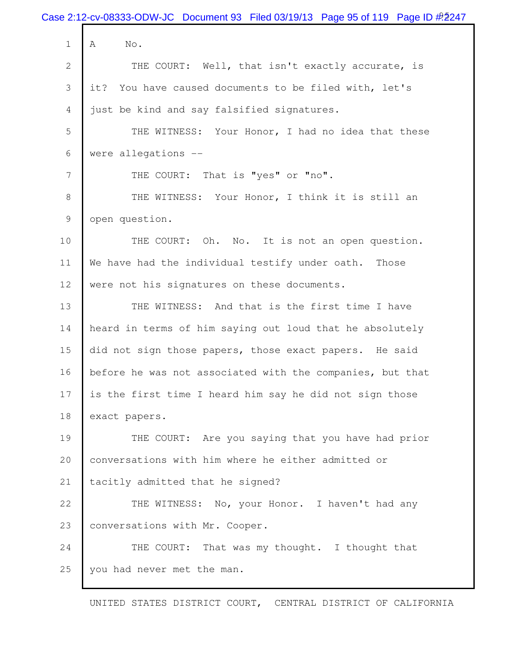|                | Case 2:12-cv-08333-ODW-JC Document 93 Filed 03/19/13 Page 95 of 119 Page ID $\frac{\#2}{2}$ 247 |
|----------------|-------------------------------------------------------------------------------------------------|
| $\mathbf 1$    | No.<br>A                                                                                        |
| $\mathbf{2}$   | THE COURT: Well, that isn't exactly accurate, is                                                |
| 3              | You have caused documents to be filed with, let's<br>it?                                        |
| 4              | just be kind and say falsified signatures.                                                      |
| 5              | THE WITNESS: Your Honor, I had no idea that these                                               |
| 6              | were allegations --                                                                             |
| $\overline{7}$ | THE COURT: That is "yes" or "no".                                                               |
| 8              | THE WITNESS: Your Honor, I think it is still an                                                 |
| 9              | open question.                                                                                  |
| 10             | THE COURT: Oh. No. It is not an open question.                                                  |
| 11             | We have had the individual testify under oath.<br>Those                                         |
| 12             | were not his signatures on these documents.                                                     |
| 13             | THE WITNESS: And that is the first time I have                                                  |
| 14             | heard in terms of him saying out loud that he absolutely                                        |
| 15             | did not sign those papers, those exact papers. He said                                          |
| 16             | before he was not associated with the companies, but that                                       |
| 17             | is the first time I heard him say he did not sign those                                         |
| 18             | exact papers.                                                                                   |
| 19             | THE COURT: Are you saying that you have had prior                                               |
| 20             | conversations with him where he either admitted or                                              |
| 21             | tacitly admitted that he signed?                                                                |
| 22             | THE WITNESS: No, your Honor. I haven't had any                                                  |
| 23             | conversations with Mr. Cooper.                                                                  |
| 24             | THE COURT: That was my thought. I thought that                                                  |
| 25             | you had never met the man.                                                                      |
|                |                                                                                                 |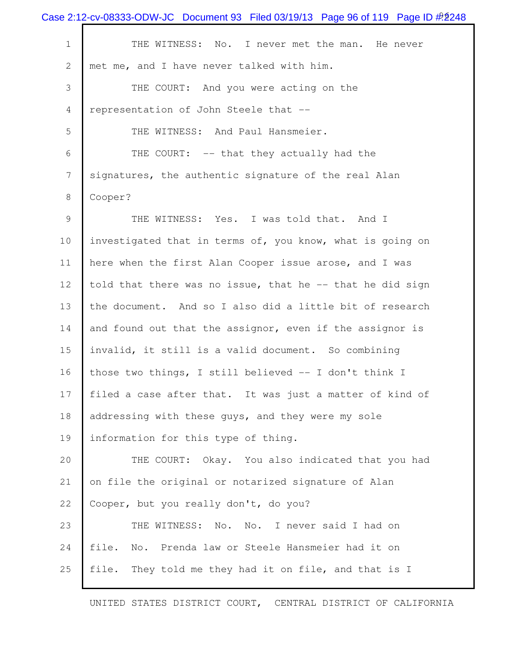|                           | Case 2:12-cv-08333-ODW-JC Document 93 Filed 03/19/13 Page 96 of 119 Page ID $\frac{\#2}{248}$ |
|---------------------------|-----------------------------------------------------------------------------------------------|
| $\mathbf 1$               | THE WITNESS: No. I never met the man. He never                                                |
| $\mathbf{2}^{\mathsf{I}}$ | met me, and I have never talked with him.                                                     |
| 3                         | THE COURT: And you were acting on the                                                         |
| 4                         | representation of John Steele that --                                                         |
| 5                         | THE WITNESS: And Paul Hansmeier.                                                              |
| 6                         | THE COURT: -- that they actually had the                                                      |
| 7                         | signatures, the authentic signature of the real Alan                                          |
| 8                         | Cooper?                                                                                       |
| 9                         | THE WITNESS: Yes. I was told that. And I                                                      |
| 10                        | investigated that in terms of, you know, what is going on                                     |
| 11                        | here when the first Alan Cooper issue arose, and I was                                        |
| 12                        | told that there was no issue, that he -- that he did sign                                     |
| 13                        | the document. And so I also did a little bit of research                                      |
| 14                        | and found out that the assignor, even if the assignor is                                      |
| 15                        | invalid, it still is a valid document. So combining                                           |
| 16                        | those two things, I still believed -- I don't think I                                         |
| 17                        | filed a case after that. It was just a matter of kind of                                      |
| 18                        | addressing with these guys, and they were my sole                                             |
| 19                        | information for this type of thing.                                                           |
| 20                        | THE COURT: Okay. You also indicated that you had                                              |
| 21                        | on file the original or notarized signature of Alan                                           |
| 22                        | Cooper, but you really don't, do you?                                                         |
| 23                        | THE WITNESS: No. No. I never said I had on                                                    |
| 24                        | file.<br>No. Prenda law or Steele Hansmeier had it on                                         |
| 25                        | file.<br>They told me they had it on file, and that is I                                      |
|                           |                                                                                               |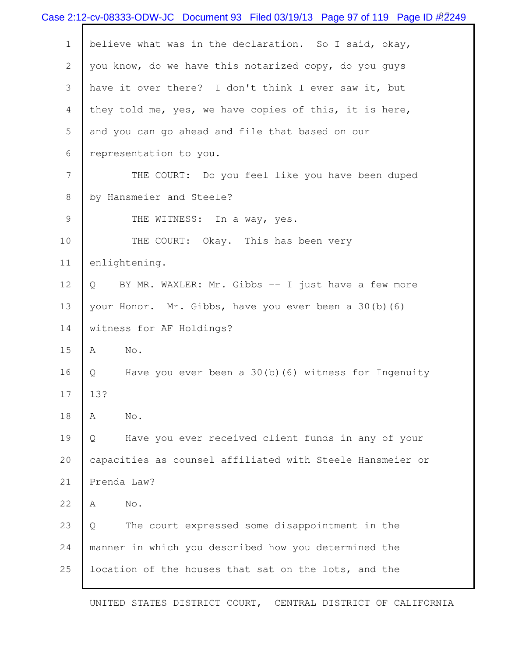|                | Case 2:12-cv-08333-ODW-JC Document 93 Filed 03/19/13 Page 97 of 119 Page ID $\#2$ 249 |
|----------------|---------------------------------------------------------------------------------------|
| $\mathbf 1$    | believe what was in the declaration. So I said, okay,                                 |
| $\mathbf{2}$   | you know, do we have this notarized copy, do you guys                                 |
| 3              | have it over there? I don't think I ever saw it, but                                  |
| $\overline{4}$ | they told me, yes, we have copies of this, it is here,                                |
| 5              | and you can go ahead and file that based on our                                       |
| 6              | representation to you.                                                                |
| 7              | THE COURT: Do you feel like you have been duped                                       |
| 8              | by Hansmeier and Steele?                                                              |
| 9              | THE WITNESS: In a way, yes.                                                           |
| 10             | THE COURT: Okay. This has been very                                                   |
| 11             | enlightening.                                                                         |
| 12             | BY MR. WAXLER: Mr. Gibbs -- I just have a few more<br>Q                               |
| 13             | your Honor. Mr. Gibbs, have you ever been a 30(b) (6)                                 |
| 14             | witness for AF Holdings?                                                              |
| 15             | No.<br>Α                                                                              |
| 16             | Have you ever been a $30(b)$ (6) witness for Ingenuity<br>Q                           |
| 17             | 13?                                                                                   |
| 18             | No.<br>Α                                                                              |
| 19             | Have you ever received client funds in any of your<br>Q                               |
| 20             | capacities as counsel affiliated with Steele Hansmeier or                             |
| 21             | Prenda Law?                                                                           |
| 22             | No.<br>A                                                                              |
| 23             | The court expressed some disappointment in the<br>Q                                   |
| 24             | manner in which you described how you determined the                                  |
| 25             | location of the houses that sat on the lots, and the                                  |
|                |                                                                                       |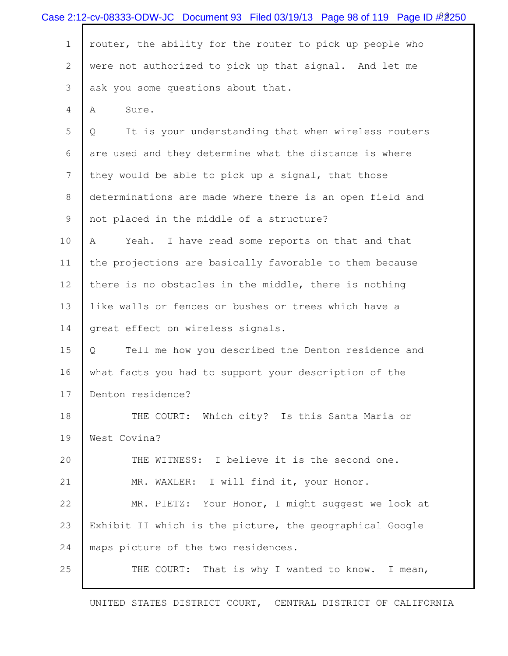|                | Case 2:12-cv-08333-ODW-JC Document 93 Filed 03/19/13 Page 98 of 119 Page ID # 250 |
|----------------|-----------------------------------------------------------------------------------|
| $\mathbf 1$    | router, the ability for the router to pick up people who                          |
| $\mathbf{2}$   | were not authorized to pick up that signal. And let me                            |
| 3              | ask you some questions about that.                                                |
| 4              | Α<br>Sure.                                                                        |
| 5              | It is your understanding that when wireless routers<br>Q                          |
| 6              | are used and they determine what the distance is where                            |
| $7\phantom{.}$ | they would be able to pick up a signal, that those                                |
| 8              | determinations are made where there is an open field and                          |
| 9              | not placed in the middle of a structure?                                          |
| 10             | Yeah. I have read some reports on that and that<br>A                              |
| 11             | the projections are basically favorable to them because                           |
| 12             | there is no obstacles in the middle, there is nothing                             |
| 13             | like walls or fences or bushes or trees which have a                              |
| 14             | great effect on wireless signals.                                                 |
| 15             | Tell me how you described the Denton residence and<br>Q                           |
| 16             | what facts you had to support your description of the                             |
| 17             | Denton residence?                                                                 |
| 18             | THE COURT: Which city? Is this Santa Maria or                                     |
| 19             | West Covina?                                                                      |
| 20             | THE WITNESS: I believe it is the second one.                                      |
| 21             | MR. WAXLER: I will find it, your Honor.                                           |
| 22             | MR. PIETZ: Your Honor, I might suggest we look at                                 |
| 23             | Exhibit II which is the picture, the geographical Google                          |
| 24             | maps picture of the two residences.                                               |
| 25             | That is why I wanted to know. I mean,<br>THE COURT:                               |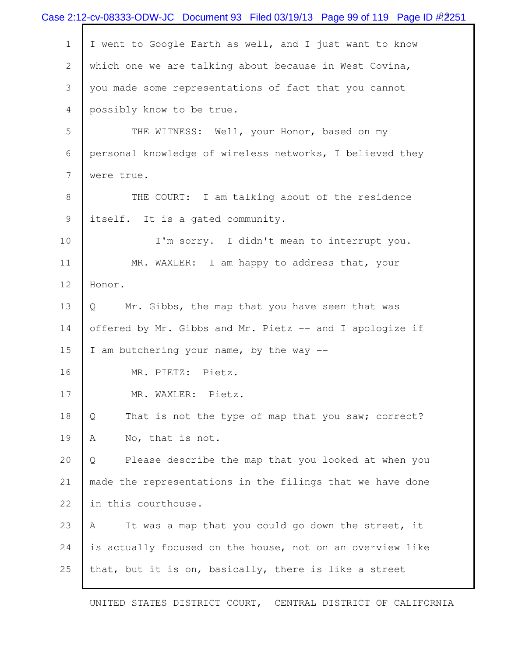|              | Case 2:12-cv-08333-ODW-JC Document 93 Filed 03/19/13 Page 99 of 119 Page ID $\#$ 2251 |
|--------------|---------------------------------------------------------------------------------------|
| $\mathbf 1$  | I went to Google Earth as well, and I just want to know                               |
| $\mathbf{2}$ | which one we are talking about because in West Covina,                                |
| 3            | you made some representations of fact that you cannot                                 |
| 4            | possibly know to be true.                                                             |
| 5            | THE WITNESS: Well, your Honor, based on my                                            |
| 6            | personal knowledge of wireless networks, I believed they                              |
| 7            | were true.                                                                            |
| 8            | THE COURT: I am talking about of the residence                                        |
| 9            | itself. It is a gated community.                                                      |
| 10           | I'm sorry. I didn't mean to interrupt you.                                            |
| 11           | MR. WAXLER: I am happy to address that, your                                          |
| 12           | Honor.                                                                                |
| 13           | Mr. Gibbs, the map that you have seen that was<br>$Q_{\cdot}$                         |
| 14           | offered by Mr. Gibbs and Mr. Pietz -- and I apologize if                              |
| 15           | I am butchering your name, by the way --                                              |
| 16           | MR. PIETZ: Pietz.                                                                     |
| 17           | MR. WAXLER: Pietz.                                                                    |
| 18           | That is not the type of map that you saw; correct?<br>Q                               |
| 19           | No, that is not.<br>Α                                                                 |
| 20           | Please describe the map that you looked at when you<br>Q                              |
| 21           | made the representations in the filings that we have done                             |
| 22           | in this courthouse.                                                                   |
| 23           | It was a map that you could go down the street, it<br>A                               |
| 24           | is actually focused on the house, not on an overview like                             |
| 25           | that, but it is on, basically, there is like a street                                 |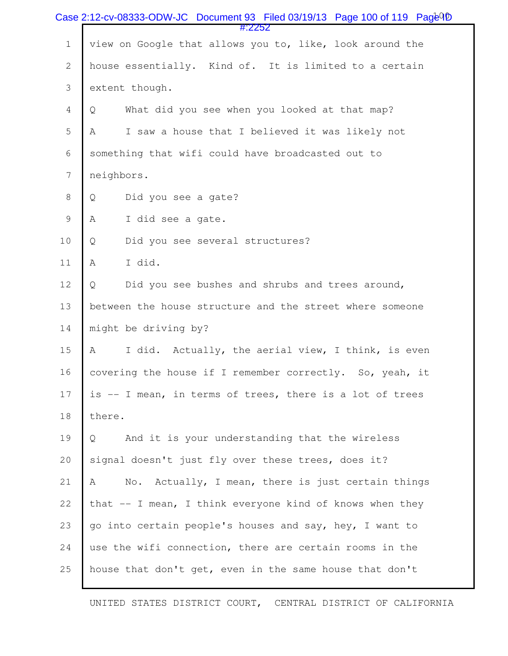|                  | Case 2:12-cv-08333-ODW-JC Document 93 Filed 03/19/13 Page 100 of 119 Page <sup>Q</sup> D<br>#:2252 |
|------------------|----------------------------------------------------------------------------------------------------|
| $\mathbf 1$      | view on Google that allows you to, like, look around the                                           |
| $\mathbf{2}$     | house essentially. Kind of. It is limited to a certain                                             |
| 3                | extent though.                                                                                     |
| $\overline{4}$   | What did you see when you looked at that map?<br>Q                                                 |
| 5                | I saw a house that I believed it was likely not<br>Α                                               |
| 6                | something that wifi could have broadcasted out to                                                  |
| $\boldsymbol{7}$ | neighbors.                                                                                         |
| $\,8\,$          | Did you see a gate?<br>Q                                                                           |
| $\mathsf 9$      | I did see a gate.<br>Α                                                                             |
| $10$             | Did you see several structures?<br>Q                                                               |
| 11               | I did.<br>Α                                                                                        |
| 12               | Did you see bushes and shrubs and trees around,<br>Q                                               |
| 13               | between the house structure and the street where someone                                           |
| 14               | might be driving by?                                                                               |
| 15               | I did. Actually, the aerial view, I think, is even<br>Α                                            |
| 16               | covering the house if I remember correctly. So, yeah, it                                           |
| 17               | is -- I mean, in terms of trees, there is a lot of trees                                           |
| 18               | there.                                                                                             |
| 19               | And it is your understanding that the wireless<br>Q                                                |
| 20               | signal doesn't just fly over these trees, does it?                                                 |
| 21               | Α<br>No. Actually, I mean, there is just certain things                                            |
| 22               | that $--$ I mean, I think everyone kind of knows when they                                         |
| 23               | go into certain people's houses and say, hey, I want to                                            |
| 24               | use the wifi connection, there are certain rooms in the                                            |
| 25               | house that don't get, even in the same house that don't                                            |
|                  |                                                                                                    |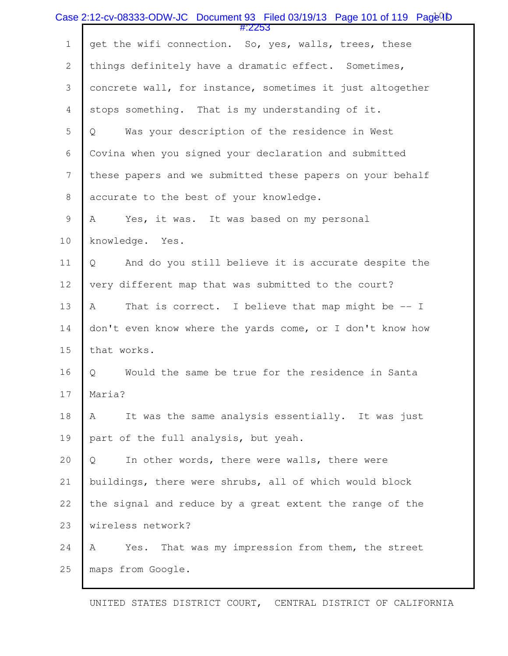|                | Case 2:12-cv-08333-ODW-JC Document 93 Filed 03/19/13 Page 101 of 119 Page <sup>Q</sup> D |
|----------------|------------------------------------------------------------------------------------------|
| $1\,$          | #:2253<br>get the wifi connection. So, yes, walls, trees, these                          |
| $\mathbf{2}$   | things definitely have a dramatic effect. Sometimes,                                     |
| 3              | concrete wall, for instance, sometimes it just altogether                                |
| $\overline{4}$ | stops something. That is my understanding of it.                                         |
| 5              | Was your description of the residence in West<br>Q                                       |
| 6              | Covina when you signed your declaration and submitted                                    |
| 7              | these papers and we submitted these papers on your behalf                                |
| $\,8\,$        | accurate to the best of your knowledge.                                                  |
| $\mathsf 9$    | Yes, it was. It was based on my personal<br>Α                                            |
| 10             | knowledge.<br>Yes.                                                                       |
| 11             | And do you still believe it is accurate despite the<br>Q                                 |
| 12             | very different map that was submitted to the court?                                      |
| 13             | That is correct. I believe that map might be -- I<br>A                                   |
| 14             | don't even know where the yards come, or I don't know how                                |
| 15             | that works.                                                                              |
| 16             | Would the same be true for the residence in Santa<br>Q                                   |
| 17             | Maria?                                                                                   |
| 18             | It was the same analysis essentially. It was just<br>A                                   |
| 19             | part of the full analysis, but yeah.                                                     |
| 20             | In other words, there were walls, there were<br>Q                                        |
| 21             | buildings, there were shrubs, all of which would block                                   |
| 22             | the signal and reduce by a great extent the range of the                                 |
| 23             | wireless network?                                                                        |
| 24             | Yes. That was my impression from them, the street<br>Α                                   |
| 25             | maps from Google.                                                                        |
|                |                                                                                          |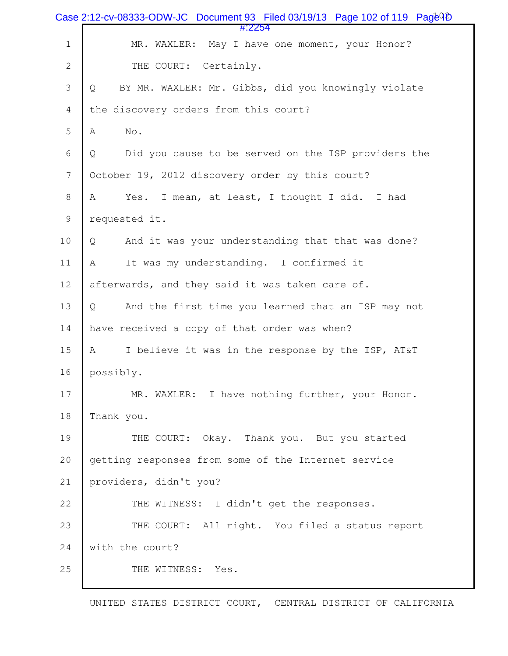|                | Case 2:12-cv-08333-ODW-JC Document 93 Filed 03/19/13 Page 102 of 119 $Paq\bar{e}^{Q}\bar{D}$ |
|----------------|----------------------------------------------------------------------------------------------|
| $\mathbf 1$    | #:2254<br>MR. WAXLER: May I have one moment, your Honor?                                     |
| $\mathbf{2}$   | THE COURT: Certainly.                                                                        |
| 3              | BY MR. WAXLER: Mr. Gibbs, did you knowingly violate<br>Q                                     |
| $\overline{4}$ | the discovery orders from this court?                                                        |
| 5              | $\mathrm{No}$ .<br>Α                                                                         |
| 6              | Did you cause to be served on the ISP providers the<br>Q                                     |
| 7              | October 19, 2012 discovery order by this court?                                              |
| $\,8\,$        | Yes. I mean, at least, I thought I did. I had<br>Α                                           |
| $\mathcal{G}$  | requested it.                                                                                |
| $10$           | And it was your understanding that that was done?<br>Q                                       |
| 11             | It was my understanding. I confirmed it<br>Α                                                 |
| 12             | afterwards, and they said it was taken care of.                                              |
| 13             | And the first time you learned that an ISP may not<br>Q                                      |
| 14             | have received a copy of that order was when?                                                 |
| 15             | I believe it was in the response by the ISP, AT&T<br>Α                                       |
| 16             | possibly.                                                                                    |
| 17             | MR. WAXLER: I have nothing further, your Honor.                                              |
| 18             | Thank you.                                                                                   |
| 19             | THE COURT: Okay. Thank you. But you started                                                  |
| 20             | getting responses from some of the Internet service                                          |
| 21             | providers, didn't you?                                                                       |
| 22             | THE WITNESS: I didn't get the responses.                                                     |
| 23             | THE COURT: All right. You filed a status report                                              |
| 24             | with the court?                                                                              |
| 25             | THE WITNESS: Yes.                                                                            |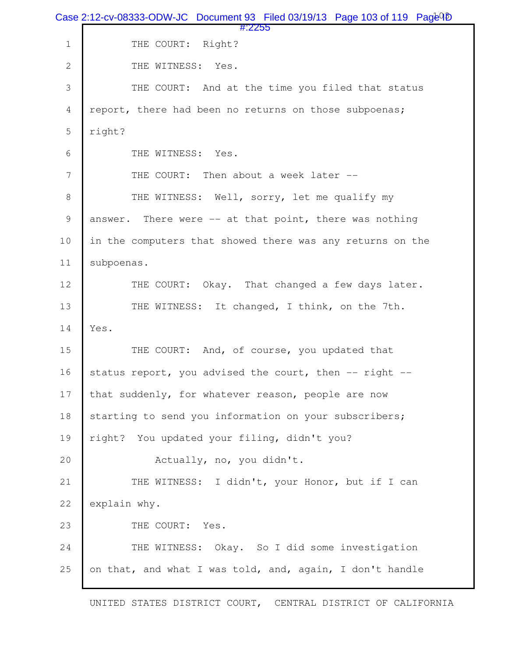|                | Case 2:12-cv-08333-ODW-JC Document 93 Filed 03/19/13 Page 103 of 119 Page 4D |
|----------------|------------------------------------------------------------------------------|
| $1\,$          | #:2255<br>THE COURT: Right?                                                  |
| $\mathbf{2}$   | THE WITNESS: Yes.                                                            |
| 3              | THE COURT: And at the time you filed that status                             |
| $\overline{4}$ | report, there had been no returns on those subpoenas;                        |
| 5              | right?                                                                       |
| 6              | THE WITNESS: Yes.                                                            |
| 7              | THE COURT:<br>Then about a week later --                                     |
| 8              | THE WITNESS: Well, sorry, let me qualify my                                  |
| $\overline{9}$ | answer. There were -- at that point, there was nothing                       |
| 10             | in the computers that showed there was any returns on the                    |
| 11             | subpoenas.                                                                   |
| 12             | THE COURT: Okay. That changed a few days later.                              |
| 13             | THE WITNESS: It changed, I think, on the 7th.                                |
| 14             | Yes.                                                                         |
| 15             | THE COURT: And, of course, you updated that                                  |
| 16             | status report, you advised the court, then -- right --                       |
| 17             | that suddenly, for whatever reason, people are now                           |
| 18             | starting to send you information on your subscribers;                        |
| 19             | right? You updated your filing, didn't you?                                  |
| 20             | Actually, no, you didn't.                                                    |
| 21             | THE WITNESS: I didn't, your Honor, but if I can                              |
| 22             | explain why.                                                                 |
| 23             | THE COURT: Yes.                                                              |
| 24             | THE WITNESS: Okay. So I did some investigation                               |
| 25             | on that, and what I was told, and, again, I don't handle                     |
|                |                                                                              |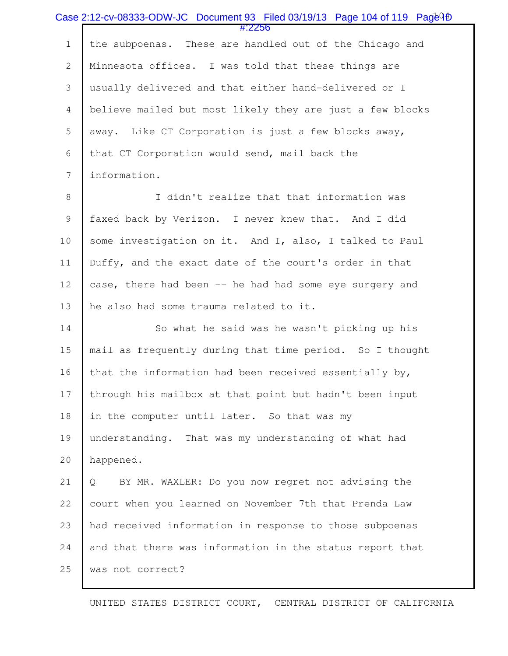|                | Case 2:12-cv-08333-ODW-JC Document 93 Filed 03/19/13 Page 104 of 119 Page <sup>Q</sup> fi<br>#:2256 |
|----------------|-----------------------------------------------------------------------------------------------------|
| $\mathbf 1$    | the subpoenas. These are handled out of the Chicago and                                             |
| $\mathbf{2}$   | Minnesota offices. I was told that these things are                                                 |
| 3              | usually delivered and that either hand-delivered or I                                               |
| $\overline{4}$ | believe mailed but most likely they are just a few blocks                                           |
| 5              | away. Like CT Corporation is just a few blocks away,                                                |
| 6              | that CT Corporation would send, mail back the                                                       |
| $\overline{7}$ | information.                                                                                        |
| $8\,$          | I didn't realize that that information was                                                          |
| 9              | faxed back by Verizon. I never knew that. And I did                                                 |
| 10             | some investigation on it. And I, also, I talked to Paul                                             |
| 11             | Duffy, and the exact date of the court's order in that                                              |
| 12             | case, there had been -- he had had some eye surgery and                                             |
| 13             | he also had some trauma related to it.                                                              |
| 14             | So what he said was he wasn't picking up his                                                        |
| 15             | mail as frequently during that time period. So I thought                                            |
| 16             | that the information had been received essentially by,                                              |
| 17             | through his mailbox at that point but hadn't been input                                             |
| 18             | in the computer until later. So that was my                                                         |
| 19             | understanding. That was my understanding of what had                                                |
| 20             | happened.                                                                                           |
| 21             | BY MR. WAXLER: Do you now regret not advising the<br>Q                                              |
| 22             | court when you learned on November 7th that Prenda Law                                              |
| 23             | had received information in response to those subpoenas                                             |
| 24             | and that there was information in the status report that                                            |
| 25             | was not correct?                                                                                    |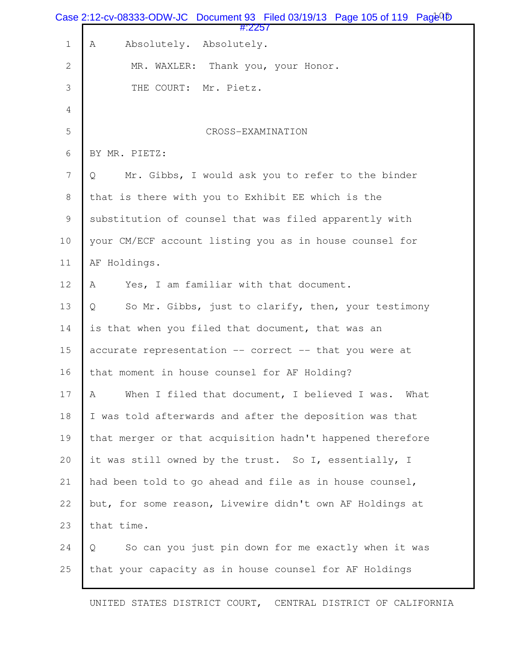|                  | Case 2:12-cv-08333-ODW-JC Document 93 Filed 03/19/13 Page 105 of 119 Page $\overline{10}$<br>#:2257 |
|------------------|-----------------------------------------------------------------------------------------------------|
| $\mathbf 1$      | Absolutely. Absolutely.<br>Α                                                                        |
| $\mathbf{2}$     | MR. WAXLER: Thank you, your Honor.                                                                  |
| 3                | Mr. Pietz.<br>THE COURT:                                                                            |
| $\overline{4}$   |                                                                                                     |
| 5                | CROSS-EXAMINATION                                                                                   |
| 6                | BY MR. PIETZ:                                                                                       |
| $\boldsymbol{7}$ | Mr. Gibbs, I would ask you to refer to the binder<br>Q                                              |
| $\,8\,$          | that is there with you to Exhibit EE which is the                                                   |
| $\mathcal{G}$    | substitution of counsel that was filed apparently with                                              |
| $10$             | your CM/ECF account listing you as in house counsel for                                             |
| 11               | AF Holdings.                                                                                        |
| 12               | Yes, I am familiar with that document.<br>Α                                                         |
| 13               | So Mr. Gibbs, just to clarify, then, your testimony<br>Q                                            |
| 14               | is that when you filed that document, that was an                                                   |
| 15               | accurate representation -- correct -- that you were at                                              |
| 16               | that moment in house counsel for AF Holding?                                                        |
| 17               | When I filed that document, I believed I was. What<br>Α                                             |
| 18               | I was told afterwards and after the deposition was that                                             |
| 19               | that merger or that acquisition hadn't happened therefore                                           |
| 20               | it was still owned by the trust. So I, essentially, I                                               |
| 21               | had been told to go ahead and file as in house counsel,                                             |
| 22               | but, for some reason, Livewire didn't own AF Holdings at                                            |
| 23               | that time.                                                                                          |
| 24               | $\mathsf{Q}$<br>So can you just pin down for me exactly when it was                                 |
| 25               | that your capacity as in house counsel for AF Holdings                                              |
|                  |                                                                                                     |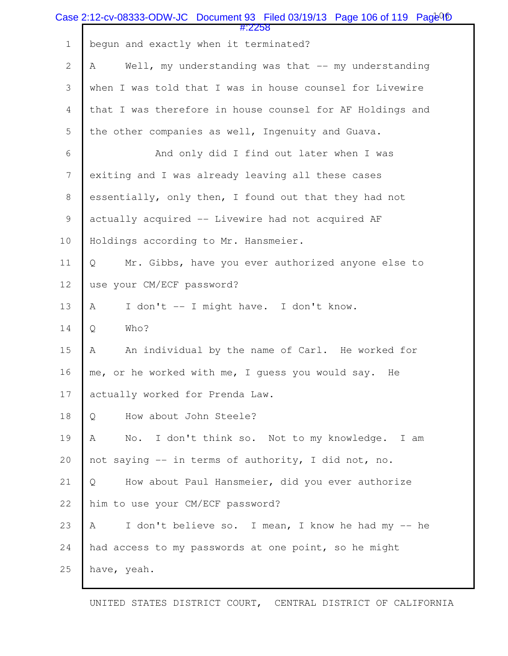|                  | Case 2:12-cv-08333-ODW-JC Document 93 Filed 03/19/13 Page 106 of 119 Page <sup>Q</sup> D<br>$\#2258$ |
|------------------|------------------------------------------------------------------------------------------------------|
| $\mathbf 1$      | begun and exactly when it terminated?                                                                |
| $\overline{2}$   | Well, my understanding was that -- my understanding<br>Α                                             |
| 3                | when I was told that I was in house counsel for Livewire                                             |
| 4                | that I was therefore in house counsel for AF Holdings and                                            |
| 5                | the other companies as well, Ingenuity and Guava.                                                    |
| 6                | And only did I find out later when I was                                                             |
| $\boldsymbol{7}$ | exiting and I was already leaving all these cases                                                    |
| $\,8\,$          | essentially, only then, I found out that they had not                                                |
| $\mathcal{G}$    | actually acquired -- Livewire had not acquired AF                                                    |
| $10$             | Holdings according to Mr. Hansmeier.                                                                 |
| $11$             | Mr. Gibbs, have you ever authorized anyone else to<br>Q                                              |
| 12               | use your CM/ECF password?                                                                            |
| 13               | I don't -- I might have. I don't know.<br>Α                                                          |
| 14               | Who?<br>Q                                                                                            |
| 15               | An individual by the name of Carl. He worked for<br>Α                                                |
| 16               | me, or he worked with me, I guess you would say. He                                                  |
| 17               | actually worked for Prenda Law.                                                                      |
| 18               | How about John Steele?<br>Q                                                                          |
| 19               | Α<br>No. I don't think so. Not to my knowledge. I am                                                 |
| 20               | not saying -- in terms of authority, I did not, no.                                                  |
| 21               | How about Paul Hansmeier, did you ever authorize<br>Q                                                |
| 22               | him to use your CM/ECF password?                                                                     |
| 23               | I don't believe so. I mean, I know he had my -- he<br>A                                              |
| 24               | had access to my passwords at one point, so he might                                                 |
| 25               | have, yeah.                                                                                          |
|                  |                                                                                                      |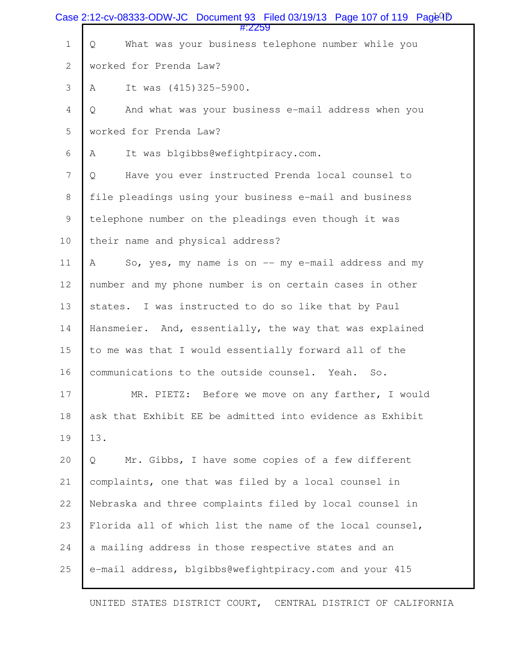|                | Case 2:12-cv-08333-ODW-JC Document 93 Filed 03/19/13 Page 107 of 119 Page <sup>Q</sup> D<br>#:2259 |
|----------------|----------------------------------------------------------------------------------------------------|
| $\mathbf 1$    | What was your business telephone number while you<br>Q                                             |
| $\overline{2}$ | worked for Prenda Law?                                                                             |
| 3              | It was (415)325-5900.<br>Α                                                                         |
| 4              | And what was your business e-mail address when you<br>Q                                            |
| 5              | worked for Prenda Law?                                                                             |
| 6              | It was blgibbs@wefightpiracy.com.<br>Α                                                             |
| $\overline{7}$ | Have you ever instructed Prenda local counsel to<br>Q                                              |
| 8              | file pleadings using your business e-mail and business                                             |
| $\mathsf 9$    | telephone number on the pleadings even though it was                                               |
| 10             | their name and physical address?                                                                   |
| 11             | So, yes, my name is on -- my e-mail address and my<br>A                                            |
| 12             | number and my phone number is on certain cases in other                                            |
| 13             | I was instructed to do so like that by Paul<br>states.                                             |
| 14             | Hansmeier. And, essentially, the way that was explained                                            |
| 15             | to me was that I would essentially forward all of the                                              |
| 16             | communications to the outside counsel. Yeah.<br>So.                                                |
| 17             | MR. PIETZ: Before we move on any farther, I would                                                  |
| 18             | ask that Exhibit EE be admitted into evidence as Exhibit                                           |
| 19             | 13.                                                                                                |
| 20             | Mr. Gibbs, I have some copies of a few different<br>Q                                              |
| 21             | complaints, one that was filed by a local counsel in                                               |
| 22             | Nebraska and three complaints filed by local counsel in                                            |
| 23             | Florida all of which list the name of the local counsel,                                           |
| 24             | a mailing address in those respective states and an                                                |
| 25             | e-mail address, blgibbs@wefightpiracy.com and your 415                                             |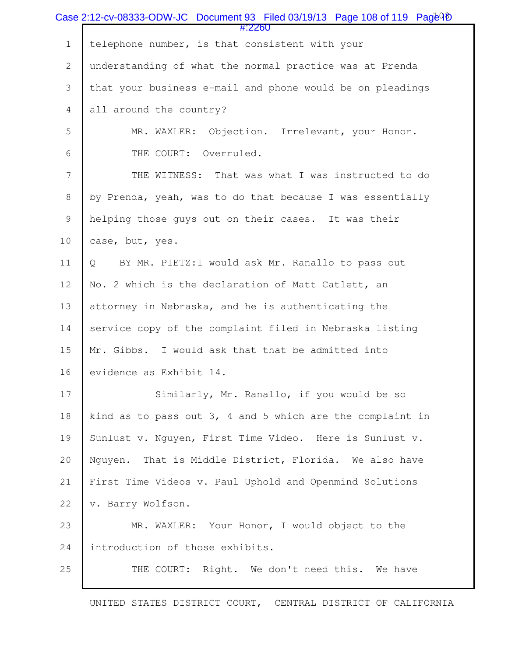| Case 2:12-cv-08333-ODW-JC Document 93 Filed 03/19/13 Page 108 of 119 Page 4D<br>#:2260 |                                                              |
|----------------------------------------------------------------------------------------|--------------------------------------------------------------|
| $\mathbf 1$                                                                            | telephone number, is that consistent with your               |
| $\overline{2}$                                                                         | understanding of what the normal practice was at Prenda      |
| 3                                                                                      | that your business e-mail and phone would be on pleadings    |
| 4                                                                                      | all around the country?                                      |
| 5                                                                                      | MR. WAXLER: Objection. Irrelevant, your Honor.               |
| 6                                                                                      | Overruled.<br>THE COURT:                                     |
| $\overline{7}$                                                                         | THE WITNESS: That was what I was instructed to do            |
| $8\,$                                                                                  | by Prenda, yeah, was to do that because I was essentially    |
| $\mathsf 9$                                                                            | helping those guys out on their cases. It was their          |
| 10                                                                                     | case, but, yes.                                              |
| 11                                                                                     | BY MR. PIETZ: I would ask Mr. Ranallo to pass out<br>Q       |
| 12                                                                                     | No. 2 which is the declaration of Matt Catlett, an           |
| 13                                                                                     | attorney in Nebraska, and he is authenticating the           |
| 14                                                                                     | service copy of the complaint filed in Nebraska listing      |
| 15                                                                                     | Mr. Gibbs. I would ask that that be admitted into            |
| 16                                                                                     | evidence as Exhibit 14.                                      |
| 17                                                                                     | Similarly, Mr. Ranallo, if you would be so                   |
| 18                                                                                     | kind as to pass out $3$ , 4 and 5 which are the complaint in |
| 19                                                                                     | Sunlust v. Nguyen, First Time Video. Here is Sunlust v.      |
| 20                                                                                     | That is Middle District, Florida. We also have<br>Nquyen.    |
| 21                                                                                     | First Time Videos v. Paul Uphold and Openmind Solutions      |
| 22                                                                                     | v. Barry Wolfson.                                            |
| 23                                                                                     | MR. WAXLER: Your Honor, I would object to the                |
| 24                                                                                     | introduction of those exhibits.                              |
| 25                                                                                     | THE COURT: Right. We don't need this. We have                |
|                                                                                        |                                                              |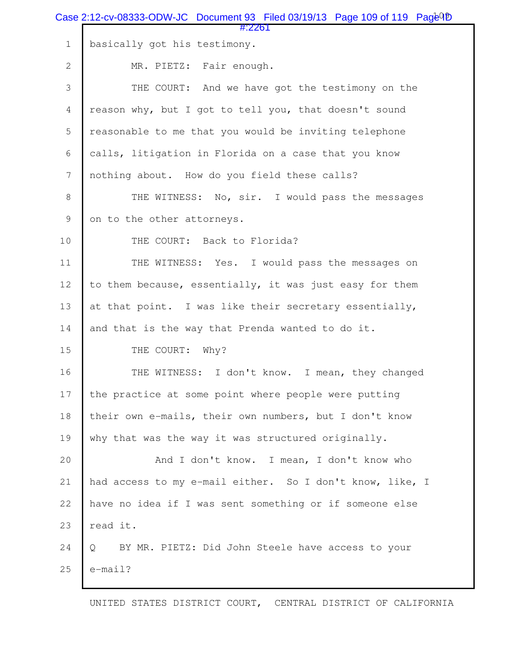|                | Case 2:12-cv-08333-ODW-JC Document 93 Filed 03/19/13 Page 109 of 119 $Paq\bar{e}^{Q}$<br>#:2261 |
|----------------|-------------------------------------------------------------------------------------------------|
| $\mathbf 1$    | basically got his testimony.                                                                    |
| $\mathbf{2}$   | MR. PIETZ: Fair enough.                                                                         |
| 3              | THE COURT: And we have got the testimony on the                                                 |
| $\overline{4}$ | reason why, but I got to tell you, that doesn't sound                                           |
| 5              | reasonable to me that you would be inviting telephone                                           |
| 6              | calls, litigation in Florida on a case that you know                                            |
| $\overline{7}$ | nothing about. How do you field these calls?                                                    |
| $\,8\,$        | THE WITNESS: No, sir. I would pass the messages                                                 |
| $\mathsf 9$    | on to the other attorneys.                                                                      |
| $10$           | THE COURT: Back to Florida?                                                                     |
| 11             | THE WITNESS: Yes. I would pass the messages on                                                  |
| 12             | to them because, essentially, it was just easy for them                                         |
| 13             | at that point. I was like their secretary essentially,                                          |
| 14             | and that is the way that Prenda wanted to do it.                                                |
| 15             | THE COURT:<br>Why?                                                                              |
| 16             | THE WITNESS: I don't know. I mean, they changed                                                 |
| 17             | the practice at some point where people were putting                                            |
| 18             | their own e-mails, their own numbers, but I don't know                                          |
| 19             | why that was the way it was structured originally.                                              |
| 20             | And I don't know. I mean, I don't know who                                                      |
| 21             | had access to my e-mail either. So I don't know, like, I                                        |
| 22             | have no idea if I was sent something or if someone else                                         |
| 23             | read it.                                                                                        |
| 24             | BY MR. PIETZ: Did John Steele have access to your<br>Q                                          |
| 25             | $e$ -mail?                                                                                      |
|                |                                                                                                 |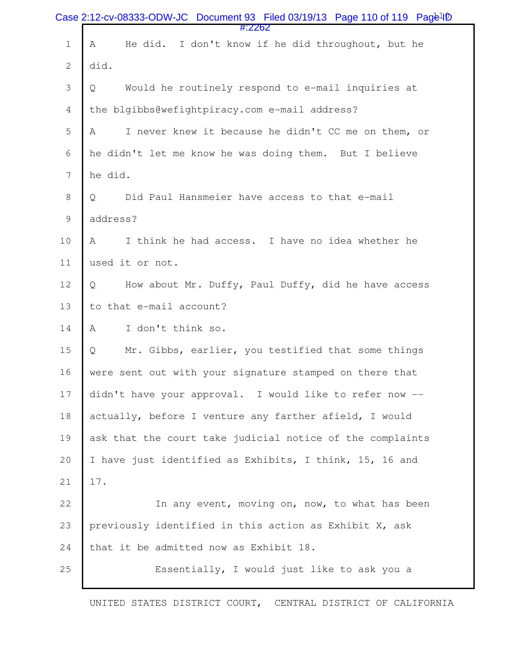|                | Case 2:12-cv-08333-ODW-JC Document 93 Filed 03/19/13 Page 110 of 119 $Paq\bar{e}^{1\bar{p}}$<br>#:2262 |
|----------------|--------------------------------------------------------------------------------------------------------|
| $\mathbf 1$    | He did. I don't know if he did throughout, but he<br>A                                                 |
| $\overline{c}$ | did.                                                                                                   |
| 3              | Would he routinely respond to e-mail inquiries at<br>Q                                                 |
| $\overline{4}$ | the blgibbs@wefightpiracy.com e-mail address?                                                          |
| 5              | I never knew it because he didn't CC me on them, or<br>Α                                               |
| 6              | he didn't let me know he was doing them. But I believe                                                 |
| $\overline{7}$ | he did.                                                                                                |
| $8\,$          | Did Paul Hansmeier have access to that e-mail<br>Q                                                     |
| $\mathsf 9$    | address?                                                                                               |
| $10$           | I think he had access. I have no idea whether he<br>Α                                                  |
| 11             | used it or not.                                                                                        |
| 12             | How about Mr. Duffy, Paul Duffy, did he have access<br>Q                                               |
| 13             | to that e-mail account?                                                                                |
| 14             | Α<br>I don't think so.                                                                                 |
| 15             | Mr. Gibbs, earlier, you testified that some things<br>Q                                                |
| 16             | were sent out with your signature stamped on there that                                                |
| 17             | didn't have your approval. I would like to refer now --                                                |
| 18             | actually, before I venture any farther afield, I would                                                 |
| 19             | ask that the court take judicial notice of the complaints                                              |
| 20             | I have just identified as Exhibits, I think, 15, 16 and                                                |
| 21             | 17.                                                                                                    |
| 22             | In any event, moving on, now, to what has been                                                         |
| 23             | previously identified in this action as Exhibit X, ask                                                 |
| 24             | that it be admitted now as Exhibit 18.                                                                 |
| 25             | Essentially, I would just like to ask you a                                                            |
|                |                                                                                                        |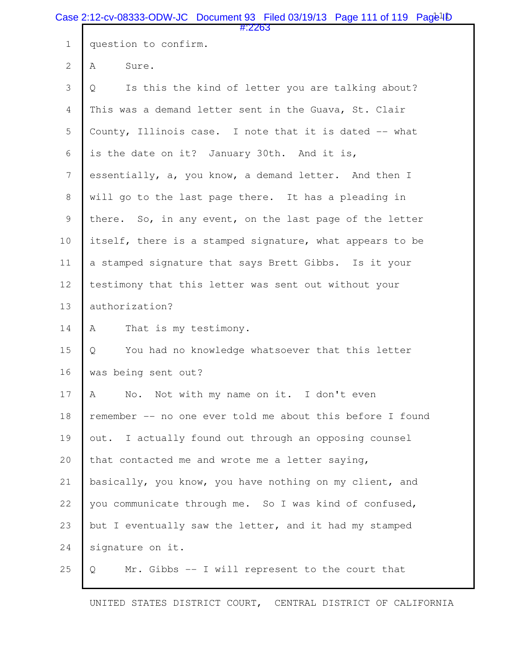|                | Case 2:12-cv-08333-ODW-JC Document 93 Filed 03/19/13 Page 111 of 119 Page <sup>1</sup><br>#:2263 |
|----------------|--------------------------------------------------------------------------------------------------|
| $1\,$          | question to confirm.                                                                             |
| $\overline{2}$ | A<br>Sure.                                                                                       |
| 3              | Is this the kind of letter you are talking about?<br>Q                                           |
| $\overline{4}$ | This was a demand letter sent in the Guava, St. Clair                                            |
| 5              | County, Illinois case. I note that it is dated -- what                                           |
| 6              | is the date on it? January 30th. And it is,                                                      |
| $\overline{7}$ | essentially, a, you know, a demand letter. And then I                                            |
| $\,8\,$        | will go to the last page there. It has a pleading in                                             |
| $\mathsf 9$    | there. So, in any event, on the last page of the letter                                          |
| 10             | itself, there is a stamped signature, what appears to be                                         |
| 11             | a stamped signature that says Brett Gibbs. Is it your                                            |
| 12             | testimony that this letter was sent out without your                                             |
| 13             | authorization?                                                                                   |
| 14             | That is my testimony.<br>A                                                                       |
| 15             | You had no knowledge whatsoever that this letter<br>Q                                            |
| 16             | was being sent out?                                                                              |
| 17             | No. Not with my name on it. I don't even<br>A                                                    |
| 18             | remember -- no one ever told me about this before I found                                        |
| 19             | out. I actually found out through an opposing counsel                                            |
| 20             | that contacted me and wrote me a letter saying,                                                  |
| 21             | basically, you know, you have nothing on my client, and                                          |
| 22             | you communicate through me. So I was kind of confused,                                           |
| 23             | but I eventually saw the letter, and it had my stamped                                           |
| 24             | signature on it.                                                                                 |
| 25             | Mr. Gibbs -- I will represent to the court that<br>Q                                             |
|                |                                                                                                  |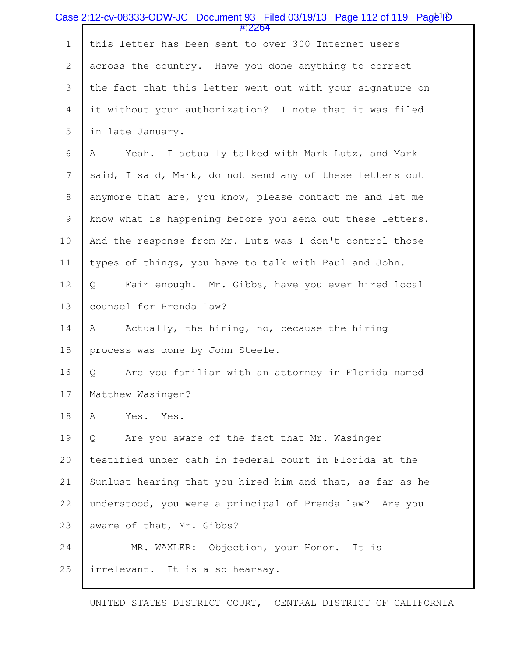|                  | Case 2:12-cv-08333-ODW-JC Document 93 Filed 03/19/13 Page 112 of 119 Page <sup>1</sup> |
|------------------|----------------------------------------------------------------------------------------|
| $\mathbf 1$      | #:2264<br>this letter has been sent to over 300 Internet users                         |
| $\mathbf{2}$     | across the country. Have you done anything to correct                                  |
| 3                | the fact that this letter went out with your signature on                              |
| $\overline{4}$   | it without your authorization? I note that it was filed                                |
| 5                | in late January.                                                                       |
| 6                | Yeah. I actually talked with Mark Lutz, and Mark<br>Α                                  |
| $\boldsymbol{7}$ | said, I said, Mark, do not send any of these letters out                               |
| $\,8\,$          | anymore that are, you know, please contact me and let me                               |
| $\mathsf 9$      | know what is happening before you send out these letters.                              |
| 10               | And the response from Mr. Lutz was I don't control those                               |
| 11               | types of things, you have to talk with Paul and John.                                  |
| 12               | Fair enough. Mr. Gibbs, have you ever hired local<br>Q                                 |
| 13               | counsel for Prenda Law?                                                                |
| 14               | Actually, the hiring, no, because the hiring<br>A                                      |
| 15               | process was done by John Steele.                                                       |
| 16               | Are you familiar with an attorney in Florida named<br>Q                                |
| 17               | Matthew Wasinger?                                                                      |
| 18               | Yes.<br>Yes.<br>Α                                                                      |
| 19               | Are you aware of the fact that Mr. Wasinger<br>Q                                       |
| 20               | testified under oath in federal court in Florida at the                                |
| 21               | Sunlust hearing that you hired him and that, as far as he                              |
| 22               | understood, you were a principal of Prenda law? Are you                                |
| 23               | aware of that, Mr. Gibbs?                                                              |
| 24               | MR. WAXLER: Objection, your Honor. It is                                               |
| 25               | irrelevant. It is also hearsay.                                                        |
|                  |                                                                                        |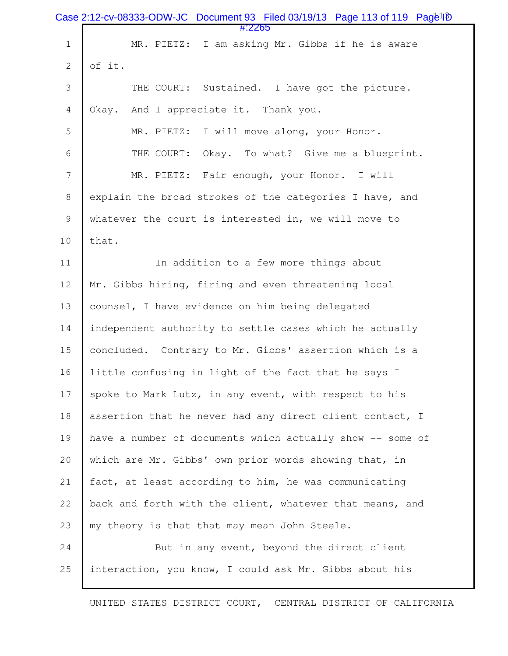|                | Case 2:12-cv-08333-ODW-JC Document 93 Filed 03/19/13 Page 113 of 119 Page <sup>1</sup><br>#:2265 |
|----------------|--------------------------------------------------------------------------------------------------|
| $1\,$          | MR. PIETZ: I am asking Mr. Gibbs if he is aware                                                  |
| $\mathbf{2}$   | of it.                                                                                           |
| 3              | THE COURT: Sustained. I have got the picture.                                                    |
| $\overline{4}$ | Okay. And I appreciate it. Thank you.                                                            |
| 5              | MR. PIETZ: I will move along, your Honor.                                                        |
| 6              | Okay. To what? Give me a blueprint.<br>THE COURT:                                                |
| $\overline{7}$ | MR. PIETZ: Fair enough, your Honor. I will                                                       |
| $8\,$          | explain the broad strokes of the categories I have, and                                          |
| $\mathsf 9$    | whatever the court is interested in, we will move to                                             |
| 10             | that.                                                                                            |
| 11             | In addition to a few more things about                                                           |
| 12             | Mr. Gibbs hiring, firing and even threatening local                                              |
| 13             | counsel, I have evidence on him being delegated                                                  |
| 14             | independent authority to settle cases which he actually                                          |
| 15             | concluded. Contrary to Mr. Gibbs' assertion which is a                                           |
| 16             | little confusing in light of the fact that he says I                                             |
| 17             | spoke to Mark Lutz, in any event, with respect to his                                            |
| 18             | assertion that he never had any direct client contact, I                                         |
| 19             | have a number of documents which actually show -- some of                                        |
| 20             | which are Mr. Gibbs' own prior words showing that, in                                            |
| 21             | fact, at least according to him, he was communicating                                            |
| 22             | back and forth with the client, whatever that means, and                                         |
| 23             | my theory is that that may mean John Steele.                                                     |
| 24             | But in any event, beyond the direct client                                                       |
| 25             | interaction, you know, I could ask Mr. Gibbs about his                                           |
|                |                                                                                                  |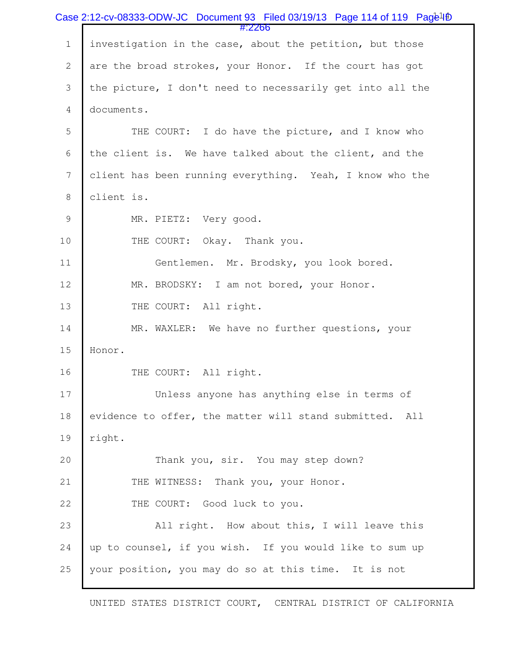|                | Case 2:12-cv-08333-ODW-JC Document 93 Filed 03/19/13 Page 114 of 119 Page <sup>1</sup><br>#:2266 |
|----------------|--------------------------------------------------------------------------------------------------|
| $\mathbf 1$    | investigation in the case, about the petition, but those                                         |
| $\mathbf{2}$   | are the broad strokes, your Honor. If the court has got                                          |
| 3              | the picture, I don't need to necessarily get into all the                                        |
| $\overline{4}$ | documents.                                                                                       |
| 5              | THE COURT: I do have the picture, and I know who                                                 |
| 6              | the client is. We have talked about the client, and the                                          |
| 7              | client has been running everything. Yeah, I know who the                                         |
| $\,8\,$        | client is.                                                                                       |
| $\mathcal{G}$  | MR. PIETZ: Very good.                                                                            |
| 10             | THE COURT: Okay. Thank you.                                                                      |
| 11             | Gentlemen. Mr. Brodsky, you look bored.                                                          |
| 12             | MR. BRODSKY: I am not bored, your Honor.                                                         |
| 13             | THE COURT: All right.                                                                            |
| 14             | MR. WAXLER: We have no further questions, your                                                   |
| 15             | Honor.                                                                                           |
| 16             | THE COURT: All right.                                                                            |
| 17             | Unless anyone has anything else in terms of                                                      |
| 18             | evidence to offer, the matter will stand submitted. All                                          |
| 19             | right.                                                                                           |
| 20             | Thank you, sir. You may step down?                                                               |
| 21             | THE WITNESS: Thank you, your Honor.                                                              |
| 22             | THE COURT: Good luck to you.                                                                     |
| 23             | All right. How about this, I will leave this                                                     |
| 24             | up to counsel, if you wish. If you would like to sum up                                          |
| 25             | your position, you may do so at this time. It is not                                             |
|                |                                                                                                  |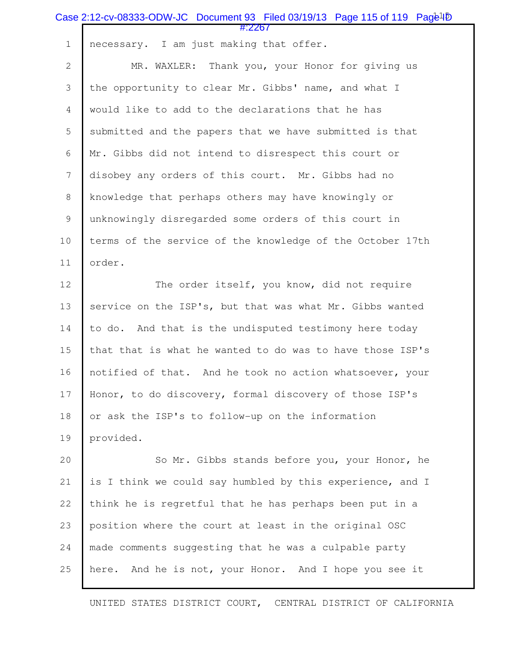|                | Case 2:12-cv-08333-ODW-JC Document 93 Filed 03/19/13 Page 115 of 119 Page <sup>1</sup> <sup>D</sup><br>#:2267 |
|----------------|---------------------------------------------------------------------------------------------------------------|
| $1\,$          | necessary. I am just making that offer.                                                                       |
| $\mathbf{2}$   | MR. WAXLER: Thank you, your Honor for giving us                                                               |
| 3              | the opportunity to clear Mr. Gibbs' name, and what I                                                          |
| $\overline{4}$ | would like to add to the declarations that he has                                                             |
| 5              | submitted and the papers that we have submitted is that                                                       |
| 6              | Mr. Gibbs did not intend to disrespect this court or                                                          |
| $\overline{7}$ | disobey any orders of this court. Mr. Gibbs had no                                                            |
| 8              | knowledge that perhaps others may have knowingly or                                                           |
| $\mathcal{G}$  | unknowingly disregarded some orders of this court in                                                          |
| 10             | terms of the service of the knowledge of the October 17th                                                     |
| 11             | order.                                                                                                        |
| 12             | The order itself, you know, did not require                                                                   |
| 13             | service on the ISP's, but that was what Mr. Gibbs wanted                                                      |
| 14             | to do. And that is the undisputed testimony here today                                                        |
| 15             | that that is what he wanted to do was to have those ISP's                                                     |
| 16             | notified of that. And he took no action whatsoever, your                                                      |
| 17             | Honor, to do discovery, formal discovery of those ISP's                                                       |
| 18             | or ask the ISP's to follow-up on the information                                                              |
| 19             | provided.                                                                                                     |
| 20             | So Mr. Gibbs stands before you, your Honor, he                                                                |
| 21             | is I think we could say humbled by this experience, and I                                                     |
| 22             | think he is regretful that he has perhaps been put in a                                                       |
| 23             | position where the court at least in the original OSC                                                         |
| 24             | made comments suggesting that he was a culpable party                                                         |
| 25             | here. And he is not, your Honor. And I hope you see it                                                        |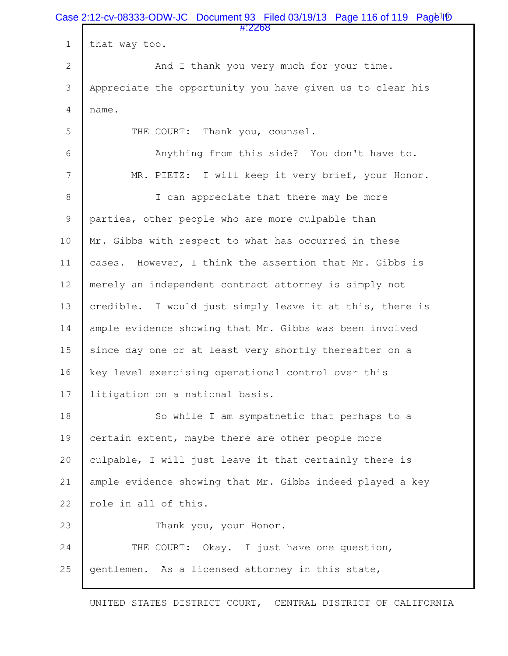|                | Case 2:12-cv-08333-ODW-JC Document 93 Filed 03/19/13 Page 116 of 119 $Paq\bar{e}4\bar{p}$ |  |
|----------------|-------------------------------------------------------------------------------------------|--|
| $1\,$          | #:2268<br>that way too.                                                                   |  |
| $\overline{2}$ | And I thank you very much for your time.                                                  |  |
| 3              | Appreciate the opportunity you have given us to clear his                                 |  |
| 4              | name.                                                                                     |  |
| 5              | THE COURT: Thank you, counsel.                                                            |  |
| 6              | Anything from this side? You don't have to.                                               |  |
| $\overline{7}$ | MR. PIETZ: I will keep it very brief, your Honor.                                         |  |
| 8              | I can appreciate that there may be more                                                   |  |
| 9              | parties, other people who are more culpable than                                          |  |
| 10             | Mr. Gibbs with respect to what has occurred in these                                      |  |
| 11             | cases. However, I think the assertion that Mr. Gibbs is                                   |  |
| 12             | merely an independent contract attorney is simply not                                     |  |
| 13             | credible. I would just simply leave it at this, there is                                  |  |
| 14             | ample evidence showing that Mr. Gibbs was been involved                                   |  |
| 15             | since day one or at least very shortly thereafter on a                                    |  |
| 16             | key level exercising operational control over this                                        |  |
| 17             | litigation on a national basis.                                                           |  |
| 18             | So while I am sympathetic that perhaps to a                                               |  |
| 19             | certain extent, maybe there are other people more                                         |  |
| 20             | culpable, I will just leave it that certainly there is                                    |  |
| 21             | ample evidence showing that Mr. Gibbs indeed played a key                                 |  |
| 22             | role in all of this.                                                                      |  |
| 23             | Thank you, your Honor.                                                                    |  |
| 24             | THE COURT: Okay. I just have one question,                                                |  |
| 25             | gentlemen. As a licensed attorney in this state,                                          |  |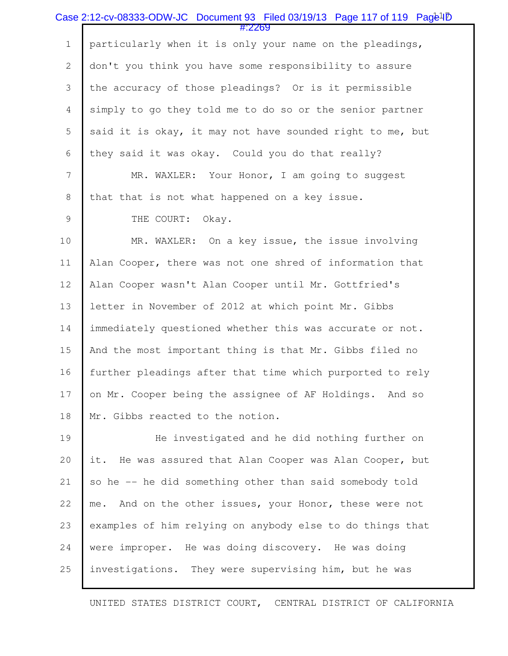|                | Case 2:12-cv-08333-ODW-JC Document 93 Filed 03/19/13 Page 117 of 119 Page <sup>1</sup> D |
|----------------|------------------------------------------------------------------------------------------|
| $\mathbf 1$    | #:2269<br>particularly when it is only your name on the pleadings,                       |
| $\overline{2}$ | don't you think you have some responsibility to assure                                   |
| 3              | the accuracy of those pleadings? Or is it permissible                                    |
| $\overline{4}$ | simply to go they told me to do so or the senior partner                                 |
| 5              | said it is okay, it may not have sounded right to me, but                                |
| 6              | they said it was okay. Could you do that really?                                         |
| $\overline{7}$ | MR. WAXLER: Your Honor, I am going to suggest                                            |
| 8              | that that is not what happened on a key issue.                                           |
| 9              | THE COURT: Okay.                                                                         |
| 10             | MR. WAXLER: On a key issue, the issue involving                                          |
| 11             | Alan Cooper, there was not one shred of information that                                 |
| 12             | Alan Cooper wasn't Alan Cooper until Mr. Gottfried's                                     |
| 13             | letter in November of 2012 at which point Mr. Gibbs                                      |
| 14             | immediately questioned whether this was accurate or not.                                 |
| 15             | And the most important thing is that Mr. Gibbs filed no                                  |
| 16             | further pleadings after that time which purported to rely                                |
| 17             | on Mr. Cooper being the assignee of AF Holdings. And so                                  |
| 18             | Mr. Gibbs reacted to the notion.                                                         |
| 19             | He investigated and he did nothing further on                                            |
| 20             | He was assured that Alan Cooper was Alan Cooper, but<br>it.                              |
| 21             | so he -- he did something other than said somebody told                                  |
| 22             | And on the other issues, your Honor, these were not<br>me.                               |
| 23             | examples of him relying on anybody else to do things that                                |
| 24             | were improper. He was doing discovery. He was doing                                      |
| 25             | investigations. They were supervising him, but he was                                    |
|                |                                                                                          |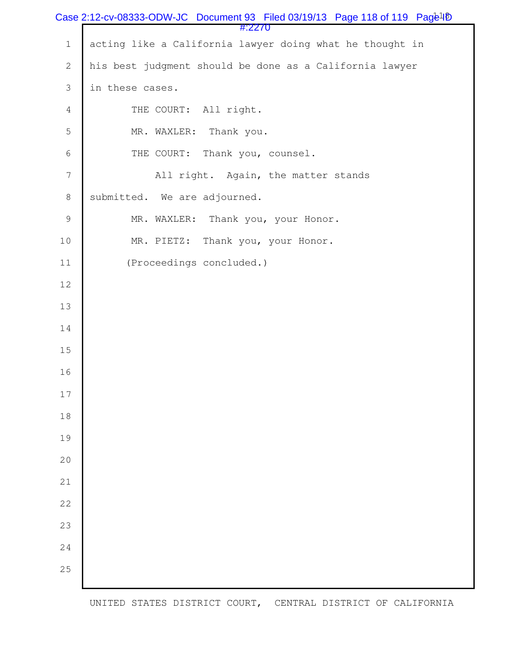|                | Case 2:12-cv-08333-ODW-JC Document 93 Filed 03/19/13 Page 118 of 119 Page <sup>1</sup> <sup>D</sup> |
|----------------|-----------------------------------------------------------------------------------------------------|
| $\mathbf 1$    | #:2270<br>acting like a California lawyer doing what he thought in                                  |
| $\mathbf{2}$   | his best judgment should be done as a California lawyer                                             |
| 3              | in these cases.                                                                                     |
| $\overline{4}$ | THE COURT: All right.                                                                               |
| 5              | MR. WAXLER: Thank you.                                                                              |
| 6              | THE COURT: Thank you, counsel.                                                                      |
| 7              | All right. Again, the matter stands                                                                 |
| $\,8\,$        | submitted. We are adjourned.                                                                        |
| $\mathsf 9$    | MR. WAXLER: Thank you, your Honor.                                                                  |
| $10$           | Thank you, your Honor.<br>MR. PIETZ:                                                                |
| 11             | (Proceedings concluded.)                                                                            |
| 12             |                                                                                                     |
| 13             |                                                                                                     |
| 14             |                                                                                                     |
| 15             |                                                                                                     |
| 16             |                                                                                                     |
| $17$           |                                                                                                     |
| 18             |                                                                                                     |
| 19             |                                                                                                     |
| 20             |                                                                                                     |
| 21             |                                                                                                     |
| 22             |                                                                                                     |
| 23             |                                                                                                     |
| 24             |                                                                                                     |
| 25             |                                                                                                     |
|                |                                                                                                     |